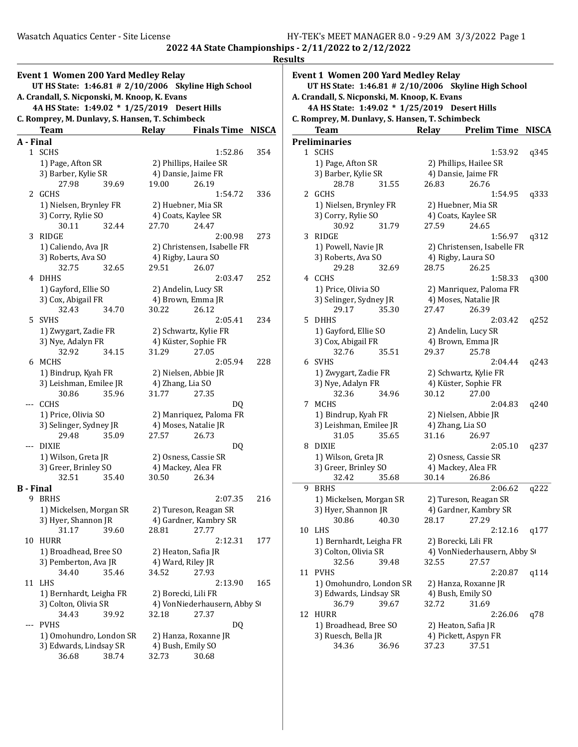|           | Event 1 Women 200 Yard Medley Relay<br>UT HS State: 1:46.81 # 2/10/2006 Skyline High School |       |                                          |              |
|-----------|---------------------------------------------------------------------------------------------|-------|------------------------------------------|--------------|
|           | A. Crandall, S. Nicponski, M. Knoop, K. Evans                                               |       |                                          |              |
|           | 4A HS State: 1:49.02 * 1/25/2019 Desert Hills                                               |       |                                          |              |
|           | C. Romprey, M. Dunlavy, S. Hansen, T. Schimbeck                                             |       |                                          |              |
| A - Final | Team                                                                                        | Relay | <b>Finals Time</b>                       | <b>NISCA</b> |
| 1         | SCHS                                                                                        |       | 1:52.86                                  | 354          |
|           | 1) Page, Afton SR                                                                           |       | 2) Phillips, Hailee SR                   |              |
|           | 3) Barber, Kylie SR                                                                         |       | 4) Dansie, Jaime FR                      |              |
|           | 27.98<br>39.69                                                                              | 19.00 | 26.19                                    |              |
| 2         | GCHS                                                                                        |       | 1:54.72                                  | 336          |
|           | 1) Nielsen, Brynley FR                                                                      |       | 2) Huebner, Mia SR                       |              |
|           | 3) Corry, Rylie SO                                                                          |       | 4) Coats, Kaylee SR                      |              |
| 3         | 30.11<br>32.44<br>RIDGE                                                                     | 27.70 | 24.47<br>2:00.98                         | 273          |
|           | 1) Caliendo, Ava JR                                                                         |       | 2) Christensen, Isabelle FR              |              |
|           | 3) Roberts, Ava SO                                                                          |       | 4) Rigby, Laura SO                       |              |
|           | 32.75<br>32.65                                                                              | 29.51 | 26.07                                    |              |
| 4         | DHHS                                                                                        |       | 2:03.47                                  | 252          |
|           | 1) Gayford, Ellie SO                                                                        |       | 2) Andelin, Lucy SR                      |              |
|           | 3) Cox, Abigail FR                                                                          |       | 4) Brown, Emma JR                        |              |
|           | 32.43<br>34.70                                                                              | 30.22 | 26.12                                    |              |
| 5         | SVHS                                                                                        |       | 2:05.41                                  | 234          |
|           | 1) Zwygart, Zadie FR                                                                        |       | 2) Schwartz, Kylie FR                    |              |
|           | 3) Nye, Adalyn FR<br>32.92<br>34.15                                                         | 31.29 | 4) Küster, Sophie FR<br>27.05            |              |
| 6         | MCHS                                                                                        |       | 2:05.94                                  | 228          |
|           | 1) Bindrup, Kyah FR                                                                         |       | 2) Nielsen, Abbie JR                     |              |
|           | 3) Leishman, Emilee JR                                                                      |       | 4) Zhang, Lia SO                         |              |
|           | 35.96<br>30.86                                                                              | 31.77 | 27.35                                    |              |
| ---       | <b>CCHS</b>                                                                                 |       | DQ                                       |              |
|           | 1) Price, Olivia SO                                                                         |       | 2) Manriquez, Paloma FR                  |              |
|           | 3) Selinger, Sydney JR                                                                      |       | 4) Moses, Natalie JR                     |              |
|           | 29.48<br>35.09<br>--- DIXIE                                                                 | 27.57 | 26.73<br>DQ                              |              |
|           | 1) Wilson, Greta JR                                                                         |       | 2) Osness, Cassie SR                     |              |
|           | 3) Greer, Brinley SO                                                                        |       | 4) Mackey, Alea FR                       |              |
|           | 32.51<br>35.40                                                                              | 30.50 | 26.34                                    |              |
| B - Final |                                                                                             |       |                                          |              |
| 9         | <b>BRHS</b>                                                                                 |       | 2:07.35                                  | 216          |
|           | 1) Mickelsen, Morgan SR                                                                     |       | 2) Tureson, Reagan SR                    |              |
|           | 3) Hyer, Shannon JR                                                                         |       | 4) Gardner, Kambry SR                    |              |
|           | 31.17<br>39.60                                                                              | 28.81 | 27.77                                    |              |
| 10        | HURR<br>1) Broadhead, Bree SO                                                               |       | 2:12.31                                  | 177          |
|           | 3) Pemberton, Ava JR                                                                        |       | 2) Heaton, Safia JR<br>4) Ward, Riley JR |              |
|           | 34.40<br>35.46                                                                              | 34.52 | 27.93                                    |              |
| 11        | LHS                                                                                         |       | 2:13.90                                  | 165          |
|           | 1) Bernhardt, Leigha FR                                                                     |       | 2) Borecki, Lili FR                      |              |
|           | 3) Colton, Olivia SR                                                                        |       | 4) VonNiederhausern, Abby S              |              |
|           | 34.43<br>39.92                                                                              | 32.18 | 27.37                                    |              |
| ---       | PVHS                                                                                        |       | DQ                                       |              |
|           | 1) Omohundro, London SR                                                                     |       | 2) Hanza, Roxanne JR                     |              |
|           | 3) Edwards, Lindsay SR<br>36.68<br>38.74                                                    | 32.73 | 4) Bush, Emily SO<br>30.68               |              |
|           |                                                                                             |       |                                          |              |

|    | <b>Event 1 Women 200 Yard Medley Relay</b>                                                            |       |                               |              |
|----|-------------------------------------------------------------------------------------------------------|-------|-------------------------------|--------------|
|    | UT HS State: 1:46.81 # 2/10/2006 Skyline High School<br>A. Crandall, S. Nicponski, M. Knoop, K. Evans |       |                               |              |
|    | 4A HS State: 1:49.02 * 1/25/2019 Desert Hills                                                         |       |                               |              |
|    | C. Romprey, M. Dunlavy, S. Hansen, T. Schimbeck                                                       |       |                               |              |
|    | <b>Team</b>                                                                                           | Relay | <b>Prelim Time</b>            | <b>NISCA</b> |
|    | <b>Preliminaries</b>                                                                                  |       |                               |              |
|    | 1 SCHS                                                                                                |       | 1:53.92                       | q345         |
|    | 1) Page, Afton SR                                                                                     |       | 2) Phillips, Hailee SR        |              |
|    | 3) Barber, Kylie SR                                                                                   |       | 4) Dansie, Jaime FR           |              |
|    | 28.78<br>31.55                                                                                        | 26.83 | 26.76                         |              |
| 2  | GCHS                                                                                                  |       | 1:54.95                       | q333         |
|    | 1) Nielsen, Brynley FR                                                                                |       | 2) Huebner, Mia SR            |              |
|    | 3) Corry, Rylie SO                                                                                    |       | 4) Coats, Kaylee SR           |              |
|    | 30.92<br>31.79                                                                                        | 27.59 | 24.65                         |              |
| 3  | RIDGE                                                                                                 |       | 1:56.97                       | q312         |
|    | 1) Powell, Navie JR                                                                                   |       | 2) Christensen, Isabelle FR   |              |
|    | 3) Roberts, Ava SO                                                                                    |       | 4) Rigby, Laura SO            |              |
|    | 29.28<br>32.69                                                                                        | 28.75 | 26.25                         |              |
|    | 4 CCHS                                                                                                |       | 1:58.33                       | q300         |
|    | 1) Price, Olivia SO                                                                                   |       | 2) Manriquez, Paloma FR       |              |
|    | 3) Selinger, Sydney JR                                                                                |       | 4) Moses, Natalie JR          |              |
|    | 29.17<br>35.30                                                                                        | 27.47 | 26.39                         |              |
| 5. | DHHS                                                                                                  |       | 2:03.42                       | q252         |
|    | 1) Gayford, Ellie SO                                                                                  |       | 2) Andelin, Lucy SR           |              |
|    | 3) Cox, Abigail FR                                                                                    |       | 4) Brown, Emma JR             |              |
|    | 32.76<br>35.51                                                                                        | 29.37 | 25.78                         |              |
|    | 6 SVHS                                                                                                |       | 2:04.44                       | q243         |
|    | 1) Zwygart, Zadie FR                                                                                  |       | 2) Schwartz, Kylie FR         |              |
|    | 3) Nye, Adalyn FR                                                                                     |       | 4) Küster, Sophie FR          |              |
|    | 34.96<br>32.36                                                                                        | 30.12 | 27.00                         |              |
| 7  | MCHS                                                                                                  |       | 2:04.83                       | q240         |
|    | 1) Bindrup, Kyah FR                                                                                   |       | 2) Nielsen, Abbie JR          |              |
|    | 3) Leishman, Emilee JR                                                                                |       | 4) Zhang, Lia SO              |              |
|    | 31.05<br>35.65                                                                                        | 31.16 | 26.97                         |              |
| 8  | DIXIE                                                                                                 |       | 2:05.10                       | q237         |
|    | 1) Wilson, Greta JR                                                                                   |       | 2) Osness, Cassie SR          |              |
|    | 3) Greer, Brinley SO                                                                                  |       | 4) Mackey, Alea FR            |              |
|    | 32.42<br>35.68                                                                                        | 30.14 | 26.86                         |              |
| 9  | <b>BRHS</b>                                                                                           |       | 2:06.62                       | q222         |
|    | 1) Mickelsen, Morgan SR                                                                               |       | 2) Tureson, Reagan SR         |              |
|    | 3) Hyer, Shannon JR                                                                                   |       | 4) Gardner, Kambry SR         |              |
|    | 30.86<br>40.30                                                                                        | 28.17 | 27.29                         |              |
| 10 | LHS                                                                                                   |       | 2:12.16                       | q177         |
|    | 1) Bernhardt, Leigha FR                                                                               |       | 2) Borecki, Lili FR           |              |
|    | 3) Colton, Olivia SR                                                                                  | 32.55 | 4) VonNiederhausern, Abby St  |              |
|    | 32.56<br>39.48                                                                                        |       | 27.57                         |              |
| 11 | <b>PVHS</b>                                                                                           |       | 2:20.87                       | q114         |
|    | 1) Omohundro, London SR                                                                               |       | 2) Hanza, Roxanne JR          |              |
|    | 3) Edwards, Lindsay SR                                                                                |       | 4) Bush, Emily SO             |              |
|    | 36.79<br>39.67                                                                                        | 32.72 | 31.69                         |              |
| 12 | <b>HURR</b>                                                                                           |       | 2:26.06                       | q78          |
|    | 1) Broadhead, Bree SO                                                                                 |       | 2) Heaton, Safia JR           |              |
|    | 3) Ruesch, Bella JR                                                                                   |       | 4) Pickett, Aspyn FR<br>37.51 |              |
|    | 34.36<br>36.96                                                                                        | 37.23 |                               |              |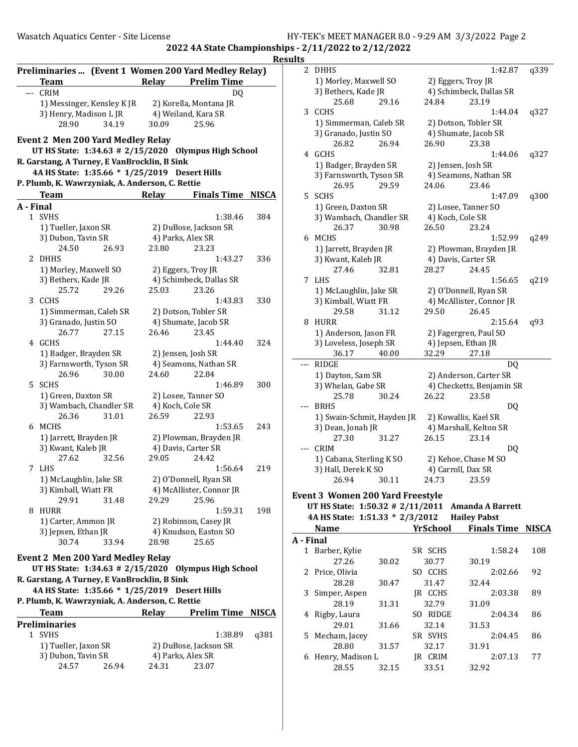2022 4A State Championships - 2/11/2022 to 2/12/2022 .<br><u>sults</u>

|    | <b>Team</b>                                                                                   | Preliminaries  (Event 1 Women 200 Yard Medley Relay)<br>Relay<br><b>Prelim Time</b> | Res          |
|----|-----------------------------------------------------------------------------------------------|-------------------------------------------------------------------------------------|--------------|
|    | --- CRIM                                                                                      | DQ                                                                                  |              |
|    | 1) Messinger, Kensley K JR                                                                    | 2) Korella, Montana JR                                                              |              |
|    | 3) Henry, Madison L JR                                                                        | 4) Weiland, Kara SR                                                                 |              |
|    | 34.19<br>28.90                                                                                | 25.96<br>30.09                                                                      |              |
|    | <b>Event 2 Men 200 Yard Medley Relay</b><br>UT HS State: 1:34.63 # 2/15/2020                  | <b>Olympus High School</b>                                                          |              |
|    | R. Garstang, A Turney, E VanBrocklin, B Sink<br>4A HS State: 1:35.66 * 1/25/2019 Desert Hills |                                                                                     |              |
|    | P. Plumb, K. Wawrzyniak, A. Anderson, C. Rettie                                               |                                                                                     |              |
|    | <b>Team</b>                                                                                   | Relay<br><b>Finals Time NISCA</b>                                                   |              |
|    | A - Final                                                                                     |                                                                                     |              |
|    | 1 SVHS                                                                                        | 1:38.46                                                                             | 384          |
|    | 1) Tueller, Jaxon SR                                                                          | 2) DuBose, Jackson SR                                                               |              |
|    | 3) Dubon, Tavin SR                                                                            | 4) Parks, Alex SR                                                                   |              |
|    | 24.50<br>26.93                                                                                | 23.80<br>23.23                                                                      |              |
| 2  | <b>DHHS</b>                                                                                   | 1:43.27                                                                             | 336          |
|    | 1) Morley, Maxwell SO                                                                         | 2) Eggers, Troy JR                                                                  |              |
|    | 3) Bethers, Kade JR                                                                           | 4) Schimbeck, Dallas SR                                                             |              |
|    | 25.72<br>29.26                                                                                | 25.03<br>23.26                                                                      |              |
|    | 3 CCHS                                                                                        | 1:43.83                                                                             | 330          |
|    | 1) Simmerman, Caleb SR                                                                        | 2) Dotson, Tobler SR                                                                |              |
|    | 3) Granado, Justin SO                                                                         | 4) Shumate, Jacob SR                                                                |              |
|    | 26.77<br>27.15                                                                                | 26.46<br>23.45                                                                      |              |
|    | 4 GCHS                                                                                        | 1:44.40                                                                             | 324          |
|    | 1) Badger, Brayden SR                                                                         | 2) Jensen, Josh SR                                                                  |              |
|    | 3) Farnsworth, Tyson SR                                                                       | 4) Seamons, Nathan SR                                                               |              |
|    | 26.96<br>30.00                                                                                | 24.60<br>22.84                                                                      |              |
| 5. | <b>SCHS</b>                                                                                   | 1:46.89                                                                             | 300          |
|    | 1) Green, Daxton SR                                                                           | 2) Losee, Tanner SO                                                                 |              |
|    | 3) Wambach, Chandler SR                                                                       | 4) Koch, Cole SR                                                                    |              |
|    | 26.36<br>31.01                                                                                | 26.59<br>22.93                                                                      |              |
|    | 6 MCHS                                                                                        | 1:53.65                                                                             | 243          |
|    | 1) Jarrett, Brayden JR                                                                        | 2) Plowman, Brayden JR                                                              |              |
|    | 3) Kwant, Kaleb JR                                                                            | 4) Davis, Carter SR                                                                 |              |
|    | 27.62<br>32.56                                                                                | 29.05<br>24.42                                                                      |              |
| 7  | LHS                                                                                           | 1:56.64                                                                             | 219          |
|    | 1) McLaughlin, Jake SR                                                                        | 2) O'Donnell, Ryan SR                                                               |              |
|    | 3) Kimball, Wiatt FR                                                                          | 4) McAllister, Connor JR                                                            |              |
|    | 29.91<br>31.48                                                                                | 29.29<br>25.96                                                                      |              |
| 8  | HURR                                                                                          | 1:59.31                                                                             | 198          |
|    | 1) Carter, Ammon JR                                                                           |                                                                                     |              |
|    | 3) Jepsen, Ethan JR                                                                           | 2) Robinson, Casey JR<br>4) Knudson, Easton SO                                      |              |
|    | 30.74<br>33.94                                                                                | 25.65<br>28.98                                                                      |              |
|    |                                                                                               |                                                                                     |              |
|    | <b>Event 2 Men 200 Yard Medley Relay</b><br>UT HS State: 1:34.63 # 2/15/2020                  | <b>Olympus High School</b>                                                          |              |
|    | R. Garstang, A Turney, E VanBrocklin, B Sink                                                  |                                                                                     |              |
|    | 4A HS State: 1:35.66 * 1/25/2019 Desert Hills                                                 |                                                                                     |              |
|    | P. Plumb, K. Wawrzyniak, A. Anderson, C. Rettie                                               |                                                                                     |              |
|    | <b>Team</b>                                                                                   | Relay<br><b>Prelim Time</b>                                                         | <b>NISCA</b> |
|    | <b>Preliminaries</b>                                                                          |                                                                                     |              |
|    | 1 SVHS                                                                                        | 1:38.89                                                                             | q381         |
|    | 1) Tueller, Jaxon SR                                                                          | 2) DuBose, Jackson SR                                                               |              |
|    | 3) Dubon, Tavin SR                                                                            | 4) Parks, Alex SR                                                                   |              |
|    | 24.57<br>26.94                                                                                | 24.31<br>23.07                                                                      |              |

| uts       |                                         |                     |                                         |              |
|-----------|-----------------------------------------|---------------------|-----------------------------------------|--------------|
| 2         | DHHS                                    |                     | 1:42.87                                 | q339         |
|           | 1) Morley, Maxwell SO                   | 2) Eggers, Troy JR  |                                         |              |
|           | 3) Bethers, Kade JR                     |                     | 4) Schimbeck, Dallas SR                 |              |
|           | 25.68<br>29.16                          | 24.84               | 23.19                                   |              |
| 3         | <b>CCHS</b>                             |                     | 1:44.04                                 | q327         |
|           | 1) Simmerman, Caleb SR                  |                     | 2) Dotson, Tobler SR                    |              |
|           | 3) Granado, Justin SO                   |                     | 4) Shumate, Jacob SR                    |              |
|           | 26.94<br>26.82                          | 26.90               | 23.38                                   |              |
| 4         | <b>GCHS</b>                             |                     | 1:44.06                                 | q327         |
|           | 1) Badger, Brayden SR                   | 2) Jensen, Josh SR  |                                         |              |
|           | 3) Farnsworth, Tyson SR                 |                     | 4) Seamons, Nathan SR                   |              |
|           | 26.95<br>29.59                          | 24.06               | 23.46                                   |              |
| 5         | <b>SCHS</b>                             |                     | 1:47.09                                 | q300         |
|           | 1) Green, Daxton SR                     |                     | 2) Losee, Tanner SO                     |              |
|           | 3) Wambach, Chandler SR                 | 4) Koch, Cole SR    |                                         |              |
|           | 26.37<br>30.98                          | 26.50               | 23.24                                   |              |
| 6         | MCHS                                    |                     | 1:52.99                                 | q249         |
|           | 1) Jarrett, Brayden JR                  |                     | 2) Plowman, Brayden JR                  |              |
|           | 3) Kwant, Kaleb JR                      | 4) Davis, Carter SR |                                         |              |
|           | 27.46<br>32.81                          | 28.27               | 24.45                                   |              |
| 7         | <b>LHS</b>                              |                     | 1:56.65                                 | q219         |
|           | 1) McLaughlin, Jake SR                  |                     | 2) O'Donnell, Ryan SR                   |              |
|           | 3) Kimball, Wiatt FR                    |                     | 4) McAllister, Connor JR                |              |
|           | 31.12<br>29.58                          | 29.50               | 26.45                                   |              |
| 8         | HURR                                    |                     | 2:15.64                                 | q93          |
|           | 1) Anderson, Jason FR                   |                     | 2) Fagergren, Paul SO                   |              |
|           | 3) Loveless, Joseph SR                  |                     | 4) Jepsen, Ethan JR                     |              |
| $- - -$   | 36.17<br>40.00<br><b>RIDGE</b>          | 32.29               | 27.18                                   |              |
|           |                                         |                     | DQ<br>2) Anderson, Carter SR            |              |
|           | 1) Dayton, Sam SR<br>3) Whelan, Gabe SR |                     | 4) Checketts, Benjamin SR               |              |
|           | 25.78<br>30.24                          | 26.22               | 23.58                                   |              |
|           | <b>BRHS</b>                             |                     | DQ                                      |              |
|           | 1) Swain-Schmit, Hayden JR              |                     | 2) Kowallis, Kael SR                    |              |
|           | 3) Dean, Jonah JR                       |                     | 4) Marshall, Kelton SR                  |              |
|           | 27.30<br>31.27                          | 26.15               | 23.14                                   |              |
|           | <b>CRIM</b>                             |                     | DO                                      |              |
|           | 1) Cabana, Sterling K SO                |                     | 2) Kehoe, Chase M SO                    |              |
|           | 3) Hall, Derek K SO                     | 4) Carroll, Dax SR  |                                         |              |
|           | 26.94<br>30.11                          | 24.73               | 23.59                                   |              |
|           | <b>Event 3 Women 200 Yard Freestyle</b> |                     |                                         |              |
|           | UT HS State: 1:50.32 # 2/11/2011        |                     | <b>Amanda A Barrett</b>                 |              |
|           | 4A HS State: 1:51.33 * 2/3/2012         |                     | <b>Hailey Pabst</b>                     |              |
|           | <b>Name</b>                             | YrSchool            | <b>Finals Time</b>                      | <b>NISCA</b> |
| A - Final |                                         |                     |                                         |              |
|           | $1$ Davis and $U_{\alpha}$ $U_{\alpha}$ | CD<br>CCTIC         | 1. $\Gamma$ $\Omega$ $\Omega$ $\Lambda$ | 100          |

|           | Name             |       | rrəcnool           | rinais Time | NISLA |
|-----------|------------------|-------|--------------------|-------------|-------|
| A - Final |                  |       |                    |             |       |
| 1         | Barber, Kylie    |       | SR SCHS            | 1:58.24     | 108   |
|           | 27.26            | 30.02 | 30.77              | 30.19       |       |
|           | 2 Price, Olivia  |       | <b>CCHS</b><br>SO. | 2:02.66     | 92    |
|           | 28.28            | 30.47 | 31.47              | 32.44       |       |
|           | 3 Simper, Aspen  |       | IR CCHS            | 2:03.38     | 89    |
|           | 28.19            | 31.31 | 32.79              | 31.09       |       |
|           | 4 Rigby, Laura   |       | RIDGE<br>SO.       | 2:04.34     | 86    |
|           | 29.01            | 31.66 | 32.14              | 31.53       |       |
|           | 5 Mecham, Jacey  |       | SR SVHS            | 2:04.45     | 86    |
|           | 28.80            | 31.57 | 32.17              | 31.91       |       |
| 6         | Henry, Madison L |       | <b>CRIM</b><br>IR  | 2:07.13     | 77    |
|           | 28.55            | 32.15 | 33.51              | 32.92       |       |
|           |                  |       |                    |             |       |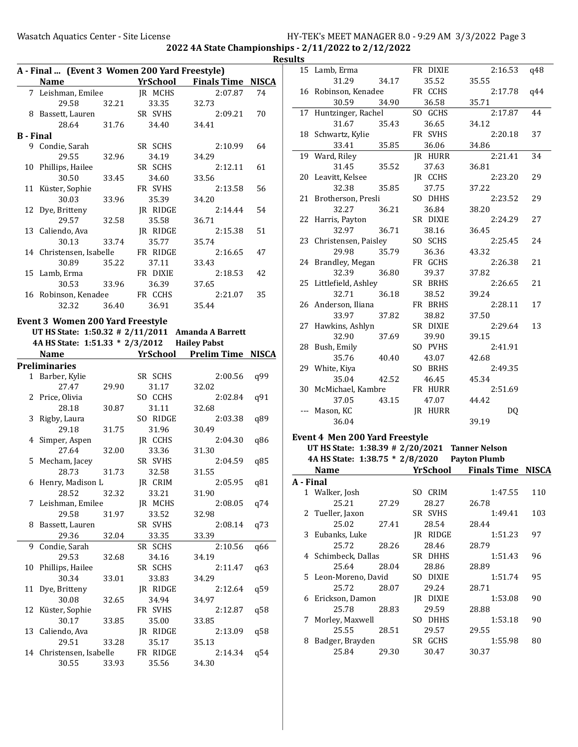2022 4A State Championships - 2/11/2022 to 2/12/2022

|                  | A - Final  (Event 3 Women 200 Yard Freestyle)     |       |          |                                              | <b>Resul</b> |
|------------------|---------------------------------------------------|-------|----------|----------------------------------------------|--------------|
|                  | <b>Name</b>                                       |       |          | <b>Example 21 YrSchool Finals Time NISCA</b> |              |
|                  | 7 Leishman, Emilee                                |       | JR MCHS  | 2:07.87                                      | 74           |
|                  | 29.58 32.21                                       |       | 33.35    | 32.73                                        |              |
|                  | 8 Bassett, Lauren                                 |       | SR SVHS  | 2:09.21                                      | 70           |
|                  | 28.64                                             | 31.76 | 34.40    | 34.41                                        |              |
| <b>B</b> - Final |                                                   |       |          |                                              |              |
|                  | 9 Condie, Sarah                                   |       | SR SCHS  | 2:10.99                                      | 64           |
|                  | 29.55                                             | 32.96 | 34.19    | 34.29                                        |              |
|                  | 10 Phillips, Hailee                               |       | SR SCHS  | 2:12.11                                      | 61           |
|                  | 30.50                                             | 33.45 | 34.60    | 33.56                                        |              |
|                  | 11 Küster, Sophie                                 |       | FR SVHS  | 2:13.58                                      | 56           |
|                  | 30.03                                             |       |          |                                              |              |
|                  |                                                   | 33.96 | 35.39    | 34.20                                        | 54           |
|                  | 12 Dye, Britteny                                  |       | JR RIDGE | 2:14.44                                      |              |
|                  | 29.57                                             | 32.58 | 35.58    | 36.71                                        |              |
|                  | 13 Caliendo, Ava                                  |       | JR RIDGE | 2:15.38                                      | 51           |
|                  | 30.13                                             | 33.74 | 35.77    | 35.74                                        |              |
|                  | 14 Christensen, Isabelle                          |       | FR RIDGE | 2:16.65                                      | 47           |
|                  | 30.89                                             | 35.22 | 37.11    | 33.43                                        |              |
|                  | 15 Lamb, Erma                                     |       | FR DIXIE | 2:18.53                                      | 42           |
|                  | 30.53                                             | 33.96 | 36.39    | 37.65                                        |              |
|                  | 16 Robinson, Kenadee                              |       | FR CCHS  | 2:21.07                                      | 35           |
|                  | 32.32                                             | 36.40 | 36.91    | 35.44                                        |              |
|                  | <b>Event 3 Women 200 Yard Freestyle</b>           |       |          |                                              |              |
|                  | UT HS State: 1:50.32 # 2/11/2011 Amanda A Barrett |       |          |                                              |              |
|                  |                                                   |       |          |                                              |              |
|                  | 4A HS State: 1:51.33 * 2/3/2012 Hailey Pabst      |       |          |                                              |              |
|                  |                                                   |       |          |                                              |              |
|                  | Name                                              |       |          | <b>YrSchool</b> Prelim Time NISCA            |              |
|                  | <b>Preliminaries</b>                              |       |          |                                              |              |
|                  | 1 Barber, Kylie                                   |       | SR SCHS  | 2:00.56                                      | q99          |
|                  | 27.47                                             | 29.90 | 31.17    | 32.02                                        |              |
|                  | 2 Price, Olivia                                   |       | SO CCHS  | 2:02.84                                      | q91          |
|                  | 28.18                                             | 30.87 | 31.11    | 32.68                                        |              |
|                  | 3 Rigby, Laura                                    |       | SO RIDGE | 2:03.38                                      | q89          |
|                  | 29.18                                             | 31.75 | 31.96    | 30.49                                        |              |
|                  | 4 Simper, Aspen                                   |       | JR CCHS  | 2:04.30                                      | q86          |
|                  | 27.64                                             | 32.00 | 33.36    | 31.30                                        |              |
|                  | 5 Mecham, Jacey                                   |       | SR SVHS  | 2:04.59                                      | q85          |
|                  | 28.73                                             | 31.73 | 32.58    | 31.55                                        |              |
|                  |                                                   |       |          |                                              |              |
|                  | 6 Henry, Madison L                                |       | JR CRIM  | 2:05.95                                      | q81          |
|                  | 28.52                                             | 32.32 | 33.21    | 31.90                                        |              |
|                  | 7 Leishman, Emilee                                |       | JR MCHS  | 2:08.05                                      | q74          |
|                  | 29.58                                             | 31.97 | 33.52    | 32.98                                        |              |
| 8                | Bassett, Lauren                                   |       | SR SVHS  | 2:08.14                                      | q73          |
|                  | 29.36                                             | 32.04 | 33.35    | 33.39                                        |              |
| 9                | Condie, Sarah                                     |       | SR SCHS  | 2:10.56                                      | q66          |
|                  | 29.53                                             | 32.68 | 34.16    | 34.19                                        |              |
|                  | 10 Phillips, Hailee                               |       | SR SCHS  | 2:11.47                                      | q63          |
|                  | 30.34                                             | 33.01 | 33.83    | 34.29                                        |              |
|                  | 11 Dye, Britteny                                  |       | JR RIDGE | 2:12.64                                      | q59          |
|                  | 30.08                                             | 32.65 | 34.94    | 34.97                                        |              |
| 12               | Küster, Sophie                                    |       | FR SVHS  | 2:12.87                                      | q58          |
|                  | 30.17                                             | 33.85 | 35.00    | 33.85                                        |              |
|                  | 13 Caliendo, Ava                                  |       | JR RIDGE | 2:13.09                                      | q58          |
|                  | 29.51                                             | 33.28 | 35.17    | 35.13                                        |              |
|                  | 14 Christensen, Isabelle                          |       | FR RIDGE | 2:14.34                                      | q54          |
|                  | 30.55                                             | 33.93 | 35.56    | 34.30                                        |              |

| ults |   |                                       |       |                  |                                   |     |
|------|---|---------------------------------------|-------|------------------|-----------------------------------|-----|
|      |   | 15 Lamb, Erma                         |       | FR DIXIE         | 2:16.53                           | q48 |
|      |   | 31.29                                 | 34.17 | 35.52            | 35.55                             |     |
|      |   | 16 Robinson, Kenadee                  |       | FR CCHS          | 2:17.78                           | q44 |
|      |   | 30.59                                 | 34.90 | 36.58            | 35.71                             |     |
|      |   | 17 Huntzinger, Rachel                 |       | SO GCHS          | 2:17.87                           | 44  |
|      |   | 31.67                                 | 35.43 | 36.65            | 34.12                             |     |
|      |   | 18 Schwartz, Kylie                    |       | FR SVHS          | 2:20.18                           | 37  |
|      |   | 33.41                                 | 35.85 | 36.06            | 34.86                             |     |
|      |   | 19 Ward, Riley                        |       | JR HURR          | 2:21.41                           | 34  |
|      |   | 31.45                                 | 35.52 | 37.63            | 36.81                             |     |
|      |   | 20 Leavitt, Kelsee                    |       | JR CCHS          | 2:23.20                           | 29  |
|      |   | 32.38                                 | 35.85 | 37.75            | 37.22                             |     |
|      |   | 21 Brotherson, Presli                 |       | SO DHHS          | 2:23.52                           | 29  |
|      |   | 32.27                                 | 36.21 | 36.84            | 38.20                             |     |
|      |   | 22 Harris, Payton                     |       | SR DIXIE         | 2:24.29                           | 27  |
|      |   | 32.97                                 | 36.71 | 38.16            | 36.45                             |     |
|      |   | 23 Christensen, Paisley               |       | SO SCHS          | 2:25.45                           | 24  |
|      |   | 29.98                                 | 35.79 | 36.36            | 43.32                             |     |
|      |   | 24 Brandley, Megan                    |       | FR GCHS          | 2:26.38                           | 21  |
|      |   | 32.39                                 | 36.80 | 39.37            | 37.82                             |     |
|      |   | 25 Littlefield, Ashley                |       | SR BRHS          | 2:26.65                           | 21  |
|      |   | 32.71                                 | 36.18 | 38.52            | 39.24                             |     |
|      |   | 26 Anderson, Iliana                   |       | FR BRHS          | 2:28.11                           | 17  |
|      |   | 33.97                                 | 37.82 | 38.82            | 37.50                             |     |
|      |   | 27 Hawkins, Ashlyn                    |       | SR DIXIE         | 2:29.64                           | 13  |
|      |   | 32.90                                 | 37.69 | 39.90            | 39.15                             |     |
|      |   | 28 Bush, Emily                        |       | SO PVHS          | 2:41.91                           |     |
|      |   | 35.76                                 | 40.40 | 43.07            | 42.68                             |     |
|      |   | 29 White, Kiya                        |       | SO BRHS          | 2:49.35                           |     |
|      |   | 35.04                                 | 42.52 | 46.45            | 45.34                             |     |
|      |   | 30 McMichael, Kambre                  |       | FR HURR          | 2:51.69                           |     |
|      |   | 37.05                                 | 43.15 | 47.07            | 44.42                             |     |
|      |   | --- Mason, KC                         |       | JR HURR          | DQ                                |     |
|      |   | 36.04                                 |       |                  | 39.19                             |     |
|      |   |                                       |       |                  |                                   |     |
|      |   | <b>Event 4 Men 200 Yard Freestyle</b> |       |                  |                                   |     |
|      |   | UT HS State: 1:38.39 # 2/20/2021      |       |                  | <b>Tanner Nelson</b>              |     |
|      |   | 4A HS State: 1:38.75 * 2/8/2020       |       |                  | <b>Payton Plumb</b>               |     |
|      |   | <b>Name</b>                           |       |                  | <b>YrSchool</b> Finals Time NISCA |     |
|      |   | A - Final                             |       |                  |                                   |     |
|      |   | 1 Walker, Josh                        |       | SO CRIM          | 1:47.55                           | 110 |
|      |   | 25.21                                 | 27.29 | 28.27            | 26.78                             |     |
|      | 2 | Tueller, Jaxon                        |       | SR SVHS          | 1:49.41                           | 103 |
|      |   | 25.02                                 | 27.41 | 28.54            | 28.44                             |     |
|      | 3 | Eubanks, Luke                         |       | JR RIDGE         | 1:51.23                           | 97  |
|      |   | 25.72                                 | 28.26 | 28.46            | 28.79                             |     |
|      |   | 4 Schimbeck, Dallas                   |       | SR DHHS          | 1:51.43                           | 96  |
|      |   | 25.64                                 | 28.04 | 28.86            | 28.89                             |     |
|      |   | 5 Leon-Moreno, David                  |       | SO DIXIE         | 1:51.74                           | 95  |
|      |   |                                       |       |                  | 28.71                             |     |
|      |   |                                       |       |                  |                                   |     |
|      | 6 | 25.72                                 | 28.07 | 29.24            | 1:53.08                           | 90  |
|      |   | Erickson, Damon                       |       | JR DIXIE         |                                   |     |
|      | 7 | 25.78                                 | 28.83 | 29.59            | 28.88                             | 90  |
|      |   | Morley, Maxwell                       |       | SO DHHS          | 1:53.18                           |     |
|      | 8 | 25.55<br>Badger, Brayden              | 28.51 | 29.57<br>SR GCHS | 29.55<br>1:55.98                  | 80  |

25.84 29.30 30.47 30.37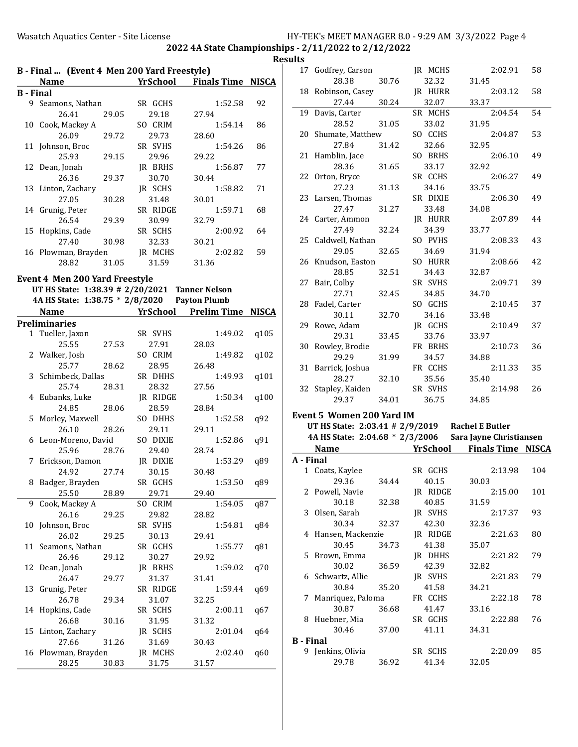| Name <b>Manual Yrschool</b> Finals Time NISCA<br>B - Final<br>9 Seamons, Nathan<br>SR GCHS<br>1:52.58<br>92<br>29.18<br>27.94<br>26.41<br>29.05<br>10 Cook, Mackey A<br>SO CRIM<br>1:54.14<br>86<br>26.09<br>29.73<br>28.60<br>29.72<br>11 Johnson, Broc<br>SR SVHS<br>1:54.26<br>86<br>25.93<br>29.15<br>29.96<br>29.22<br>77<br>12 Dean, Jonah<br>JR BRHS<br>1:56.87<br>29.37<br>30.70<br>26.36<br>30.44<br>13 Linton, Zachary<br>JR SCHS<br>1:58.82<br>71<br>30.28<br>27.05<br>31.48<br>30.01<br>SR RIDGE<br>1:59.71<br>68<br>14 Grunig, Peter<br>26.54<br>30.99<br>32.79<br>29.39<br>SR SCHS<br>2:00.92<br>15 Hopkins, Cade<br>64<br>27.40<br>30.21<br>30.98<br>32.33<br>59<br>16 Plowman, Brayden<br>JR MCHS<br>2:02.82<br>28.82<br>31.05<br>31.59<br>31.36<br><b>Event 4 Men 200 Yard Freestyle</b><br>UT HS State: 1:38.39 # 2/20/2021 Tanner Nelson<br>4A HS State: 1:38.75 * 2/8/2020 Payton Plumb<br>YrSchool<br><b>Prelim Time NISCA</b><br><b>Name</b><br><b>Preliminaries</b><br>1 Tueller, Jaxon<br>SR SVHS<br>1:49.02<br>q105<br>27.53<br>25.55<br>27.91<br>28.03<br>2 Walker, Josh<br>SO CRIM<br>1:49.82<br>q102<br>25.77<br>28.62<br>28.95<br>26.48<br>3 Schimbeck, Dallas<br>SR DHHS<br>1:49.93<br>q101<br>25.74<br>28.32<br>27.56<br>28.31<br>4 Eubanks, Luke<br>JR RIDGE<br>1:50.34<br>q100<br>24.85<br>28.59<br>28.06<br>28.84<br>5 Morley, Maxwell<br>SO DHHS<br>1:52.58<br>q92<br>29.11<br>26.10<br>28.26<br>29.11<br>6 Leon-Moreno, David<br>SO DIXIE<br>1:52.86<br>q91<br>29.40<br>25.96<br>28.76<br>28.74<br>JR DIXIE<br>1:53.29<br>7 Erickson, Damon<br>q89<br>30.15<br>24.92<br>27.74<br>30.48<br>Badger, Brayden<br>SR GCHS<br>1:53.50<br>q89<br>8<br>25.50<br>28.89<br>29.71<br>29.40<br>Cook, Mackey A<br>SO CRIM<br>9<br>1:54.05<br>q87<br>26.16<br>29.82<br>28.82<br>29.25<br>Johnson, Broc<br>SR SVHS<br>10<br>1:54.81<br>q84<br>26.02<br>29.25<br>30.13<br>29.41<br>Seamons, Nathan<br>SR GCHS<br>11<br>1:55.77<br>q81<br>26.46<br>30.27<br>29.12<br>29.92<br>12<br>Dean, Jonah<br>JR BRHS<br>1:59.02<br>q70<br>26.47<br>31.37<br>29.77<br>31.41<br>13<br>Grunig, Peter<br>SR RIDGE<br>1:59.44<br>q69<br>26.78<br>31.07<br>32.25<br>29.34<br>Hopkins, Cade<br>SR SCHS<br>2:00.11<br>14<br>q67<br>26.68<br>31.32<br>30.16<br>31.95<br>15<br>Linton, Zachary<br>JR SCHS<br>2:01.04<br>q64<br>27.66<br>31.69<br>31.26<br>30.43<br>Plowman, Brayden<br>JR MCHS<br>16<br>2:02.40<br>q60<br>30.83<br>28.25<br>31.75<br>31.57 | B - Final  (Event 4 Men 200 Yard Freestyle) |  |  |  |  |  |  |  |
|-----------------------------------------------------------------------------------------------------------------------------------------------------------------------------------------------------------------------------------------------------------------------------------------------------------------------------------------------------------------------------------------------------------------------------------------------------------------------------------------------------------------------------------------------------------------------------------------------------------------------------------------------------------------------------------------------------------------------------------------------------------------------------------------------------------------------------------------------------------------------------------------------------------------------------------------------------------------------------------------------------------------------------------------------------------------------------------------------------------------------------------------------------------------------------------------------------------------------------------------------------------------------------------------------------------------------------------------------------------------------------------------------------------------------------------------------------------------------------------------------------------------------------------------------------------------------------------------------------------------------------------------------------------------------------------------------------------------------------------------------------------------------------------------------------------------------------------------------------------------------------------------------------------------------------------------------------------------------------------------------------------------------------------------------------------------------------------------------------------------------------------------------------------------------------------------------------------------------------------------------------------------------------------------------------------------------------------------------------------------------------------------------------------------------------------------------------------|---------------------------------------------|--|--|--|--|--|--|--|
|                                                                                                                                                                                                                                                                                                                                                                                                                                                                                                                                                                                                                                                                                                                                                                                                                                                                                                                                                                                                                                                                                                                                                                                                                                                                                                                                                                                                                                                                                                                                                                                                                                                                                                                                                                                                                                                                                                                                                                                                                                                                                                                                                                                                                                                                                                                                                                                                                                                           |                                             |  |  |  |  |  |  |  |
|                                                                                                                                                                                                                                                                                                                                                                                                                                                                                                                                                                                                                                                                                                                                                                                                                                                                                                                                                                                                                                                                                                                                                                                                                                                                                                                                                                                                                                                                                                                                                                                                                                                                                                                                                                                                                                                                                                                                                                                                                                                                                                                                                                                                                                                                                                                                                                                                                                                           |                                             |  |  |  |  |  |  |  |
|                                                                                                                                                                                                                                                                                                                                                                                                                                                                                                                                                                                                                                                                                                                                                                                                                                                                                                                                                                                                                                                                                                                                                                                                                                                                                                                                                                                                                                                                                                                                                                                                                                                                                                                                                                                                                                                                                                                                                                                                                                                                                                                                                                                                                                                                                                                                                                                                                                                           |                                             |  |  |  |  |  |  |  |
|                                                                                                                                                                                                                                                                                                                                                                                                                                                                                                                                                                                                                                                                                                                                                                                                                                                                                                                                                                                                                                                                                                                                                                                                                                                                                                                                                                                                                                                                                                                                                                                                                                                                                                                                                                                                                                                                                                                                                                                                                                                                                                                                                                                                                                                                                                                                                                                                                                                           |                                             |  |  |  |  |  |  |  |
|                                                                                                                                                                                                                                                                                                                                                                                                                                                                                                                                                                                                                                                                                                                                                                                                                                                                                                                                                                                                                                                                                                                                                                                                                                                                                                                                                                                                                                                                                                                                                                                                                                                                                                                                                                                                                                                                                                                                                                                                                                                                                                                                                                                                                                                                                                                                                                                                                                                           |                                             |  |  |  |  |  |  |  |
|                                                                                                                                                                                                                                                                                                                                                                                                                                                                                                                                                                                                                                                                                                                                                                                                                                                                                                                                                                                                                                                                                                                                                                                                                                                                                                                                                                                                                                                                                                                                                                                                                                                                                                                                                                                                                                                                                                                                                                                                                                                                                                                                                                                                                                                                                                                                                                                                                                                           |                                             |  |  |  |  |  |  |  |
|                                                                                                                                                                                                                                                                                                                                                                                                                                                                                                                                                                                                                                                                                                                                                                                                                                                                                                                                                                                                                                                                                                                                                                                                                                                                                                                                                                                                                                                                                                                                                                                                                                                                                                                                                                                                                                                                                                                                                                                                                                                                                                                                                                                                                                                                                                                                                                                                                                                           |                                             |  |  |  |  |  |  |  |
|                                                                                                                                                                                                                                                                                                                                                                                                                                                                                                                                                                                                                                                                                                                                                                                                                                                                                                                                                                                                                                                                                                                                                                                                                                                                                                                                                                                                                                                                                                                                                                                                                                                                                                                                                                                                                                                                                                                                                                                                                                                                                                                                                                                                                                                                                                                                                                                                                                                           |                                             |  |  |  |  |  |  |  |
|                                                                                                                                                                                                                                                                                                                                                                                                                                                                                                                                                                                                                                                                                                                                                                                                                                                                                                                                                                                                                                                                                                                                                                                                                                                                                                                                                                                                                                                                                                                                                                                                                                                                                                                                                                                                                                                                                                                                                                                                                                                                                                                                                                                                                                                                                                                                                                                                                                                           |                                             |  |  |  |  |  |  |  |
|                                                                                                                                                                                                                                                                                                                                                                                                                                                                                                                                                                                                                                                                                                                                                                                                                                                                                                                                                                                                                                                                                                                                                                                                                                                                                                                                                                                                                                                                                                                                                                                                                                                                                                                                                                                                                                                                                                                                                                                                                                                                                                                                                                                                                                                                                                                                                                                                                                                           |                                             |  |  |  |  |  |  |  |
|                                                                                                                                                                                                                                                                                                                                                                                                                                                                                                                                                                                                                                                                                                                                                                                                                                                                                                                                                                                                                                                                                                                                                                                                                                                                                                                                                                                                                                                                                                                                                                                                                                                                                                                                                                                                                                                                                                                                                                                                                                                                                                                                                                                                                                                                                                                                                                                                                                                           |                                             |  |  |  |  |  |  |  |
|                                                                                                                                                                                                                                                                                                                                                                                                                                                                                                                                                                                                                                                                                                                                                                                                                                                                                                                                                                                                                                                                                                                                                                                                                                                                                                                                                                                                                                                                                                                                                                                                                                                                                                                                                                                                                                                                                                                                                                                                                                                                                                                                                                                                                                                                                                                                                                                                                                                           |                                             |  |  |  |  |  |  |  |
|                                                                                                                                                                                                                                                                                                                                                                                                                                                                                                                                                                                                                                                                                                                                                                                                                                                                                                                                                                                                                                                                                                                                                                                                                                                                                                                                                                                                                                                                                                                                                                                                                                                                                                                                                                                                                                                                                                                                                                                                                                                                                                                                                                                                                                                                                                                                                                                                                                                           |                                             |  |  |  |  |  |  |  |
|                                                                                                                                                                                                                                                                                                                                                                                                                                                                                                                                                                                                                                                                                                                                                                                                                                                                                                                                                                                                                                                                                                                                                                                                                                                                                                                                                                                                                                                                                                                                                                                                                                                                                                                                                                                                                                                                                                                                                                                                                                                                                                                                                                                                                                                                                                                                                                                                                                                           |                                             |  |  |  |  |  |  |  |
|                                                                                                                                                                                                                                                                                                                                                                                                                                                                                                                                                                                                                                                                                                                                                                                                                                                                                                                                                                                                                                                                                                                                                                                                                                                                                                                                                                                                                                                                                                                                                                                                                                                                                                                                                                                                                                                                                                                                                                                                                                                                                                                                                                                                                                                                                                                                                                                                                                                           |                                             |  |  |  |  |  |  |  |
|                                                                                                                                                                                                                                                                                                                                                                                                                                                                                                                                                                                                                                                                                                                                                                                                                                                                                                                                                                                                                                                                                                                                                                                                                                                                                                                                                                                                                                                                                                                                                                                                                                                                                                                                                                                                                                                                                                                                                                                                                                                                                                                                                                                                                                                                                                                                                                                                                                                           |                                             |  |  |  |  |  |  |  |
|                                                                                                                                                                                                                                                                                                                                                                                                                                                                                                                                                                                                                                                                                                                                                                                                                                                                                                                                                                                                                                                                                                                                                                                                                                                                                                                                                                                                                                                                                                                                                                                                                                                                                                                                                                                                                                                                                                                                                                                                                                                                                                                                                                                                                                                                                                                                                                                                                                                           |                                             |  |  |  |  |  |  |  |
|                                                                                                                                                                                                                                                                                                                                                                                                                                                                                                                                                                                                                                                                                                                                                                                                                                                                                                                                                                                                                                                                                                                                                                                                                                                                                                                                                                                                                                                                                                                                                                                                                                                                                                                                                                                                                                                                                                                                                                                                                                                                                                                                                                                                                                                                                                                                                                                                                                                           |                                             |  |  |  |  |  |  |  |
|                                                                                                                                                                                                                                                                                                                                                                                                                                                                                                                                                                                                                                                                                                                                                                                                                                                                                                                                                                                                                                                                                                                                                                                                                                                                                                                                                                                                                                                                                                                                                                                                                                                                                                                                                                                                                                                                                                                                                                                                                                                                                                                                                                                                                                                                                                                                                                                                                                                           |                                             |  |  |  |  |  |  |  |
|                                                                                                                                                                                                                                                                                                                                                                                                                                                                                                                                                                                                                                                                                                                                                                                                                                                                                                                                                                                                                                                                                                                                                                                                                                                                                                                                                                                                                                                                                                                                                                                                                                                                                                                                                                                                                                                                                                                                                                                                                                                                                                                                                                                                                                                                                                                                                                                                                                                           |                                             |  |  |  |  |  |  |  |
|                                                                                                                                                                                                                                                                                                                                                                                                                                                                                                                                                                                                                                                                                                                                                                                                                                                                                                                                                                                                                                                                                                                                                                                                                                                                                                                                                                                                                                                                                                                                                                                                                                                                                                                                                                                                                                                                                                                                                                                                                                                                                                                                                                                                                                                                                                                                                                                                                                                           |                                             |  |  |  |  |  |  |  |
|                                                                                                                                                                                                                                                                                                                                                                                                                                                                                                                                                                                                                                                                                                                                                                                                                                                                                                                                                                                                                                                                                                                                                                                                                                                                                                                                                                                                                                                                                                                                                                                                                                                                                                                                                                                                                                                                                                                                                                                                                                                                                                                                                                                                                                                                                                                                                                                                                                                           |                                             |  |  |  |  |  |  |  |
|                                                                                                                                                                                                                                                                                                                                                                                                                                                                                                                                                                                                                                                                                                                                                                                                                                                                                                                                                                                                                                                                                                                                                                                                                                                                                                                                                                                                                                                                                                                                                                                                                                                                                                                                                                                                                                                                                                                                                                                                                                                                                                                                                                                                                                                                                                                                                                                                                                                           |                                             |  |  |  |  |  |  |  |
|                                                                                                                                                                                                                                                                                                                                                                                                                                                                                                                                                                                                                                                                                                                                                                                                                                                                                                                                                                                                                                                                                                                                                                                                                                                                                                                                                                                                                                                                                                                                                                                                                                                                                                                                                                                                                                                                                                                                                                                                                                                                                                                                                                                                                                                                                                                                                                                                                                                           |                                             |  |  |  |  |  |  |  |
|                                                                                                                                                                                                                                                                                                                                                                                                                                                                                                                                                                                                                                                                                                                                                                                                                                                                                                                                                                                                                                                                                                                                                                                                                                                                                                                                                                                                                                                                                                                                                                                                                                                                                                                                                                                                                                                                                                                                                                                                                                                                                                                                                                                                                                                                                                                                                                                                                                                           |                                             |  |  |  |  |  |  |  |
|                                                                                                                                                                                                                                                                                                                                                                                                                                                                                                                                                                                                                                                                                                                                                                                                                                                                                                                                                                                                                                                                                                                                                                                                                                                                                                                                                                                                                                                                                                                                                                                                                                                                                                                                                                                                                                                                                                                                                                                                                                                                                                                                                                                                                                                                                                                                                                                                                                                           |                                             |  |  |  |  |  |  |  |
|                                                                                                                                                                                                                                                                                                                                                                                                                                                                                                                                                                                                                                                                                                                                                                                                                                                                                                                                                                                                                                                                                                                                                                                                                                                                                                                                                                                                                                                                                                                                                                                                                                                                                                                                                                                                                                                                                                                                                                                                                                                                                                                                                                                                                                                                                                                                                                                                                                                           |                                             |  |  |  |  |  |  |  |
|                                                                                                                                                                                                                                                                                                                                                                                                                                                                                                                                                                                                                                                                                                                                                                                                                                                                                                                                                                                                                                                                                                                                                                                                                                                                                                                                                                                                                                                                                                                                                                                                                                                                                                                                                                                                                                                                                                                                                                                                                                                                                                                                                                                                                                                                                                                                                                                                                                                           |                                             |  |  |  |  |  |  |  |
|                                                                                                                                                                                                                                                                                                                                                                                                                                                                                                                                                                                                                                                                                                                                                                                                                                                                                                                                                                                                                                                                                                                                                                                                                                                                                                                                                                                                                                                                                                                                                                                                                                                                                                                                                                                                                                                                                                                                                                                                                                                                                                                                                                                                                                                                                                                                                                                                                                                           |                                             |  |  |  |  |  |  |  |
|                                                                                                                                                                                                                                                                                                                                                                                                                                                                                                                                                                                                                                                                                                                                                                                                                                                                                                                                                                                                                                                                                                                                                                                                                                                                                                                                                                                                                                                                                                                                                                                                                                                                                                                                                                                                                                                                                                                                                                                                                                                                                                                                                                                                                                                                                                                                                                                                                                                           |                                             |  |  |  |  |  |  |  |
|                                                                                                                                                                                                                                                                                                                                                                                                                                                                                                                                                                                                                                                                                                                                                                                                                                                                                                                                                                                                                                                                                                                                                                                                                                                                                                                                                                                                                                                                                                                                                                                                                                                                                                                                                                                                                                                                                                                                                                                                                                                                                                                                                                                                                                                                                                                                                                                                                                                           |                                             |  |  |  |  |  |  |  |
|                                                                                                                                                                                                                                                                                                                                                                                                                                                                                                                                                                                                                                                                                                                                                                                                                                                                                                                                                                                                                                                                                                                                                                                                                                                                                                                                                                                                                                                                                                                                                                                                                                                                                                                                                                                                                                                                                                                                                                                                                                                                                                                                                                                                                                                                                                                                                                                                                                                           |                                             |  |  |  |  |  |  |  |
|                                                                                                                                                                                                                                                                                                                                                                                                                                                                                                                                                                                                                                                                                                                                                                                                                                                                                                                                                                                                                                                                                                                                                                                                                                                                                                                                                                                                                                                                                                                                                                                                                                                                                                                                                                                                                                                                                                                                                                                                                                                                                                                                                                                                                                                                                                                                                                                                                                                           |                                             |  |  |  |  |  |  |  |
|                                                                                                                                                                                                                                                                                                                                                                                                                                                                                                                                                                                                                                                                                                                                                                                                                                                                                                                                                                                                                                                                                                                                                                                                                                                                                                                                                                                                                                                                                                                                                                                                                                                                                                                                                                                                                                                                                                                                                                                                                                                                                                                                                                                                                                                                                                                                                                                                                                                           |                                             |  |  |  |  |  |  |  |
|                                                                                                                                                                                                                                                                                                                                                                                                                                                                                                                                                                                                                                                                                                                                                                                                                                                                                                                                                                                                                                                                                                                                                                                                                                                                                                                                                                                                                                                                                                                                                                                                                                                                                                                                                                                                                                                                                                                                                                                                                                                                                                                                                                                                                                                                                                                                                                                                                                                           |                                             |  |  |  |  |  |  |  |
|                                                                                                                                                                                                                                                                                                                                                                                                                                                                                                                                                                                                                                                                                                                                                                                                                                                                                                                                                                                                                                                                                                                                                                                                                                                                                                                                                                                                                                                                                                                                                                                                                                                                                                                                                                                                                                                                                                                                                                                                                                                                                                                                                                                                                                                                                                                                                                                                                                                           |                                             |  |  |  |  |  |  |  |
|                                                                                                                                                                                                                                                                                                                                                                                                                                                                                                                                                                                                                                                                                                                                                                                                                                                                                                                                                                                                                                                                                                                                                                                                                                                                                                                                                                                                                                                                                                                                                                                                                                                                                                                                                                                                                                                                                                                                                                                                                                                                                                                                                                                                                                                                                                                                                                                                                                                           |                                             |  |  |  |  |  |  |  |
|                                                                                                                                                                                                                                                                                                                                                                                                                                                                                                                                                                                                                                                                                                                                                                                                                                                                                                                                                                                                                                                                                                                                                                                                                                                                                                                                                                                                                                                                                                                                                                                                                                                                                                                                                                                                                                                                                                                                                                                                                                                                                                                                                                                                                                                                                                                                                                                                                                                           |                                             |  |  |  |  |  |  |  |
|                                                                                                                                                                                                                                                                                                                                                                                                                                                                                                                                                                                                                                                                                                                                                                                                                                                                                                                                                                                                                                                                                                                                                                                                                                                                                                                                                                                                                                                                                                                                                                                                                                                                                                                                                                                                                                                                                                                                                                                                                                                                                                                                                                                                                                                                                                                                                                                                                                                           |                                             |  |  |  |  |  |  |  |
|                                                                                                                                                                                                                                                                                                                                                                                                                                                                                                                                                                                                                                                                                                                                                                                                                                                                                                                                                                                                                                                                                                                                                                                                                                                                                                                                                                                                                                                                                                                                                                                                                                                                                                                                                                                                                                                                                                                                                                                                                                                                                                                                                                                                                                                                                                                                                                                                                                                           |                                             |  |  |  |  |  |  |  |
|                                                                                                                                                                                                                                                                                                                                                                                                                                                                                                                                                                                                                                                                                                                                                                                                                                                                                                                                                                                                                                                                                                                                                                                                                                                                                                                                                                                                                                                                                                                                                                                                                                                                                                                                                                                                                                                                                                                                                                                                                                                                                                                                                                                                                                                                                                                                                                                                                                                           |                                             |  |  |  |  |  |  |  |
|                                                                                                                                                                                                                                                                                                                                                                                                                                                                                                                                                                                                                                                                                                                                                                                                                                                                                                                                                                                                                                                                                                                                                                                                                                                                                                                                                                                                                                                                                                                                                                                                                                                                                                                                                                                                                                                                                                                                                                                                                                                                                                                                                                                                                                                                                                                                                                                                                                                           |                                             |  |  |  |  |  |  |  |
|                                                                                                                                                                                                                                                                                                                                                                                                                                                                                                                                                                                                                                                                                                                                                                                                                                                                                                                                                                                                                                                                                                                                                                                                                                                                                                                                                                                                                                                                                                                                                                                                                                                                                                                                                                                                                                                                                                                                                                                                                                                                                                                                                                                                                                                                                                                                                                                                                                                           |                                             |  |  |  |  |  |  |  |
|                                                                                                                                                                                                                                                                                                                                                                                                                                                                                                                                                                                                                                                                                                                                                                                                                                                                                                                                                                                                                                                                                                                                                                                                                                                                                                                                                                                                                                                                                                                                                                                                                                                                                                                                                                                                                                                                                                                                                                                                                                                                                                                                                                                                                                                                                                                                                                                                                                                           |                                             |  |  |  |  |  |  |  |
|                                                                                                                                                                                                                                                                                                                                                                                                                                                                                                                                                                                                                                                                                                                                                                                                                                                                                                                                                                                                                                                                                                                                                                                                                                                                                                                                                                                                                                                                                                                                                                                                                                                                                                                                                                                                                                                                                                                                                                                                                                                                                                                                                                                                                                                                                                                                                                                                                                                           |                                             |  |  |  |  |  |  |  |
|                                                                                                                                                                                                                                                                                                                                                                                                                                                                                                                                                                                                                                                                                                                                                                                                                                                                                                                                                                                                                                                                                                                                                                                                                                                                                                                                                                                                                                                                                                                                                                                                                                                                                                                                                                                                                                                                                                                                                                                                                                                                                                                                                                                                                                                                                                                                                                                                                                                           |                                             |  |  |  |  |  |  |  |
|                                                                                                                                                                                                                                                                                                                                                                                                                                                                                                                                                                                                                                                                                                                                                                                                                                                                                                                                                                                                                                                                                                                                                                                                                                                                                                                                                                                                                                                                                                                                                                                                                                                                                                                                                                                                                                                                                                                                                                                                                                                                                                                                                                                                                                                                                                                                                                                                                                                           |                                             |  |  |  |  |  |  |  |
|                                                                                                                                                                                                                                                                                                                                                                                                                                                                                                                                                                                                                                                                                                                                                                                                                                                                                                                                                                                                                                                                                                                                                                                                                                                                                                                                                                                                                                                                                                                                                                                                                                                                                                                                                                                                                                                                                                                                                                                                                                                                                                                                                                                                                                                                                                                                                                                                                                                           |                                             |  |  |  |  |  |  |  |
|                                                                                                                                                                                                                                                                                                                                                                                                                                                                                                                                                                                                                                                                                                                                                                                                                                                                                                                                                                                                                                                                                                                                                                                                                                                                                                                                                                                                                                                                                                                                                                                                                                                                                                                                                                                                                                                                                                                                                                                                                                                                                                                                                                                                                                                                                                                                                                                                                                                           |                                             |  |  |  |  |  |  |  |
|                                                                                                                                                                                                                                                                                                                                                                                                                                                                                                                                                                                                                                                                                                                                                                                                                                                                                                                                                                                                                                                                                                                                                                                                                                                                                                                                                                                                                                                                                                                                                                                                                                                                                                                                                                                                                                                                                                                                                                                                                                                                                                                                                                                                                                                                                                                                                                                                                                                           |                                             |  |  |  |  |  |  |  |
|                                                                                                                                                                                                                                                                                                                                                                                                                                                                                                                                                                                                                                                                                                                                                                                                                                                                                                                                                                                                                                                                                                                                                                                                                                                                                                                                                                                                                                                                                                                                                                                                                                                                                                                                                                                                                                                                                                                                                                                                                                                                                                                                                                                                                                                                                                                                                                                                                                                           |                                             |  |  |  |  |  |  |  |
|                                                                                                                                                                                                                                                                                                                                                                                                                                                                                                                                                                                                                                                                                                                                                                                                                                                                                                                                                                                                                                                                                                                                                                                                                                                                                                                                                                                                                                                                                                                                                                                                                                                                                                                                                                                                                                                                                                                                                                                                                                                                                                                                                                                                                                                                                                                                                                                                                                                           |                                             |  |  |  |  |  |  |  |
|                                                                                                                                                                                                                                                                                                                                                                                                                                                                                                                                                                                                                                                                                                                                                                                                                                                                                                                                                                                                                                                                                                                                                                                                                                                                                                                                                                                                                                                                                                                                                                                                                                                                                                                                                                                                                                                                                                                                                                                                                                                                                                                                                                                                                                                                                                                                                                                                                                                           |                                             |  |  |  |  |  |  |  |
|                                                                                                                                                                                                                                                                                                                                                                                                                                                                                                                                                                                                                                                                                                                                                                                                                                                                                                                                                                                                                                                                                                                                                                                                                                                                                                                                                                                                                                                                                                                                                                                                                                                                                                                                                                                                                                                                                                                                                                                                                                                                                                                                                                                                                                                                                                                                                                                                                                                           |                                             |  |  |  |  |  |  |  |
|                                                                                                                                                                                                                                                                                                                                                                                                                                                                                                                                                                                                                                                                                                                                                                                                                                                                                                                                                                                                                                                                                                                                                                                                                                                                                                                                                                                                                                                                                                                                                                                                                                                                                                                                                                                                                                                                                                                                                                                                                                                                                                                                                                                                                                                                                                                                                                                                                                                           |                                             |  |  |  |  |  |  |  |

| ults             |                                                 |       |                  |                          |     |
|------------------|-------------------------------------------------|-------|------------------|--------------------------|-----|
|                  | 17 Godfrey, Carson                              |       | JR MCHS          | 2:02.91                  | 58  |
|                  | 28.38                                           | 30.76 | 32.32            | 31.45                    |     |
|                  | 18 Robinson, Casey                              |       | JR HURR          | 2:03.12                  | 58  |
|                  | 27.44                                           | 30.24 | 32.07            | 33.37                    |     |
|                  | 19 Davis, Carter                                |       | SR MCHS          | 2:04.54                  | 54  |
|                  | 28.52                                           | 31.05 | 33.02            | 31.95                    |     |
|                  | 20 Shumate, Matthew                             |       | SO CCHS          | 2:04.87                  | 53  |
|                  | 27.84                                           | 31.42 | 32.66            | 32.95                    |     |
|                  | 21 Hamblin, Jace                                |       | SO BRHS          | 2:06.10                  | 49  |
|                  | 28.36                                           | 31.65 | 33.17            | 32.92                    |     |
|                  | 22 Orton, Bryce                                 |       | SR CCHS          | 2:06.27                  | 49  |
|                  | 27.23                                           | 31.13 | 34.16            | 33.75                    |     |
|                  | 23 Larsen, Thomas                               |       | SR DIXIE         | 2:06.30                  | 49  |
|                  | 27.47                                           | 31.27 | 33.48            | 34.08                    |     |
|                  | 24 Carter, Ammon                                |       | JR HURR          | 2:07.89                  | 44  |
|                  | 27.49                                           | 32.24 | 34.39            | 33.77                    |     |
|                  | 25 Caldwell, Nathan                             |       | SO PVHS          | 2:08.33                  | 43  |
|                  | 29.05                                           | 32.65 | 34.69            | 31.94                    |     |
|                  | 26 Knudson, Easton                              |       | SO HURR          | 2:08.66                  | 42  |
|                  | 28.85                                           | 32.51 | 34.43            | 32.87                    |     |
|                  | 27 Bair, Colby                                  |       | SR SVHS          | 2:09.71                  | 39  |
|                  | 27.71                                           | 32.45 | 34.85            | 34.70                    |     |
|                  | 28 Fadel, Carter                                |       | SO GCHS          | 2:10.45                  | 37  |
|                  | 30.11                                           | 32.70 | 34.16            | 33.48                    |     |
|                  | 29 Rowe, Adam                                   |       | JR GCHS          | 2:10.49                  | 37  |
|                  | 29.31                                           | 33.45 | 33.76            | 33.97                    |     |
|                  | 30 Rowley, Brodie                               |       | FR BRHS          | 2:10.73                  | 36  |
|                  | 29.29                                           | 31.99 | 34.57            | 34.88                    |     |
|                  | 31 Barrick, Joshua                              |       | FR CCHS          | 2:11.33                  | 35  |
|                  | 28.27                                           | 32.10 | 35.56            | 35.40                    |     |
|                  | 32 Stapley, Kaiden                              |       | SR SVHS          | 2:14.98                  | 26  |
|                  | 29.37                                           | 34.01 | 36.75            | 34.85                    |     |
|                  | <b>Event 5 Women 200 Yard IM</b>                |       |                  |                          |     |
|                  | UT HS State: 2:03.41 # 2/9/2019 Rachel E Butler |       |                  |                          |     |
|                  | 4A HS State: 2:04.68 * 2/3/2006                 |       |                  | Sara Jayne Christiansen  |     |
|                  | Name                                            |       | <b>YrSchool</b>  | <b>Finals Time NISCA</b> |     |
| A - Final        |                                                 |       |                  |                          |     |
|                  | 1 Coats, Kaylee                                 |       |                  |                          |     |
|                  |                                                 |       |                  |                          |     |
|                  |                                                 |       | SR GCHS          | 2:13.98                  | 104 |
|                  | 29.36                                           | 34.44 | 40.15            | 30.03                    |     |
|                  | 2 Powell, Navie                                 | 32.38 | JR RIDGE         | 2:15.00                  | 101 |
| 3                | 30.18                                           |       | 40.85            | 31.59<br>2:17.37         | 93  |
|                  | Olsen, Sarah                                    |       | JR SVHS          |                          |     |
|                  | 30.34                                           | 32.37 | 42.30            | 32.36                    |     |
| 4                | Hansen, Mackenzie                               | 34.73 | JR RIDGE         | 2:21.63                  | 80  |
| 5.               | 30.45                                           |       | 41.38            | 35.07<br>2:21.82         | 79  |
|                  | Brown, Emma<br>30.02                            | 36.59 | JR DHHS          | 32.82                    |     |
|                  |                                                 |       | 42.39            | 2:21.83                  | 79  |
|                  | 6 Schwartz, Allie<br>30.84                      | 35.20 | JR SVHS          | 34.21                    |     |
| 7                |                                                 |       | 41.58            | 2:22.18                  | 78  |
|                  | Manriquez, Paloma<br>30.87                      | 36.68 | FR CCHS<br>41.47 | 33.16                    |     |
|                  |                                                 |       | SR GCHS          | 2:22.88                  | 76  |
|                  | 8 Huebner, Mia<br>30.46                         | 37.00 | 41.11            | 34.31                    |     |
| <b>B</b> - Final |                                                 |       |                  |                          |     |
|                  | 9 Jenkins, Olivia                               |       | SR SCHS          | 2:20.09                  | 85  |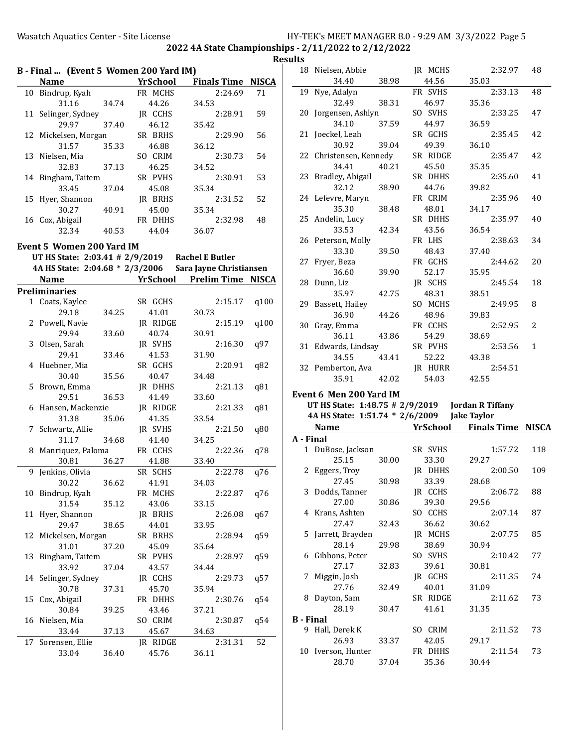|    | B - Final  (Event 5 Women 200 Yard IM)<br><b>Name</b> |       | <b>YrSchool</b> | <b>Finals Time NISCA</b>                                                                                   |      |
|----|-------------------------------------------------------|-------|-----------------|------------------------------------------------------------------------------------------------------------|------|
|    |                                                       |       |                 |                                                                                                            |      |
|    | 10 Bindrup, Kyah                                      |       | FR MCHS         | 2:24.69                                                                                                    | 71   |
|    | 31.16                                                 | 34.74 | 44.26           | 34.53                                                                                                      |      |
| 11 | Selinger, Sydney                                      |       | JR CCHS         | 2:28.91                                                                                                    | 59   |
|    | 29.97                                                 | 37.40 | 46.12           | 35.42                                                                                                      |      |
| 12 | Mickelsen, Morgan                                     |       | SR BRHS         | 2:29.90                                                                                                    | 56   |
|    | 31.57                                                 | 35.33 | 46.88           | 36.12                                                                                                      |      |
|    | 13 Nielsen, Mia                                       |       | SO CRIM         | 2:30.73                                                                                                    | 54   |
|    | 32.83                                                 | 37.13 | 46.25           | 34.52                                                                                                      |      |
|    | 14 Bingham, Taitem                                    |       | SR PVHS         | 2:30.91                                                                                                    | 53   |
|    | 33.45                                                 | 37.04 | 45.08           | 35.34                                                                                                      |      |
|    | 15 Hyer, Shannon                                      |       | JR BRHS         | 2:31.52                                                                                                    | 52   |
|    | 30.27                                                 | 40.91 | 45.00           | 35.34                                                                                                      |      |
|    | 16 Cox, Abigail                                       |       | FR DHHS         | 2:32.98                                                                                                    | 48   |
|    | 32.34                                                 | 40.53 | 44.04           | 36.07                                                                                                      |      |
|    | Event 5 Women 200 Yard IM                             |       |                 |                                                                                                            |      |
|    |                                                       |       |                 |                                                                                                            |      |
|    |                                                       |       |                 | UT HS State: 2:03.41 # 2/9/2019 Rachel E Butler<br>4A HS State: 2:04.68 * 2/3/2006 Sara Jayne Christiansen |      |
|    | <b>Name</b>                                           |       |                 | <b>YrSchool</b> Prelim Time NISCA                                                                          |      |
|    | <b>Preliminaries</b>                                  |       |                 |                                                                                                            |      |
|    | 1 Coats, Kaylee                                       |       | SR GCHS         | 2:15.17                                                                                                    | q100 |
|    | 29.18                                                 | 34.25 | 41.01           | 30.73                                                                                                      |      |
|    | 2 Powell, Navie                                       |       | JR RIDGE        | 2:15.19                                                                                                    | q100 |
|    | 29.94                                                 | 33.60 | 40.74           | 30.91                                                                                                      |      |
|    | 3 Olsen, Sarah                                        |       | IR SVHS         | 2:16.30                                                                                                    | q97  |
|    | 29.41                                                 | 33.46 | 41.53           | 31.90                                                                                                      |      |
|    | 4 Huebner, Mia                                        |       | SR GCHS         | 2:20.91                                                                                                    | q82  |
|    | 30.40                                                 | 35.56 | 40.47           | 34.48                                                                                                      |      |
|    | 5 Brown, Emma                                         |       | JR DHHS         | 2:21.13                                                                                                    | q81  |
|    | 29.51                                                 | 36.53 | 41.49           | 33.60                                                                                                      |      |
| 6  | Hansen, Mackenzie                                     |       | JR RIDGE        | 2:21.33                                                                                                    | q81  |
|    | 31.38                                                 | 35.06 | 41.35           | 33.54                                                                                                      |      |
|    | 7 Schwartz, Allie                                     |       | JR SVHS         | 2:21.50                                                                                                    | q80  |
|    | 31.17                                                 | 34.68 | 41.40           | 34.25                                                                                                      |      |
| 8  | Manriquez, Paloma                                     |       | FR CCHS         | 2:22.36                                                                                                    | q78  |
|    | 30.81                                                 | 36.27 | 41.88           | 33.40                                                                                                      |      |
|    | 9 Jenkins, Olivia                                     |       | SR SCHS         | 2:22.78                                                                                                    | q76  |
|    | 30.22                                                 | 36.62 | 41.91           | 34.03                                                                                                      |      |
| 10 | Bindrup, Kyah                                         |       | FR MCHS         | 2:22.87                                                                                                    | q76  |
|    | 31.54                                                 | 35.12 | 43.06           | 33.15                                                                                                      |      |
| 11 | Hyer, Shannon                                         |       | JR BRHS         | 2:26.08                                                                                                    | q67  |
|    | 29.47                                                 | 38.65 | 44.01           | 33.95                                                                                                      |      |
| 12 | Mickelsen, Morgan                                     |       | SR BRHS         | 2:28.94                                                                                                    | q59  |
|    | 31.01                                                 | 37.20 | 45.09           | 35.64                                                                                                      |      |
| 13 | Bingham, Taitem                                       |       | SR PVHS         | 2:28.97                                                                                                    | q59  |
|    | 33.92                                                 | 37.04 | 43.57           | 34.44                                                                                                      |      |
|    | 14 Selinger, Sydney                                   |       | JR CCHS         | 2:29.73                                                                                                    |      |
|    | 30.78                                                 | 37.31 | 45.70           | 35.94                                                                                                      | q57  |
| 15 | Cox, Abigail                                          |       | FR DHHS         | 2:30.76                                                                                                    | q54  |
|    | 30.84                                                 | 39.25 | 43.46           | 37.21                                                                                                      |      |
|    |                                                       |       |                 |                                                                                                            |      |
| 16 | Nielsen, Mia                                          |       | SO CRIM         | 2:30.87                                                                                                    | q54  |
|    | 33.44                                                 | 37.13 | 45.67           | 34.63                                                                                                      | 52   |
| 17 | Sorensen, Ellie                                       |       | JR RIDGE        | 2:31.31                                                                                                    |      |
|    | 33.04                                                 | 36.40 | 45.76           | 36.11                                                                                                      |      |
|    |                                                       |       |                 |                                                                                                            |      |

| Results          |                                             |       |                  |                                   |              |
|------------------|---------------------------------------------|-------|------------------|-----------------------------------|--------------|
|                  | 18 Nielsen, Abbie<br>34.40                  | 38.98 | JR MCHS<br>44.56 | 2:32.97<br>35.03                  | 48           |
|                  | 19 Nye, Adalyn                              |       | FR SVHS          | 2:33.13                           | 48           |
|                  | 32.49                                       | 38.31 | 46.97            | 35.36                             |              |
|                  | 20 Jorgensen, Ashlyn                        |       | SO SVHS          | 2:33.25                           | 47           |
|                  | 34.10                                       | 37.59 | 44.97            | 36.59                             |              |
|                  | 21 Joeckel, Leah                            |       | SR GCHS          | 2:35.45                           | 42           |
|                  | 30.92                                       | 39.04 | 49.39            | 36.10                             |              |
|                  | 22 Christensen, Kennedy                     |       | SR RIDGE         | 2:35.47                           | 42           |
|                  | 34.41                                       | 40.21 | 45.50            | 35.35                             |              |
|                  | 23 Bradley, Abigail                         |       | SR DHHS          | 2:35.60                           | 41           |
|                  | 32.12                                       | 38.90 | 44.76            | 39.82                             |              |
|                  | 24 Lefevre, Maryn                           |       | FR CRIM          | 2:35.96                           | 40           |
|                  | 35.30                                       | 38.48 | 48.01            | 34.17                             |              |
|                  | 25 Andelin, Lucy                            |       | SR DHHS          | 2:35.97                           | 40           |
|                  | 33.53                                       | 42.34 | 43.56            | 36.54                             |              |
|                  | 26 Peterson, Molly                          |       | FR LHS           | 2:38.63                           | 34           |
|                  | 33.30                                       | 39.50 | 48.43            | 37.40                             |              |
|                  | 27 Fryer, Beza                              |       | FR GCHS          | 2:44.62                           | 20           |
|                  | 36.60                                       | 39.90 | 52.17            | 35.95                             |              |
|                  | 28 Dunn, Liz                                |       | JR SCHS          | 2:45.54                           | 18           |
|                  | 35.97                                       | 42.75 | 48.31            | 38.51                             |              |
|                  | 29 Bassett, Hailey                          |       | SO MCHS          | 2:49.95                           | 8            |
|                  | 36.90                                       | 44.26 | 48.96            | 39.83                             |              |
|                  | 30 Gray, Emma                               |       | FR CCHS          | 2:52.95                           | 2            |
|                  | 36.11                                       | 43.86 | 54.29            | 38.69                             |              |
|                  |                                             |       | SR PVHS          | 2:53.56                           | $\mathbf{1}$ |
|                  |                                             |       |                  |                                   |              |
|                  | 31 Edwards, Lindsay                         |       |                  |                                   |              |
|                  | 34.55                                       | 43.41 | 52.22            | 43.38                             |              |
|                  | 32 Pemberton, Ava                           | 42.02 | JR HURR          | 2:54.51<br>42.55                  |              |
|                  | 35.91                                       |       | 54.03            |                                   |              |
|                  | Event 6 Men 200 Yard IM                     |       |                  |                                   |              |
|                  |                                             |       |                  |                                   |              |
|                  | 4A HS State: 1:51.74 * 2/6/2009 Jake Taylor |       |                  |                                   |              |
|                  | Name                                        |       |                  | <b>YrSchool</b> Finals Time NISCA |              |
| A - Final        |                                             |       |                  |                                   |              |
|                  | 1 DuBose, Jackson                           |       | SR SVHS          | 1:57.72                           | 118          |
|                  | 25.15                                       | 30.00 | 33.30            | 29.27                             |              |
|                  | 2 Eggers, Troy                              |       | JR DHHS          | 2:00.50                           | 109          |
|                  | 27.45                                       | 30.98 | 33.39            | 28.68                             |              |
|                  | 3 Dodds, Tanner                             |       | JR CCHS          | 2:06.72                           | 88           |
|                  | 27.00                                       | 30.86 | 39.30            | 29.56                             |              |
|                  | 4 Krans, Ashten                             |       | SO CCHS          | 2:07.14                           | 87           |
|                  | 27.47                                       | 32.43 | 36.62            | 30.62                             |              |
|                  | 5 Jarrett, Brayden                          |       | JR MCHS          | 2:07.75                           | 85           |
|                  | 28.14                                       | 29.98 | 38.69            | 30.94                             |              |
|                  | 6 Gibbons, Peter                            |       | SO SVHS          | 2:10.42                           | 77           |
|                  | 27.17                                       | 32.83 | 39.61            | 30.81                             |              |
|                  | 7 Miggin, Josh                              |       | JR GCHS          | 2:11.35                           | 74           |
|                  | 27.76                                       | 32.49 | 40.01            | 31.09                             |              |
|                  | 8 Dayton, Sam                               |       | SR RIDGE         | 2:11.62                           | 73           |
|                  | 28.19                                       | 30.47 | 41.61            | 31.35                             |              |
| <b>B</b> - Final |                                             |       |                  |                                   |              |
|                  | 9 Hall, Derek K                             |       | SO CRIM          | 2:11.52                           | 73           |
|                  | 26.93                                       | 33.37 | 42.05            | 29.17                             |              |
|                  | 10 Iverson, Hunter                          |       | FR DHHS          | 2:11.54                           | 73           |
|                  | 28.70                                       | 37.04 | 35.36            | 30.44                             |              |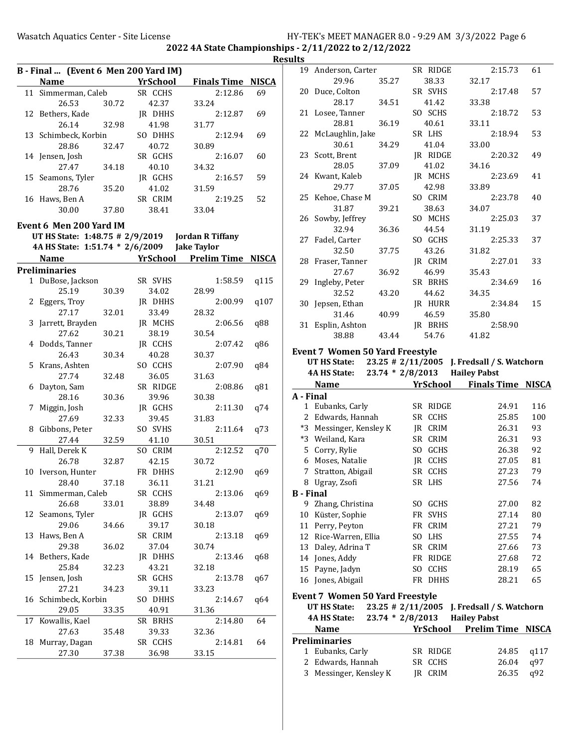|    |                                                      |       |          |                            |      | <b>Results</b> |
|----|------------------------------------------------------|-------|----------|----------------------------|------|----------------|
|    | B - Final  (Event 6 Men 200 Yard IM)                 |       |          |                            |      | 1 <sup>′</sup> |
|    | Name                                                 |       | YrSchool | <b>Finals Time NISCA</b>   |      |                |
|    | 11 Simmerman, Caleb                                  |       | SR CCHS  | 2:12.86                    | 69   | $\overline{2}$ |
|    | 26.53 30.72                                          |       | 42.37    | 33.24                      |      |                |
|    | 12 Bethers, Kade                                     |       | JR DHHS  | 2:12.87                    | 69   | 2 <sup>1</sup> |
|    | 26.14                                                | 32.98 | 41.98    | 31.77                      |      |                |
|    | 13 Schimbeck, Korbin                                 |       | SO DHHS  | 2:12.94                    | 69   | 2:             |
|    | 28.86                                                | 32.47 | 40.72    | 30.89                      |      |                |
|    | 14 Jensen, Josh                                      |       | SR GCHS  | 2:16.07                    | 60   | 2:             |
|    | 27.47                                                | 34.18 | 40.10    | 34.32                      |      |                |
|    | 15 Seamons, Tyler                                    |       | JR GCHS  | 2:16.57                    | 59   | 2 <sup>4</sup> |
|    | 28.76                                                | 35.20 | 41.02    | 31.59                      |      |                |
|    | 16 Haws, Ben A                                       |       | SR CRIM  | 2:19.25                    | 52   | 2!             |
|    | 30.00                                                | 37.80 | 38.41    | 33.04                      |      |                |
|    |                                                      |       |          |                            |      | 2 <sub>0</sub> |
|    | Event 6 Men 200 Yard IM                              |       |          |                            |      |                |
|    |                                                      |       |          |                            |      | $2^{\circ}$    |
|    | 4A HS State: 1:51.74 * 2/6/2009 Jake Taylor          |       |          |                            |      |                |
|    | <b>Name</b><br><u> 1980 - Jan Barbara III, martx</u> |       |          | YrSchool Prelim Time NISCA |      | 2 <sub>8</sub> |
|    | <b>Preliminaries</b>                                 |       |          |                            |      |                |
|    | 1 DuBose, Jackson                                    |       | SR SVHS  | 1:58.59                    | q115 | 2 <sup>0</sup> |
|    | 25.19                                                | 30.39 | 34.02    | 28.99                      |      |                |
|    | 2 Eggers, Troy                                       |       | JR DHHS  | 2:00.99                    | q107 | 3 <sub>0</sub> |
|    | 27.17                                                | 32.01 | 33.49    | 28.32                      |      |                |
|    | 3 Jarrett, Brayden                                   |       | JR MCHS  | 2:06.56                    | q88  | 3 <sup>2</sup> |
|    | 27.62                                                | 30.21 | 38.19    | 30.54                      |      |                |
|    | 4 Dodds, Tanner                                      |       | JR CCHS  | 2:07.42                    | q86  |                |
|    | 26.43                                                | 30.34 | 40.28    | 30.37                      |      | Eve            |
|    | 5 Krans, Ashten                                      |       | SO CCHS  | 2:07.90                    | q84  |                |
|    | 27.74                                                | 32.48 | 36.05    | 31.63                      |      |                |
|    | 6 Dayton, Sam                                        |       | SR RIDGE | 2:08.86                    | q81  |                |
|    | 28.16                                                | 30.36 | 39.96    | 30.38                      |      | $A -$          |
|    | 7 Miggin, Josh                                       |       | JR GCHS  | 2:11.30                    | q74  |                |
|    | 27.69                                                | 32.33 | 39.45    | 31.83                      |      |                |
|    | 8 Gibbons, Peter                                     |       | SO SVHS  | 2:11.64                    | q73  |                |
|    | 27.44                                                | 32.59 | 41.10    | 30.51                      |      |                |
|    | 9 Hall, Derek K                                      |       | SO CRIM  | 2:12.52                    | q70  |                |
|    | 26.78                                                | 32.87 | 42.15    | 30.72                      |      |                |
|    | 10 Iverson, Hunter                                   |       | FR DHHS  | 2:12.90                    | q69  |                |
|    | 28.40                                                | 37.18 | 36.11    | 31.21                      |      |                |
|    | 11 Simmerman, Caleb                                  |       | SR CCHS  | 2:13.06                    | q69  | <b>B</b> -     |
|    | 26.68                                                | 33.01 | 38.89    | 34.48                      |      |                |
|    | 12 Seamons, Tyler                                    |       | JR GCHS  | 2:13.07                    | q69  | 1              |
|    | 29.06                                                | 34.66 | 39.17    | 30.18                      |      | 1              |
| 13 | Haws, Ben A                                          |       | SR CRIM  | 2:13.18                    | q69  | 1              |
|    | 29.38                                                | 36.02 | 37.04    | 30.74                      |      | 1:             |
|    | 14 Bethers, Kade                                     |       | JR DHHS  | 2:13.46                    | q68  | 1,             |
|    | 25.84                                                | 32.23 | 43.21    | 32.18                      |      | 1!             |
| 15 | Jensen, Josh                                         |       | SR GCHS  | 2:13.78                    | q67  | 1              |
|    | 27.21                                                | 34.23 | 39.11    | 33.23                      |      |                |
|    | 16 Schimbeck, Korbin                                 |       | SO DHHS  | 2:14.67                    | q64  | Eve            |
|    | 29.05                                                | 33.35 | 40.91    | 31.36                      |      |                |
| 17 | Kowallis, Kael                                       |       | SR BRHS  | 2:14.80                    | 64   |                |
|    | 27.63                                                | 35.48 | 39.33    | 32.36                      |      |                |
|    | 18 Murray, Dagan                                     |       | SR CCHS  | 2:14.81                    | 64   | Pre            |
|    | 27.30                                                | 37.38 | 36.98    | 33.15                      |      |                |
|    |                                                      |       |          |                            |      |                |

| սււა             |                                                                  |                    |     |                 |                                   |            |  |  |  |
|------------------|------------------------------------------------------------------|--------------------|-----|-----------------|-----------------------------------|------------|--|--|--|
|                  | 19 Anderson, Carter                                              |                    |     | SR RIDGE        | 2:15.73                           | 61         |  |  |  |
|                  | 29.96                                                            | 35.27              |     | 38.33           | 32.17                             |            |  |  |  |
| 20               | Duce, Colton                                                     |                    |     | SR SVHS         | 2:17.48                           | 57         |  |  |  |
|                  | 28.17                                                            | 34.51              |     | 41.42           | 33.38                             |            |  |  |  |
| 21               | Losee, Tanner                                                    |                    |     | SO SCHS         | 2:18.72                           | 53         |  |  |  |
|                  | 28.81                                                            | 36.19              |     | 40.61           | 33.11                             |            |  |  |  |
| 22               | McLaughlin, Jake                                                 |                    |     | SR LHS          | 2:18.94                           | 53         |  |  |  |
|                  | 30.61                                                            | 34.29              |     | 41.04           | 33.00                             |            |  |  |  |
|                  | 23 Scott, Brent                                                  |                    |     | JR RIDGE        | 2:20.32                           | 49         |  |  |  |
|                  | 28.05                                                            | 37.09              |     | 41.02           | 34.16                             |            |  |  |  |
|                  | 24 Kwant, Kaleb                                                  |                    |     | JR MCHS         | 2:23.69                           | 41         |  |  |  |
|                  | 29.77                                                            | 37.05              |     | 42.98           | 33.89                             |            |  |  |  |
|                  | 25 Kehoe, Chase M                                                |                    |     | SO CRIM         | 2:23.78                           | 40         |  |  |  |
|                  | 31.87                                                            | 39.21              |     | 38.63           | 34.07                             |            |  |  |  |
|                  | 26 Sowby, Jeffrey                                                |                    |     | SO MCHS         | 2:25.03                           | 37         |  |  |  |
|                  | 32.94                                                            | 36.36              |     | 44.54           | 31.19                             |            |  |  |  |
| 27               | Fadel, Carter                                                    |                    |     | SO GCHS         | 2:25.33                           | 37         |  |  |  |
|                  | 32.50                                                            | 37.75              |     | 43.26           | 31.82                             |            |  |  |  |
| 28               | Fraser, Tanner                                                   |                    |     | JR CRIM         | 2:27.01                           | 33         |  |  |  |
|                  | 27.67                                                            | 36.92              |     | 46.99           | 35.43                             |            |  |  |  |
| 29               | Ingleby, Peter                                                   |                    |     | SR BRHS         | 2:34.69                           | 16         |  |  |  |
|                  | 32.52                                                            | 43.20              |     | 44.62           | 34.35                             |            |  |  |  |
| 30               | Jepsen, Ethan                                                    |                    |     | JR HURR         | 2:34.84                           | 15         |  |  |  |
|                  | 31.46                                                            | 40.99              |     | 46.59           | 35.80                             |            |  |  |  |
| 31               | Esplin, Ashton                                                   |                    |     | JR BRHS         | 2:58.90                           |            |  |  |  |
|                  | 38.88                                                            | 43.44              |     | 54.76           | 41.82                             |            |  |  |  |
|                  |                                                                  |                    |     |                 |                                   |            |  |  |  |
|                  | <b>Event 7 Women 50 Yard Freestyle</b>                           |                    |     |                 |                                   |            |  |  |  |
|                  | $23.25$ # 2/11/2005<br>UT HS State:<br>J. Fredsall / S. Watchorn |                    |     |                 |                                   |            |  |  |  |
|                  |                                                                  |                    |     |                 |                                   |            |  |  |  |
|                  | <b>4A HS State:</b>                                              | $23.74 * 2/8/2013$ |     |                 | <b>Hailey Pabst</b>               |            |  |  |  |
|                  | Name                                                             |                    |     |                 | <b>YrSchool</b> Finals Time NISCA |            |  |  |  |
| A - Final        |                                                                  |                    |     |                 |                                   |            |  |  |  |
|                  | 1 Eubanks, Carly                                                 |                    |     | SR RIDGE        | 24.91                             | 116        |  |  |  |
|                  | 2 Edwards, Hannah                                                |                    |     | SR CCHS         | 25.85                             | 100        |  |  |  |
|                  | *3 Messinger, Kensley K                                          |                    |     | JR CRIM         | 26.31                             | 93         |  |  |  |
|                  | *3 Weiland, Kara                                                 |                    |     | SR CRIM         | 26.31                             | 93         |  |  |  |
|                  | 5 Corry, Rylie                                                   |                    |     | SO GCHS         | 26.38                             | 92         |  |  |  |
|                  | 6 Moses, Natalie                                                 |                    |     | JR CCHS         | 27.05                             | 81         |  |  |  |
|                  | 7 Stratton, Abigail                                              |                    |     | SR CCHS         | 27.23                             | 79         |  |  |  |
|                  | 8 Ugray, Zsofi                                                   |                    |     | SR LHS          | 27.56                             | 74         |  |  |  |
| <b>B</b> - Final |                                                                  |                    |     |                 |                                   |            |  |  |  |
|                  | 9 Zhang, Christina                                               |                    |     | SO GCHS         | 27.00                             | 82         |  |  |  |
|                  | 10 Küster, Sophie                                                |                    | FR  | <b>SVHS</b>     | 27.14                             | 80         |  |  |  |
|                  | 11 Perry, Peyton                                                 |                    |     | FR CRIM         | 27.21                             | 79         |  |  |  |
|                  | 12 Rice-Warren, Ellia                                            |                    |     | SO LHS          | 27.55                             | 74         |  |  |  |
|                  | 13 Daley, Adrina T                                               |                    |     | SR CRIM         | 27.66                             | 73         |  |  |  |
|                  | 14 Jones, Addy                                                   |                    |     | FR RIDGE        | 27.68                             | 72         |  |  |  |
| 15               | Payne, Jadyn                                                     |                    | SO. | <b>CCHS</b>     | 28.19                             | 65         |  |  |  |
| 16               | Jones, Abigail                                                   |                    | FR  | DHHS            | 28.21                             | 65         |  |  |  |
|                  |                                                                  |                    |     |                 |                                   |            |  |  |  |
|                  | <b>Event 7 Women 50 Yard Freestyle</b>                           |                    |     |                 |                                   |            |  |  |  |
|                  | UT HS State:                                                     | 23.25 # 2/11/2005  |     |                 | J. Fredsall / S. Watchorn         |            |  |  |  |
|                  | 4A HS State:                                                     | 23.74 * 2/8/2013   |     |                 | <b>Hailey Pabst</b>               |            |  |  |  |
|                  | Name                                                             |                    |     | <b>YrSchool</b> | <b>Prelim Time NISCA</b>          |            |  |  |  |
|                  | <b>Preliminaries</b>                                             |                    |     |                 |                                   |            |  |  |  |
|                  | 1 Eubanks, Carly                                                 |                    |     | SR RIDGE        | 24.85                             | q117       |  |  |  |
| 2<br>3           | Edwards, Hannah<br>Messinger, Kensley K                          |                    | SR  | CCHS<br>JR CRIM | 26.04<br>26.35                    | q97<br>q92 |  |  |  |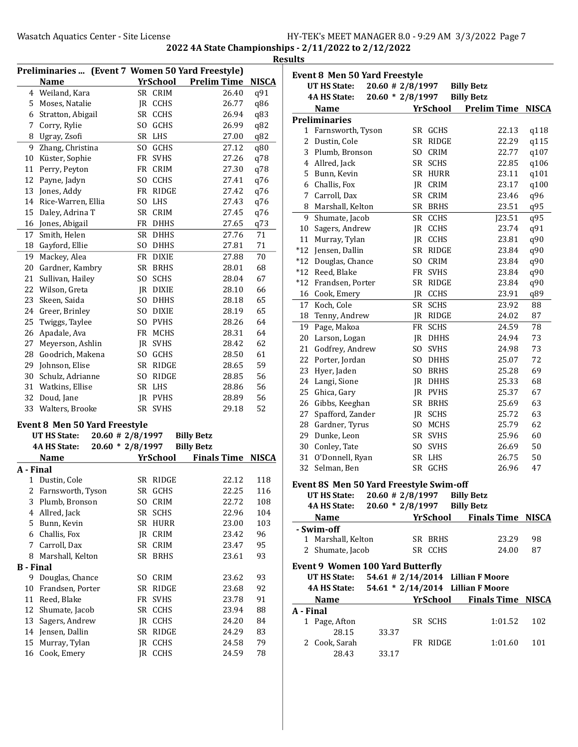|           | Preliminaries  (Event 7 Women 50 Yard Freestyle) |                |              |                    |              |
|-----------|--------------------------------------------------|----------------|--------------|--------------------|--------------|
|           | <b>Name</b>                                      |                | YrSchool     | <b>Prelim Time</b> | <b>NISCA</b> |
| 4         | Weiland, Kara                                    |                | SR CRIM      | 26.40              | q91          |
| 5         | Moses, Natalie                                   | JR             | CCHS         | 26.77              | q86          |
| 6         | Stratton, Abigail                                | <b>SR</b>      | <b>CCHS</b>  | 26.94              | q83          |
| 7         | Corry, Rylie                                     | S <sub>O</sub> | GCHS         | 26.99              | q82          |
| 8         | Ugray, Zsofi                                     |                | SR LHS       | 27.00              | q82          |
| 9         | Zhang, Christina                                 |                | SO GCHS      | 27.12              | q80          |
| 10        | Küster, Sophie                                   | FR             | <b>SVHS</b>  | 27.26              | q78          |
| 11        | Perry, Peyton                                    | FR             | <b>CRIM</b>  | 27.30              | q78          |
| 12        | Payne, Jadyn                                     |                | SO CCHS      | 27.41              | q76          |
| 13        | Jones, Addy                                      | FR             | <b>RIDGE</b> | 27.42              | q76          |
| 14        | Rice-Warren, Ellia                               | SO.            | LHS          | 27.43              | q76          |
| 15        | Daley, Adrina T                                  |                | SR CRIM      | 27.45              | q76          |
| 16        | Jones, Abigail                                   |                | FR DHHS      | 27.65              | q73          |
| 17        | Smith, Helen                                     |                | SR DHHS      | 27.76              | 71           |
| 18        | Gayford, Ellie                                   | S <sub>O</sub> | <b>DHHS</b>  | 27.81              | 71           |
| 19        | Mackey, Alea                                     |                | FR DIXIE     | 27.88              | 70           |
| 20        | Gardner, Kambry                                  | <b>SR</b>      | <b>BRHS</b>  | 28.01              | 68           |
| 21        | Sullivan, Hailey                                 | S <sub>O</sub> | <b>SCHS</b>  | 28.04              | 67           |
| 22        | Wilson, Greta                                    | JR             | <b>DIXIE</b> | 28.10              | 66           |
| 23        | Skeen, Saida                                     | SO.            | <b>DHHS</b>  | 28.18              | 65           |
| 24        | Greer, Brinley                                   |                | SO DIXIE     | 28.19              | 65           |
| 25        | Twiggs, Taylee                                   |                | SO PVHS      | 28.26              | 64           |
| 26        | Apadale, Ava                                     |                | FR MCHS      | 28.31              | 64           |
| 27        | Meyerson, Ashlin                                 | IR             | <b>SVHS</b>  | 28.42              | 62           |
| 28        | Goodrich, Makena                                 | SO.            | GCHS         | 28.50              | 61           |
| 29        | Johnson, Elise                                   | SR             | RIDGE        | 28.65              | 59           |
| 30        | Schulz, Adrianne                                 | S <sub>O</sub> | <b>RIDGE</b> | 28.85              | 56           |
| 31        | Watkins, Ellise                                  | <b>SR</b>      | <b>LHS</b>   | 28.86              | 56           |
| 32        | Doud, Jane                                       | JR             | <b>PVHS</b>  | 28.89              | 56           |
| 33        | Walters, Brooke                                  | <b>SR</b>      | <b>SVHS</b>  | 29.18              | 52           |
|           | Event 8 Men 50 Yard Freestyle                    |                |              |                    |              |
|           | $20.60$ # 2/8/1997<br><b>UT HS State:</b>        |                |              | <b>Billy Betz</b>  |              |
|           | $20.60 * 2/8/1997$<br>4A HS State:               |                |              | <b>Billy Betz</b>  |              |
|           | <b>Name</b>                                      |                | YrSchool     | <b>Finals Time</b> | <b>NISCA</b> |
| A - Final |                                                  |                |              |                    |              |
| 1         | Dustin, Cole                                     |                | SR RIDGE     | 22.12              | 118          |
| 2         | Farnsworth, Tyson                                | SR             | GCHS         | 22.25              | 116          |
| 3         | Plumb, Bronson                                   | S <sub>O</sub> | CRIM         | 22.72              | 108          |
| 4         | Allred, Jack                                     | SR             | <b>SCHS</b>  | 22.96              | 104          |
| 5         | Bunn, Kevin                                      | SR             | <b>HURR</b>  | 23.00              | 103          |
| 6         | Challis, Fox                                     | JR             | CRIM         | 23.42              | 96           |
| 7         | Carroll, Dax                                     | SR             | CRIM         | 23.47              | 95           |
| 8         | Marshall, Kelton                                 | SR             | <b>BRHS</b>  | 23.61              | 93           |
| B - Final |                                                  |                |              |                    |              |
| 9         | Douglas, Chance                                  | SO.            | CRIM         | 23.62              | 93           |
| 10        | Frandsen, Porter                                 | SR             | RIDGE        | 23.68              | 92           |
| 11        | Reed, Blake                                      | FR             | <b>SVHS</b>  | 23.78              | 91           |
| 12        | Shumate, Jacob                                   | SR             | <b>CCHS</b>  | 23.94              | 88           |
| 13        | Sagers, Andrew                                   | JR             | <b>CCHS</b>  | 24.20              | 84           |
| 14        | Jensen, Dallin                                   | SR             | RIDGE        | 24.29              | 83           |
| 15        | Murray, Tylan                                    | JR             | <b>CCHS</b>  | 24.58              | 79           |
| 16        | Cook, Emery                                      | JR             | CCHS         | 24.59              | 78           |

|             | <b>Event 8 Men 50 Yard Freestyle</b>    |                             |      |                 |                   |                                   |              |
|-------------|-----------------------------------------|-----------------------------|------|-----------------|-------------------|-----------------------------------|--------------|
|             | <b>UT HS State:</b>                     | $20.60$ # 2/8/1997          |      |                 | <b>Billy Betz</b> |                                   |              |
|             | 4A HS State:                            | $20.60 * 2/8/1997$          |      |                 | <b>Billy Betz</b> |                                   |              |
|             | Name                                    |                             |      | <b>YrSchool</b> |                   | <b>Prelim Time</b>                | <b>NISCA</b> |
|             | <b>Preliminaries</b>                    |                             |      |                 |                   |                                   |              |
|             | 1 Farnsworth, Tyson                     |                             |      | SR GCHS         |                   | 22.13                             | q118         |
| 2           | Dustin, Cole                            |                             | SR   | RIDGE           |                   | 22.29                             | q115         |
|             | 3 Plumb, Bronson                        |                             | SO.  | <b>CRIM</b>     |                   | 22.77                             | q107         |
|             | 4 Allred, Jack                          |                             |      | SR SCHS         |                   | 22.85                             | q106         |
|             | 5 Bunn, Kevin                           |                             |      | SR HURR         |                   | 23.11                             | q101         |
|             | 6 Challis, Fox                          |                             |      | IR CRIM         |                   | 23.17                             | q100         |
| $7^{\circ}$ | Carroll, Dax                            |                             |      | SR CRIM         |                   | 23.46                             | q96          |
|             | 8 Marshall, Kelton                      |                             |      | SR BRHS         |                   | 23.51                             | q95          |
| 9           | Shumate, Jacob                          |                             |      | SR CCHS         |                   | J23.51                            | q95          |
| 10          | Sagers, Andrew                          |                             |      | <b>JR CCHS</b>  |                   | 23.74                             | q91          |
| 11          | Murray, Tylan                           |                             |      | JR CCHS         |                   | 23.81                             | q90          |
|             | *12 Jensen, Dallin                      |                             |      | SR RIDGE        |                   | 23.84                             | q90          |
| $*12$       | Douglas, Chance                         |                             | SO.  | <b>CRIM</b>     |                   | 23.84                             | q90          |
|             | *12 Reed, Blake                         |                             |      | FR SVHS         |                   | 23.84                             | q90          |
| $*12$       | Frandsen, Porter                        |                             | SR   | RIDGE           |                   | 23.84                             | q90          |
| 16          | Cook, Emery                             |                             | JR.  | <b>CCHS</b>     |                   | 23.91                             | q89          |
| 17          | Koch, Cole                              |                             | SR   | <b>SCHS</b>     |                   | 23.92                             | 88           |
| 18          | Tenny, Andrew                           |                             | JR.  | <b>RIDGE</b>    |                   | 24.02                             | 87           |
| 19          | Page, Makoa                             |                             | FR   | <b>SCHS</b>     |                   | 24.59                             | 78           |
| 20          | Larson, Logan                           |                             | IR   | DHHS            |                   | 24.94                             | 73           |
| 21          | Godfrey, Andrew                         |                             | SO.  | <b>SVHS</b>     |                   | 24.98                             | 73           |
|             | 22 Porter, Jordan                       |                             |      | SO DHHS         |                   | 25.07                             | 72           |
| 23          | Hyer, Jaden                             |                             |      | SO BRHS         |                   | 25.28                             | 69           |
|             | 24 Langi, Sione                         |                             |      | <b>IR DHHS</b>  |                   | 25.33                             | 68           |
|             | 25 Ghica, Gary                          |                             |      | JR PVHS         |                   | 25.37                             | 67           |
| 26          | Gibbs, Keeghan                          |                             |      | SR BRHS         |                   | 25.69                             | 63           |
| 27          | Spafford, Zander                        |                             |      | JR SCHS         |                   | 25.72                             | 63           |
| 28          | Gardner, Tyrus                          |                             | SO - | MCHS            |                   | 25.79                             | 62           |
| 29          | Dunke, Leon                             |                             |      | SR SVHS         |                   | 25.96                             | 60           |
| 30          | Conley, Tate                            |                             | SO.  | <b>SVHS</b>     |                   | 26.69                             | 50           |
| 31          | O'Donnell, Ryan                         |                             | SR   | LHS             |                   | 26.75                             | 50           |
| 32          | Selman, Ben                             |                             |      | SR GCHS         |                   | 26.96                             | 47           |
|             |                                         |                             |      |                 |                   |                                   |              |
|             | Event 8S Men 50 Yard Freestyle Swim-off |                             |      |                 |                   |                                   |              |
|             | <b>UT HS State:</b>                     | 20.60 # 2/8/1997 Billy Betz |      |                 |                   |                                   |              |
|             | <b>4A HS State:</b>                     | $20.60 * 2/8/1997$          |      |                 | <b>Billy Betz</b> |                                   |              |
|             | <b>Name</b>                             |                             |      |                 |                   | <b>YrSchool Finals Time NISCA</b> |              |
|             | - Swim-off                              |                             |      |                 |                   |                                   |              |
|             | 1 Marshall, Kelton                      |                             |      | SR BRHS         |                   | 23.29                             | 98           |
|             | 2 Shumate, Jacob                        |                             |      | SR CCHS         |                   | 24.00                             | 87           |
|             | <b>Event 9 Women 100 Yard Butterfly</b> |                             |      |                 |                   |                                   |              |
|             | UT HS State:                            |                             |      |                 |                   | 54.61 # 2/14/2014 Lillian F Moore |              |
|             | 4A HS State:                            |                             |      |                 |                   | 54.61 * 2/14/2014 Lillian F Moore |              |
|             | <b>Name</b>                             |                             |      | YrSchool        |                   | <b>Finals Time NISCA</b>          |              |
| A - Final   |                                         |                             |      |                 |                   |                                   |              |
|             | 1 Page, Afton                           |                             |      | SR SCHS         |                   | 1:01.52                           | 102          |
|             | 28.15                                   | 33.37                       |      |                 |                   |                                   |              |
|             | 2 Cook, Sarah                           |                             |      | FR RIDGE        |                   | 1:01.60                           | 101          |
|             | 28.43                                   | 33.17                       |      |                 |                   |                                   |              |
|             |                                         |                             |      |                 |                   |                                   |              |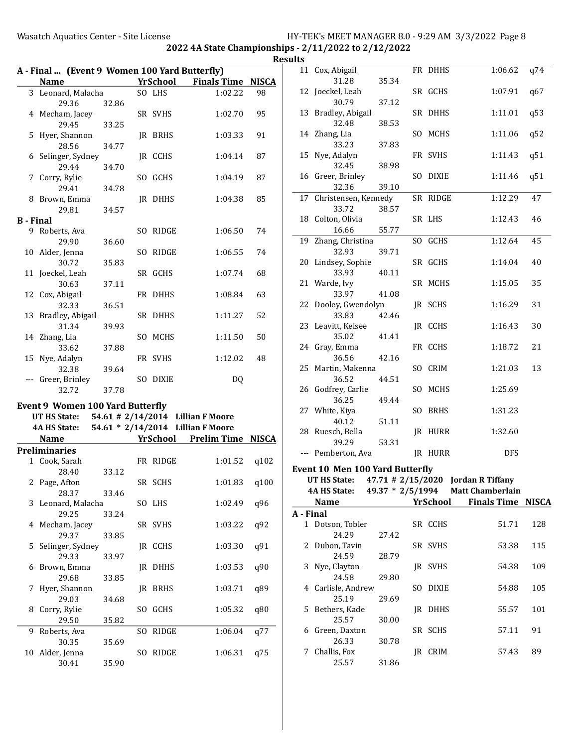|                  | A - Final  (Event 9 Women 100 Yard Butterfly)<br><b>Name</b> |       |     | <b>YrSchool</b> | <b>Finals Time</b>                | <b>NISCA</b> |
|------------------|--------------------------------------------------------------|-------|-----|-----------------|-----------------------------------|--------------|
|                  |                                                              |       |     |                 |                                   |              |
|                  | 3 Leonard, Malacha                                           |       |     | SO LHS          | 1:02.22                           | 98           |
|                  | 29.36                                                        | 32.86 |     |                 |                                   |              |
|                  | 4 Mecham, Jacey                                              |       |     | SR SVHS         | 1:02.70                           | 95           |
|                  | 29.45                                                        | 33.25 |     |                 |                                   |              |
| 5                | Hyer, Shannon                                                |       |     | JR BRHS         | 1:03.33                           | 91           |
|                  | 28.56                                                        | 34.77 |     |                 |                                   |              |
|                  | 6 Selinger, Sydney                                           |       |     | JR CCHS         | 1:04.14                           | 87           |
|                  | 29.44                                                        | 34.70 |     |                 |                                   |              |
| 7                | Corry, Rylie                                                 |       | SO. | GCHS            | 1:04.19                           | 87           |
|                  | 29.41                                                        | 34.78 |     |                 |                                   |              |
|                  | 8 Brown, Emma                                                |       |     | JR DHHS         | 1:04.38                           | 85           |
|                  | 29.81                                                        | 34.57 |     |                 |                                   |              |
| <b>B</b> - Final |                                                              |       |     |                 |                                   |              |
|                  | 9 Roberts, Ava                                               |       |     | SO RIDGE        | 1:06.50                           | 74           |
|                  | 29.90                                                        | 36.60 |     |                 |                                   |              |
| 10               | Alder, Jenna                                                 |       | SO. | RIDGE           | 1:06.55                           | 74           |
|                  | 30.72                                                        | 35.83 |     |                 |                                   |              |
|                  | 11 Joeckel, Leah                                             |       |     | SR GCHS         | 1:07.74                           | 68           |
|                  | 30.63                                                        | 37.11 |     |                 |                                   |              |
|                  | 12 Cox, Abigail                                              |       |     | FR DHHS         | 1:08.84                           | 63           |
|                  | 32.33                                                        | 36.51 |     |                 |                                   |              |
| 13               | Bradley, Abigail                                             |       |     | SR DHHS         | 1:11.27                           | 52           |
|                  | 31.34                                                        | 39.93 |     |                 |                                   |              |
| 14               | Zhang, Lia                                                   |       | SO. | MCHS            | 1:11.50                           | 50           |
|                  | 33.62                                                        | 37.88 |     |                 |                                   |              |
| 15               | Nye, Adalyn                                                  |       |     | FR SVHS         | 1:12.02                           | 48           |
|                  | 32.38<br>--- Greer, Brinley                                  | 39.64 |     | SO DIXIE        | DQ                                |              |
|                  | 32.72                                                        | 37.78 |     |                 |                                   |              |
|                  |                                                              |       |     |                 |                                   |              |
|                  | <b>Event 9 Women 100 Yard Butterfly</b>                      |       |     |                 |                                   |              |
|                  | UT HS State:                                                 |       |     |                 | 54.61 # 2/14/2014 Lillian F Moore |              |
|                  | 4A HS State:                                                 |       |     |                 | 54.61 * 2/14/2014 Lillian F Moore |              |
|                  | <b>Name</b>                                                  |       |     | <b>YrSchool</b> | <b>Prelim Time</b>                | <b>NISCA</b> |
|                  | <b>Preliminaries</b>                                         |       |     |                 |                                   |              |
|                  | 1 Cook, Sarah                                                |       |     | FR RIDGE        | 1:01.52                           | q102         |
|                  | 28.40                                                        | 33.12 |     |                 |                                   |              |
| 2                | Page, Afton                                                  |       |     | SR SCHS         | 1:01.83                           | q100         |
|                  | 28.37                                                        | 33.46 |     |                 |                                   |              |
| 3                | Leonard, Malacha                                             |       |     | SO LHS          | 1:02.49                           | q96          |
|                  | 29.25                                                        | 33.24 |     |                 |                                   |              |
| 4                | Mecham, Jacey                                                |       |     | SR SVHS         | 1:03.22                           | q92          |
|                  | 29.37                                                        | 33.85 |     |                 |                                   |              |
| 5                | Selinger, Sydney                                             |       |     | JR CCHS         | 1:03.30                           | q91          |
|                  | 29.33                                                        | 33.97 |     |                 |                                   |              |
| 6                | Brown, Emma<br>29.68                                         |       |     | JR DHHS         | 1:03.53                           | q90          |
|                  |                                                              | 33.85 |     |                 |                                   |              |
| 7                | Hyer, Shannon<br>29.03                                       | 34.68 | JR  | <b>BRHS</b>     | 1:03.71                           | q89          |
| 8                | Corry, Rylie                                                 |       | SO  | GCHS            | 1:05.32                           | q80          |
|                  | 29.50                                                        | 35.82 |     |                 |                                   |              |
| 9                | Roberts, Ava                                                 |       | SO. | RIDGE           | 1:06.04                           | q77          |
|                  | 30.35                                                        | 35.69 |     |                 |                                   |              |
| 10               | Alder, Jenna                                                 |       | SO. | RIDGE           | 1:06.31                           | q75          |
|                  | 30.41                                                        | 35.90 |     |                 |                                   |              |

| ults      |                                        |       |     |          |                                                 |              |
|-----------|----------------------------------------|-------|-----|----------|-------------------------------------------------|--------------|
|           | 11 Cox, Abigail                        |       |     | FR DHHS  | 1:06.62                                         | q74          |
|           | 31.28<br>12 Joeckel, Leah              | 35.34 |     | SR GCHS  | 1:07.91                                         | q67          |
|           | 30.79                                  | 37.12 |     |          |                                                 |              |
| 13        | Bradley, Abigail                       |       |     | SR DHHS  | 1:11.01                                         | q53          |
|           | 32.48<br>14 Zhang, Lia                 | 38.53 |     | SO MCHS  | 1:11.06                                         | q52          |
|           | 33.23                                  | 37.83 |     |          |                                                 |              |
|           | 15 Nye, Adalyn                         |       |     | FR SVHS  | 1:11.43                                         | q51          |
|           | 32.45                                  | 38.98 |     |          |                                                 |              |
|           | 16 Greer, Brinley<br>32.36             | 39.10 |     | SO DIXIE | 1:11.46                                         | q51          |
|           | 17 Christensen, Kennedy                |       |     | SR RIDGE | 1:12.29                                         | 47           |
|           | 33.72                                  | 38.57 |     |          |                                                 |              |
|           | 18 Colton, Olivia                      |       |     | SR LHS   | 1:12.43                                         | 46           |
|           | 16.66                                  | 55.77 |     |          |                                                 |              |
|           | 19 Zhang, Christina                    |       |     | SO GCHS  | 1:12.64                                         | 45           |
|           | 32.93                                  | 39.71 |     |          |                                                 |              |
|           | 20 Lindsey, Sophie                     |       |     | SR GCHS  | 1:14.04                                         | 40           |
|           | 33.93                                  | 40.11 |     |          |                                                 |              |
|           | 21 Warde, Ivy                          |       |     | SR MCHS  | 1:15.05                                         | 35           |
| 22        | 33.97<br>Dooley, Gwendolyn             | 41.08 |     | JR SCHS  | 1:16.29                                         | 31           |
|           | 33.83                                  | 42.46 |     |          |                                                 |              |
|           | 23 Leavitt, Kelsee                     |       |     | JR CCHS  | 1:16.43                                         | 30           |
|           | 35.02                                  | 41.41 |     |          |                                                 |              |
|           | 24 Gray, Emma                          |       |     | FR CCHS  | 1:18.72                                         | 21           |
|           | 36.56                                  | 42.16 |     | SO CRIM  |                                                 | 13           |
|           | 25 Martin, Makenna<br>36.52            | 44.51 |     |          | 1:21.03                                         |              |
|           | 26 Godfrey, Carlie                     |       |     | SO MCHS  | 1:25.69                                         |              |
|           | 36.25                                  | 49.44 |     |          |                                                 |              |
|           | 27 White, Kiya                         |       |     | SO BRHS  | 1:31.23                                         |              |
|           | 40.12                                  | 51.11 |     |          |                                                 |              |
|           | 28 Ruesch, Bella                       |       |     | JR HURR  | 1:32.60                                         |              |
|           | 39.29<br>--- Pemberton, Ava            | 53.31 |     | JR HURR  | <b>DFS</b>                                      |              |
|           | <b>Event 10 Men 100 Yard Butterfly</b> |       |     |          |                                                 |              |
|           |                                        |       |     |          | UT HS State: 47.71 # 2/15/2020 Jordan R Tiffany |              |
|           | 4A HS State:                           |       |     |          | 49.37 * 2/5/1994 Matt Chamberlain               |              |
|           | Name                                   |       |     |          | <b>YrSchool</b> Finals Time                     | <b>NISCA</b> |
| A - Final |                                        |       |     |          |                                                 |              |
|           | 1 Dotson, Tobler                       |       |     | SR CCHS  | 51.71                                           | 128          |
|           | 24.29                                  | 27.42 |     |          |                                                 |              |
| 2         | Dubon, Tavin                           |       |     | SR SVHS  | 53.38                                           | 115          |
|           | 24.59                                  | 28.79 |     |          |                                                 |              |
| 3         | Nye, Clayton                           |       |     | JR SVHS  | 54.38                                           | 109          |
|           | 24.58                                  | 29.80 |     |          |                                                 |              |
|           | 4 Carlisle, Andrew<br>25.19            | 29.69 | SO. | DIXIE    | 54.88                                           | 105          |
| 5.        | Bethers, Kade                          |       |     | JR DHHS  | 55.57                                           | 101          |
|           | 25.57                                  | 30.00 |     |          |                                                 |              |
|           | 6 Green, Daxton                        |       |     | SR SCHS  | 57.11                                           | 91           |
|           | 26.33                                  | 30.78 |     |          |                                                 |              |
| 7         | Challis, Fox<br>25.57                  |       |     | JR CRIM  | 57.43                                           | 89           |
|           |                                        | 31.86 |     |          |                                                 |              |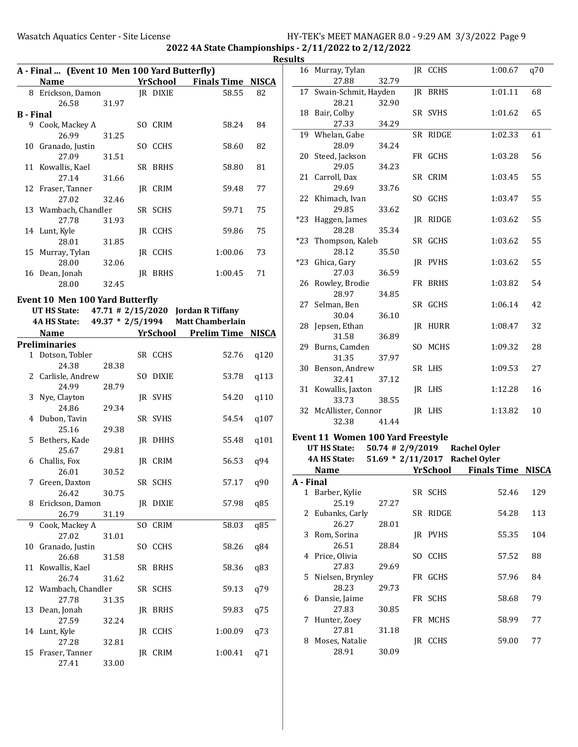|    | A - Final  (Event 10 Men 100 Yard Butterfly) |                  |     |                 |                                    |      |
|----|----------------------------------------------|------------------|-----|-----------------|------------------------------------|------|
|    | Name                                         |                  |     |                 | <b>YrSchool</b> Finals Time NISCA  |      |
|    | 8 Erickson, Damon                            |                  |     | JR DIXIE        | 58.55                              | 82   |
|    | 26.58                                        | 31.97            |     |                 |                                    |      |
|    | <b>B</b> - Final                             |                  |     |                 |                                    |      |
|    | 9 Cook, Mackey A                             |                  |     | SO CRIM         | 58.24                              | 84   |
|    | 26.99                                        | 31.25            |     |                 |                                    |      |
| 10 | Granado, Justin                              |                  |     | SO CCHS         | 58.60                              | 82   |
|    | 27.09                                        | 31.51            |     |                 |                                    |      |
|    | 11 Kowallis, Kael                            |                  |     | SR BRHS         | 58.80                              | 81   |
|    | 27.14                                        | 31.66            |     |                 |                                    |      |
|    | 12 Fraser, Tanner                            |                  |     | JR CRIM         | 59.48                              | 77   |
|    | 27.02                                        | 32.46            |     | SR SCHS         | 59.71                              | 75   |
|    | 13 Wambach, Chandler                         |                  |     |                 |                                    |      |
|    | 27.78                                        | 31.93            |     |                 | 59.86                              | 75   |
|    | 14 Lunt, Kyle<br>28.01                       | 31.85            |     | JR CCHS         |                                    |      |
|    | 15 Murray, Tylan                             |                  |     | IR CCHS         | 1:00.06                            | 73   |
|    | 28.00                                        | 32.06            |     |                 |                                    |      |
|    | 16 Dean, Jonah                               |                  |     | <b>IR BRHS</b>  | 1:00.45                            | 71   |
|    | 28.00                                        | 32.45            |     |                 |                                    |      |
|    |                                              |                  |     |                 |                                    |      |
|    | Event 10 Men 100 Yard Butterfly              |                  |     |                 |                                    |      |
|    | UT HS State:                                 |                  |     |                 | 47.71 # 2/15/2020 Jordan R Tiffany |      |
|    | <b>4A HS State:</b>                          | 49.37 * 2/5/1994 |     |                 | <b>Matt Chamberlain</b>            |      |
|    | <b>Name</b>                                  |                  |     | <b>YrSchool</b> | <b>Prelim Time NISCA</b>           |      |
|    | <b>Preliminaries</b>                         |                  |     |                 |                                    |      |
|    | 1 Dotson, Tobler                             |                  |     | SR CCHS         | 52.76                              | q120 |
|    | 24.38                                        | 28.38            |     |                 |                                    |      |
|    | 2 Carlisle, Andrew                           |                  | SO. | DIXIE           | 53.78                              | q113 |
|    | 24.99                                        | 28.79            |     |                 |                                    |      |
| 3  | Nye, Clayton                                 |                  |     | JR SVHS         | 54.20                              | q110 |
|    | 24.86                                        | 29.34            |     |                 |                                    |      |
| 4  | Dubon, Tavin                                 |                  |     | SR SVHS         | 54.54                              | q107 |
|    | 25.16                                        | 29.38            |     |                 |                                    |      |
|    | 5 Bethers, Kade                              |                  |     | JR DHHS         | 55.48                              | q101 |
|    | 25.67                                        | 29.81            |     |                 |                                    |      |
|    | 6 Challis, Fox                               |                  |     | IR CRIM         | 56.53                              | q94  |
|    | 26.01                                        | 30.52            |     |                 |                                    |      |
|    | 7 Green, Daxton                              |                  |     | SR SCHS         | 57.17 q90                          |      |
| 8  | 26.42<br>Erickson, Damon                     | 30.75            |     | JR DIXIE        | 57.98                              | q85  |
|    | 26.79                                        | 31.19            |     |                 |                                    |      |
| 9  | Cook, Mackey A                               |                  | SO. | CRIM            | 58.03                              | q85  |
|    | 27.02                                        | 31.01            |     |                 |                                    |      |
| 10 | Granado, Justin                              |                  |     | SO CCHS         | 58.26                              | q84  |
|    | 26.68                                        | 31.58            |     |                 |                                    |      |
| 11 | Kowallis, Kael                               |                  | SR  | BRHS            | 58.36                              | q83  |
|    | 26.74                                        | 31.62            |     |                 |                                    |      |
|    | 12 Wambach, Chandler                         |                  |     | SR SCHS         | 59.13                              | q79  |
|    | 27.78                                        | 31.35            |     |                 |                                    |      |
| 13 | Dean, Jonah                                  |                  |     | JR BRHS         | 59.83                              | q75  |
|    | 27.59                                        | 32.24            |     |                 |                                    |      |
|    | 14 Lunt, Kyle                                |                  |     | JR CCHS         | 1:00.09                            | q73  |
|    | 27.28                                        | 32.81            |     |                 |                                    |      |

15 Fraser, Tanner JR CRIM 1:00.41 q71

27.41 33.00

|  | 16 Murray, Tylan        |       | <b>JR CCHS</b> | 1:00.67 | q70 |
|--|-------------------------|-------|----------------|---------|-----|
|  | 27.88                   | 32.79 |                |         |     |
|  | 17 Swain-Schmit, Hayden |       | JR BRHS        | 1:01.11 | 68  |
|  | 28.21                   | 32.90 |                |         |     |
|  | 18 Bair, Colby          |       | SR SVHS        | 1:01.62 | 65  |
|  | 27.33                   | 34.29 |                |         |     |
|  | 19 Whelan, Gabe         |       | SR RIDGE       | 1:02.33 | 61  |
|  | 28.09                   | 34.24 |                |         |     |
|  | 20 Steed, Jackson       |       | FR GCHS        | 1:03.28 | 56  |
|  | 29.05                   | 34.23 |                |         |     |
|  | 21 Carroll, Dax         |       | SR CRIM        | 1:03.45 | 55  |
|  | 29.69                   | 33.76 |                |         |     |
|  | 22 Khimach, Ivan        |       | SO GCHS        | 1:03.47 | 55  |
|  | 29.85                   | 33.62 |                |         |     |
|  | *23 Haggen, James       |       | IR RIDGE       | 1:03.62 | 55  |
|  | 28.28                   | 35.34 |                |         |     |
|  | *23 Thompson, Kaleb     |       | SR GCHS        | 1:03.62 | 55  |
|  | 28.12                   | 35.50 |                |         |     |
|  | *23 Ghica, Gary         |       | IR PVHS        | 1:03.62 | 55  |
|  | 27.03                   | 36.59 |                |         |     |
|  | 26 Rowley, Brodie       |       | FR BRHS        | 1:03.82 | 54  |
|  | 28.97                   | 34.85 |                |         |     |
|  | 27 Selman, Ben          |       | SR GCHS        | 1:06.14 | 42  |
|  | 30.04                   | 36.10 |                |         |     |
|  | 28 Jepsen, Ethan        |       | JR HURR        | 1:08.47 | 32  |
|  | 31.58                   | 36.89 |                |         |     |
|  | 29 Burns, Camden        |       | SO MCHS        | 1:09.32 | 28  |
|  | 31.35                   | 37.97 |                |         |     |
|  | 30 Benson, Andrew       |       | SR LHS         | 1:09.53 | 27  |
|  | 32.41                   | 37.12 |                |         |     |
|  | 31 Kowallis, Jaxton     |       | JR LHS         | 1:12.28 | 16  |
|  | 33.73                   | 38.55 |                |         |     |
|  | 32 McAllister, Connor   |       | IR LHS         | 1:13.82 | 10  |
|  | 32.38                   | 41.44 |                |         |     |
|  |                         |       |                |         |     |

# Event 11 Women 100 Yard Freestyle

#### UT HS State: 50.74 # 2/9/2019 Rachel Oyler 4A HS State: 51.69 \* 2/11/2017 Rachel Oyler

|           | <b>Name</b>      |       |     | YrSchool    | <b>Finals Time NISCA</b> |     |
|-----------|------------------|-------|-----|-------------|--------------------------|-----|
| A - Final |                  |       |     |             |                          |     |
|           | 1 Barber, Kylie  |       |     | SR SCHS     | 52.46                    | 129 |
|           | 25.19            | 27.27 |     |             |                          |     |
|           | 2 Eubanks, Carly |       |     | SR RIDGE    | 54.28                    | 113 |
|           | 26.27            | 28.01 |     |             |                          |     |
| 3         | Rom, Sorina      |       | IR  | PVHS        | 55.35                    | 104 |
|           | 26.51            | 28.84 |     |             |                          |     |
| 4         | Price, Olivia    |       | SO. | <b>CCHS</b> | 57.52                    | 88  |
|           | 27.83            | 29.69 |     |             |                          |     |
| 5.        | Nielsen, Brynley |       | FR  | GCHS        | 57.96                    | 84  |
|           | 28.23            | 29.73 |     |             |                          |     |
| 6         | Dansie, Jaime    |       | FR  | <b>SCHS</b> | 58.68                    | 79  |
|           | 27.83            | 30.85 |     |             |                          |     |
| 7         | Hunter, Zoey     |       |     | FR MCHS     | 58.99                    | 77  |
|           | 27.81            | 31.18 |     |             |                          |     |
| 8         | Moses, Natalie   |       | IR  | <b>CCHS</b> | 59.00                    | 77  |
|           | 28.91            | 30.09 |     |             |                          |     |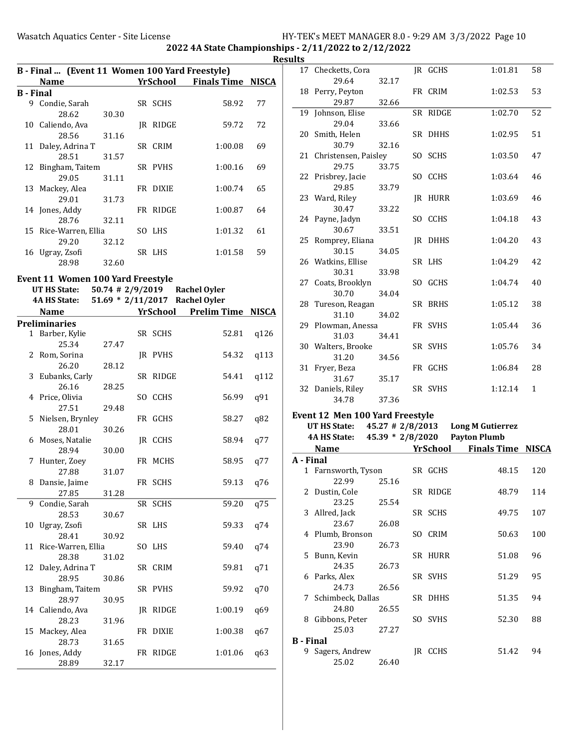2022 4A State Championships - 2/11/2022 to 2/12/2022

|                  |                                                |                    |    |          |                                   | <b>Resu</b> |
|------------------|------------------------------------------------|--------------------|----|----------|-----------------------------------|-------------|
|                  | B - Final  (Event 11 Women 100 Yard Freestyle) |                    |    |          | <b>YrSchool</b> Finals Time NISCA |             |
| <b>B</b> - Final | <b>Name</b>                                    |                    |    |          |                                   |             |
|                  | 9 Condie, Sarah                                |                    |    | SR SCHS  | 58.92                             | 77          |
|                  | 28.62                                          | 30.30              |    |          |                                   |             |
|                  | 10 Caliendo, Ava                               |                    |    | JR RIDGE | 59.72                             | 72          |
|                  | 28.56                                          |                    |    |          |                                   |             |
|                  | 11 Daley, Adrina T                             | 31.16              |    | SR CRIM  | 1:00.08                           | 69          |
|                  | 28.51                                          | 31.57              |    |          |                                   |             |
|                  | 12 Bingham, Taitem                             |                    |    | SR PVHS  | 1:00.16                           | 69          |
|                  | 29.05                                          |                    |    |          |                                   |             |
|                  |                                                | 31.11              |    |          |                                   |             |
|                  | 13 Mackey, Alea                                |                    |    | FR DIXIE | 1:00.74                           | 65          |
|                  | 29.01                                          | 31.73              |    |          |                                   |             |
|                  | 14 Jones, Addy<br>28.76                        | 32.11              |    | FR RIDGE | 1:00.87                           | 64          |
|                  | 15 Rice-Warren, Ellia                          |                    |    | SO LHS   |                                   | 61          |
|                  |                                                |                    |    |          | 1:01.32                           |             |
|                  | 29.20<br>16 Ugray, Zsofi                       | 32.12              |    | SR LHS   | 1:01.58                           | 59          |
|                  |                                                |                    |    |          |                                   |             |
|                  | 28.98                                          | 32.60              |    |          |                                   |             |
|                  | Event 11 Women 100 Yard Freestyle              |                    |    |          |                                   |             |
|                  | UT HS State:                                   | $50.74$ # 2/9/2019 |    |          | Rachel Oyler                      |             |
|                  | 4A HS State:                                   |                    |    |          | 51.69 * 2/11/2017 Rachel Oyler    |             |
|                  | <b>Name</b>                                    |                    |    |          | YrSchool Prelim Time NISCA        |             |
|                  | <b>Preliminaries</b>                           |                    |    |          |                                   |             |
|                  | 1 Barber, Kylie                                |                    |    | SR SCHS  | 52.81                             | q126        |
|                  | 25.34                                          | 27.47              |    |          |                                   |             |
|                  | 2 Rom, Sorina                                  |                    |    | JR PVHS  | 54.32                             | q113        |
|                  | 26.20                                          | 28.12              |    |          |                                   |             |
| 3                | Eubanks, Carly                                 |                    |    | SR RIDGE | 54.41                             | q112        |
|                  | 26.16                                          | 28.25              |    |          |                                   |             |
| 4                | Price, Olivia                                  |                    | SO | CCHS     | 56.99                             | q91         |
|                  | 27.51                                          | 29.48              |    |          |                                   |             |
| 5.               | Nielsen, Brynley                               |                    |    | FR GCHS  | 58.27                             | q82         |
|                  | 28.01                                          | 30.26              |    |          |                                   |             |
|                  | 6 Moses, Natalie                               |                    |    | JR CCHS  | 58.94                             | q77         |
|                  | 28.94                                          | 30.00              |    |          |                                   |             |
| 7                | Hunter, Zoey                                   |                    |    | FR MCHS  | 58.95                             | q77         |
|                  | 27.88                                          | 31.07              |    |          |                                   |             |
| 8                | Dansie, Jaime                                  |                    |    | FR SCHS  | 59.13                             | q76         |
|                  | 27.85                                          | 31.28              |    |          |                                   |             |
| 9                | Condie, Sarah                                  |                    |    | SR SCHS  | 59.20                             | q75         |
|                  | 28.53                                          | 30.67              |    |          |                                   |             |
|                  | 10 Ugray, Zsofi                                |                    |    | SR LHS   | 59.33                             | q74         |
|                  | 28.41                                          | 30.92              |    |          |                                   |             |
|                  |                                                |                    |    |          |                                   |             |

11 Rice-Warren, Ellia SOLHS 59.40 q74

12 Daley, Adrina T SR CRIM 59.81 q71

13 Bingham, Taitem SR PVHS 59.92 q70

14 Caliendo, Ava **JR RIDGE** 1:00.19 q69

15 Mackey, Alea **FR** DIXIE 1:00.38 q67

16 Jones, Addy **FR RIDGE** 1:01.06 q63

28.38 31.02

28.95 30.86

28.97 30.95

28.23 31.96

28.73 31.65

28.89 32.17

| ılts             |                                 |                      |     |                 |                         |              |
|------------------|---------------------------------|----------------------|-----|-----------------|-------------------------|--------------|
|                  | 17 Checketts, Cora<br>29.64     | 32.17                |     | JR GCHS         | 1:01.81                 | 58           |
| 18               | Perry, Peyton<br>29.87          | 32.66                |     | FR CRIM         | 1:02.53                 | 53           |
| 19               | Johnson, Elise                  |                      |     | SR RIDGE        | 1:02.70                 | 52           |
|                  | 29.04                           | 33.66                |     |                 |                         |              |
|                  | 20 Smith, Helen                 |                      |     | SR DHHS         | 1:02.95                 | 51           |
|                  | 30.79                           | 32.16                |     |                 |                         |              |
|                  | 21 Christensen, Paisley         |                      |     | SO SCHS         | 1:03.50                 | 47           |
|                  | 29.75                           | 33.75                |     |                 |                         |              |
|                  | 22 Prisbrey, Jacie              |                      | SO  | CCHS            | 1:03.64                 | 46           |
|                  | 29.85                           | 33.79                |     |                 |                         |              |
|                  | 23 Ward, Riley                  |                      |     | JR HURR         | 1:03.69                 | 46           |
|                  | 30.47                           | 33.22                |     |                 |                         |              |
|                  | 24 Payne, Jadyn                 |                      |     | SO CCHS         | 1:04.18                 | 43           |
|                  | 30.67                           | 33.51                |     |                 |                         |              |
| 25               | Romprey, Eliana                 |                      |     | JR DHHS         | 1:04.20                 | 43           |
|                  | 30.15                           | 34.05                |     |                 |                         |              |
|                  | 26 Watkins, Ellise              |                      |     | SR LHS          | 1:04.29                 | 42           |
|                  | 30.31                           | 33.98                |     |                 |                         |              |
|                  | 27 Coats, Brooklyn              |                      | SO. | GCHS            | 1:04.74                 | 40           |
|                  | 30.70                           | 34.04                |     |                 |                         |              |
| 28               | Tureson, Reagan                 |                      |     | SR BRHS         | 1:05.12                 | 38           |
|                  | 31.10                           | 34.02                |     |                 |                         |              |
|                  | 29 Plowman, Anessa              |                      |     | FR SVHS         | 1:05.44                 | 36           |
|                  | 31.03                           | 34.41                |     |                 |                         |              |
|                  | 30 Walters, Brooke              |                      |     | SR SVHS         | 1:05.76                 | 34           |
|                  | 31.20                           | 34.56                |     |                 |                         |              |
| 31               | Fryer, Beza                     |                      |     | FR GCHS         | 1:06.84                 | 28           |
|                  | 31.67                           | 35.17                |     |                 |                         |              |
|                  | 32 Daniels, Riley<br>34.78      | 37.36                |     | SR SVHS         | 1:12.14                 | $\mathbf{1}$ |
|                  |                                 |                      |     |                 |                         |              |
|                  | Event 12 Men 100 Yard Freestyle |                      |     |                 |                         |              |
|                  | UT HS State:                    | $45.27 \pm 2/8/2013$ |     |                 | <b>Long M Gutierrez</b> |              |
|                  | 4A HS State:                    | 45.39 * 2/8/2020     |     |                 | <b>Payton Plumb</b>     |              |
|                  | Name                            |                      |     | <b>YrSchool</b> | <b>Finals Time</b>      | <b>NISCA</b> |
| A - Final        |                                 |                      |     |                 |                         |              |
|                  | 1 Farnsworth, Tyson<br>22.99    | 25.16                |     | SR GCHS         | 48.15                   | 120          |
| 2                | Dustin, Cole<br>23.25           | 25.54                |     | SR RIDGE        | 48.79                   | 114          |
| 3                | Allred, Jack                    |                      |     | SR SCHS         | 49.75                   | 107          |
|                  | 23.67                           | 26.08                |     |                 |                         |              |
| 4                | Plumb, Bronson                  |                      | SO. | CRIM            | 50.63                   | 100          |
|                  | 23.90                           | 26.73                |     |                 |                         |              |
| 5                | Bunn, Kevin                     |                      |     | SR HURR         | 51.08                   | 96           |
|                  | 24.35                           | 26.73                |     |                 |                         |              |
| 6                | Parks, Alex                     |                      |     | SR SVHS         | 51.29                   | 95           |
|                  | 24.73                           | 26.56                |     |                 |                         |              |
| 7                | Schimbeck, Dallas               |                      |     | SR DHHS         | 51.35                   | 94           |
|                  | 24.80                           | 26.55                |     |                 |                         |              |
| 8                | Gibbons, Peter                  |                      |     | SO SVHS         | 52.30                   | 88           |
|                  | 25.03                           | 27.27                |     |                 |                         |              |
| <b>B</b> - Final |                                 |                      |     |                 |                         |              |
|                  | 9 Sagers, Andrew                |                      |     | JR CCHS         | 51.42                   | 94           |

25.02 26.40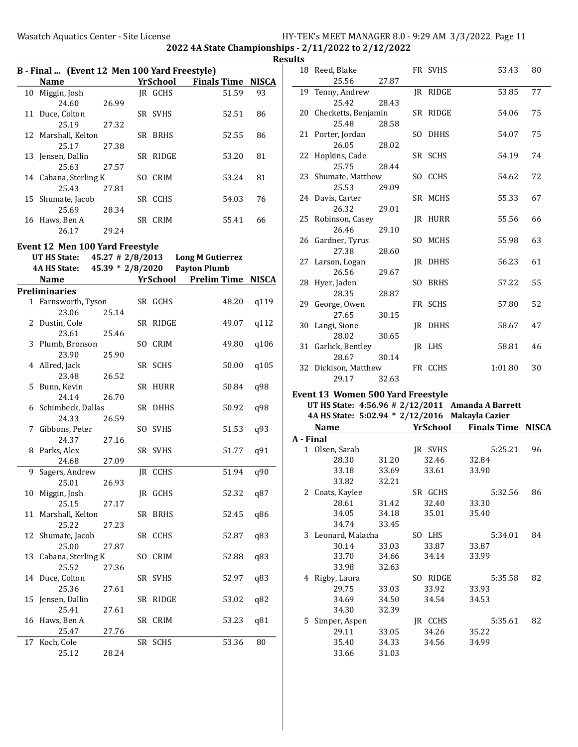| B - Final  (Event 12 Men 100 Yard Freestyle)       |       |                                           |          |                          |                      |              |  |  |
|----------------------------------------------------|-------|-------------------------------------------|----------|--------------------------|----------------------|--------------|--|--|
| <b>Name</b>                                        |       |                                           | YrSchool | <b>Finals Time NISCA</b> |                      |              |  |  |
| 10 Miggin, Josh                                    |       |                                           | IR GCHS  |                          | 51.59                | 93           |  |  |
| 24.60                                              | 26.99 |                                           |          |                          |                      |              |  |  |
| 11 Duce, Colton                                    |       |                                           | SR SVHS  |                          | 52.51                | 86           |  |  |
| 25.19                                              | 27.32 |                                           |          |                          |                      |              |  |  |
| 12 Marshall, Kelton                                |       |                                           | SR BRHS  |                          | 52.55                | 86           |  |  |
| 25.17 27.38                                        |       |                                           |          |                          |                      |              |  |  |
| 13 Jensen, Dallin                                  |       |                                           | SR RIDGE |                          | 53.20                | 81           |  |  |
| 25.63 27.57                                        |       |                                           |          |                          |                      |              |  |  |
| 14 Cabana, Sterling K                              |       |                                           | SO CRIM  |                          | 53.24                | 81           |  |  |
| 25.43                                              | 27.81 |                                           |          |                          |                      |              |  |  |
| 15 Shumate, Jacob                                  |       |                                           | SR CCHS  |                          | 54.03                | 76           |  |  |
| 25.69                                              | 28.34 |                                           |          |                          |                      |              |  |  |
| 16 Haws, Ben A                                     |       |                                           | SR CRIM  |                          | 55.41                | 66           |  |  |
| 26.17                                              | 29.24 |                                           |          |                          |                      |              |  |  |
| <b>Event 12 Men 100 Yard Freestyle</b>             |       |                                           |          |                          |                      |              |  |  |
| UT HS State: $45.27 \pm 2/8/2013$ Long M Gutierrez |       |                                           |          |                          |                      |              |  |  |
| 4A HS State: 45.39 * 2/8/2020 Payton Plumb         |       |                                           |          |                          |                      |              |  |  |
| <b>Name</b>                                        |       |                                           | YrSchool | <b>Prelim Time</b>       |                      | <b>NISCA</b> |  |  |
| Preliminaries                                      |       |                                           |          |                          |                      |              |  |  |
|                                                    |       | $\sim$ $\sim$ $\sim$ $\sim$ $\sim$ $\sim$ |          |                          | $\sim$ $\sim$ $\sim$ |              |  |  |

| <b>Preliminaries</b> |                                                                          |                                                                     |                                                                                                                                                                                           |       |
|----------------------|--------------------------------------------------------------------------|---------------------------------------------------------------------|-------------------------------------------------------------------------------------------------------------------------------------------------------------------------------------------|-------|
|                      |                                                                          |                                                                     | 48.20                                                                                                                                                                                     | q119  |
| 23.06                | 25.14                                                                    |                                                                     |                                                                                                                                                                                           |       |
| 2 Dustin, Cole       |                                                                          |                                                                     | 49.07                                                                                                                                                                                     | q112  |
| 23.61                | 25.46                                                                    |                                                                     |                                                                                                                                                                                           |       |
| Plumb, Bronson       |                                                                          |                                                                     | 49.80                                                                                                                                                                                     | q106  |
| 23.90                | 25.90                                                                    |                                                                     |                                                                                                                                                                                           |       |
| 4 Allred, Jack       |                                                                          |                                                                     | 50.00                                                                                                                                                                                     | q105  |
| 23.48                | 26.52                                                                    |                                                                     |                                                                                                                                                                                           |       |
| Bunn, Kevin          |                                                                          |                                                                     | 50.84                                                                                                                                                                                     | q98   |
| 24.14                | 26.70                                                                    |                                                                     |                                                                                                                                                                                           |       |
|                      |                                                                          |                                                                     | 50.92                                                                                                                                                                                     | q98   |
| 24.33                | 26.59                                                                    |                                                                     |                                                                                                                                                                                           |       |
| Gibbons, Peter       |                                                                          |                                                                     | 51.53                                                                                                                                                                                     | q93   |
| 24.37                | 27.16                                                                    |                                                                     |                                                                                                                                                                                           |       |
| Parks, Alex          |                                                                          |                                                                     | 51.77                                                                                                                                                                                     | q91   |
| 24.68                | 27.09                                                                    |                                                                     |                                                                                                                                                                                           |       |
|                      |                                                                          |                                                                     | 51.94                                                                                                                                                                                     | q90   |
| 25.01                | 26.93                                                                    |                                                                     |                                                                                                                                                                                           |       |
| Miggin, Josh         |                                                                          |                                                                     | 52.32                                                                                                                                                                                     | q87   |
| 25.15                | 27.17                                                                    |                                                                     |                                                                                                                                                                                           |       |
| 11 Marshall, Kelton  |                                                                          |                                                                     | 52.45                                                                                                                                                                                     | q86   |
| 25.22                | 27.23                                                                    |                                                                     |                                                                                                                                                                                           |       |
| 12 Shumate, Jacob    |                                                                          |                                                                     |                                                                                                                                                                                           | q83   |
| 25.00                | 27.87                                                                    |                                                                     |                                                                                                                                                                                           |       |
|                      |                                                                          |                                                                     | 52.88                                                                                                                                                                                     | q83   |
| 25.52                | 27.36                                                                    |                                                                     |                                                                                                                                                                                           |       |
|                      |                                                                          |                                                                     | 52.97                                                                                                                                                                                     | q83   |
| 25.36                | 27.61                                                                    |                                                                     |                                                                                                                                                                                           |       |
|                      |                                                                          |                                                                     | 53.02                                                                                                                                                                                     | q82   |
| 25.41                | 27.61                                                                    |                                                                     |                                                                                                                                                                                           |       |
|                      |                                                                          |                                                                     | 53.23                                                                                                                                                                                     | q81   |
| 25.47                | 27.76                                                                    |                                                                     |                                                                                                                                                                                           |       |
| Koch, Cole           |                                                                          |                                                                     | 53.36                                                                                                                                                                                     | 80    |
| 25.12                | 28.24                                                                    |                                                                     |                                                                                                                                                                                           |       |
|                      | Sagers, Andrew<br>14 Duce, Colton<br>15 Jensen, Dallin<br>16 Haws, Ben A | 1 Farnsworth, Tyson<br>6 Schimbeck, Dallas<br>13 Cabana, Sterling K | SR GCHS<br>SR RIDGE<br>SO CRIM<br>SR SCHS<br>SR HURR<br>SR DHHS<br>SO SVHS<br>SR SVHS<br>JR CCHS<br>JR GCHS<br>SR BRHS<br>SR CCHS<br>SO CRIM<br>SR SVHS<br>SR RIDGE<br>SR CRIM<br>SR SCHS | 52.87 |

|  | 18 Reed, Blake            |       | FR SVHS        | 53.43   | 80 |
|--|---------------------------|-------|----------------|---------|----|
|  | 25.56                     | 27.87 |                |         |    |
|  | 19 Tenny, Andrew          |       | IR RIDGE       | 53.85   | 77 |
|  | 25.42                     | 28.43 |                |         |    |
|  | 20 Checketts, Benjamin    |       | SR RIDGE       | 54.06   | 75 |
|  | 25.48                     | 28.58 |                |         |    |
|  | 21 Porter, Jordan         |       | SO DHHS        | 54.07   | 75 |
|  | 26.05                     | 28.02 |                |         |    |
|  | 22 Hopkins, Cade          |       | SR SCHS        | 54.19   | 74 |
|  | 25.75                     | 28.44 |                |         |    |
|  | 23 Shumate, Matthew       |       | SO CCHS        | 54.62   | 72 |
|  | 25.53                     | 29.09 |                |         |    |
|  | 24 Davis, Carter          |       | SR MCHS        | 55.33   | 67 |
|  | 26.32                     | 29.01 |                |         |    |
|  | 25 Robinson, Casey        |       | JR HURR        | 55.56   | 66 |
|  | 26.46                     | 29.10 |                |         |    |
|  | 26 Gardner, Tyrus         |       | SO MCHS        | 55.98   | 63 |
|  | 27.38                     | 28.60 | <b>IR DHHS</b> | 56.23   | 61 |
|  | 27 Larson, Logan<br>26.56 | 29.67 |                |         |    |
|  | 28 Hyer, Jaden            |       | SO BRHS        | 57.22   | 55 |
|  | 28.35                     | 28.87 |                |         |    |
|  | 29 George, Owen           |       | FR SCHS        | 57.80   | 52 |
|  | 27.65                     | 30.15 |                |         |    |
|  | 30 Langi, Sione           |       | IR DHHS        | 58.67   | 47 |
|  | 28.02                     | 30.65 |                |         |    |
|  | 31 Garlick, Bentley       |       | IR LHS         | 58.81   | 46 |
|  | 28.67                     | 30.14 |                |         |    |
|  | 32 Dickison, Matthew      |       | FR CCHS        | 1:01.80 | 30 |
|  | 29.17                     | 32.63 |                |         |    |
|  |                           |       |                |         |    |

# Event 13 Women 500 Yard Freestyle

UT HS State: 4:56.96 # 2/12/2011 Amanda A Barrett 4A HS State: 5:02.94 \* 2/12/2016 Makayla Cazier

|           | <b>Name</b>        |       | YrSchool            | <b>Finals Time</b> | <b>NISCA</b> |
|-----------|--------------------|-------|---------------------|--------------------|--------------|
| A - Final |                    |       |                     |                    |              |
| 1         | Olsen, Sarah       |       | JR SVHS             | 5:25.21            | 96           |
|           | 28.30              | 31.20 | 32.46               | 32.84              |              |
|           | 33.18              | 33.69 | 33.61               | 33.90              |              |
|           | 33.82              | 32.21 |                     |                    |              |
| 2         | Coats, Kaylee      |       | SR GCHS             | 5:32.56            | 86           |
|           | 28.61              | 31.42 | 32.40               | 33.30              |              |
|           | 34.05              | 34.18 | 35.01               | 35.40              |              |
|           | 34.74              | 33.45 |                     |                    |              |
|           | 3 Leonard, Malacha |       | SO LHS              | 5:34.01            | 84           |
|           | 30.14              | 33.03 | 33.87               | 33.87              |              |
|           | 33.70              | 34.66 | 34.14               | 33.99              |              |
|           | 33.98              | 32.63 |                     |                    |              |
| 4         | Rigby, Laura       |       | <b>RIDGE</b><br>SO. | 5:35.58            | 82           |
|           | 29.75              | 33.03 | 33.92               | 33.93              |              |
|           | 34.69              | 34.50 | 34.54               | 34.53              |              |
|           | 34.30              | 32.39 |                     |                    |              |
| 5.        | Simper, Aspen      |       | CCHS<br>IR          | 5:35.61            | 82           |
|           | 29.11              | 33.05 | 34.26               | 35.22              |              |
|           | 35.40              | 34.33 | 34.56               | 34.99              |              |
|           | 33.66              | 31.03 |                     |                    |              |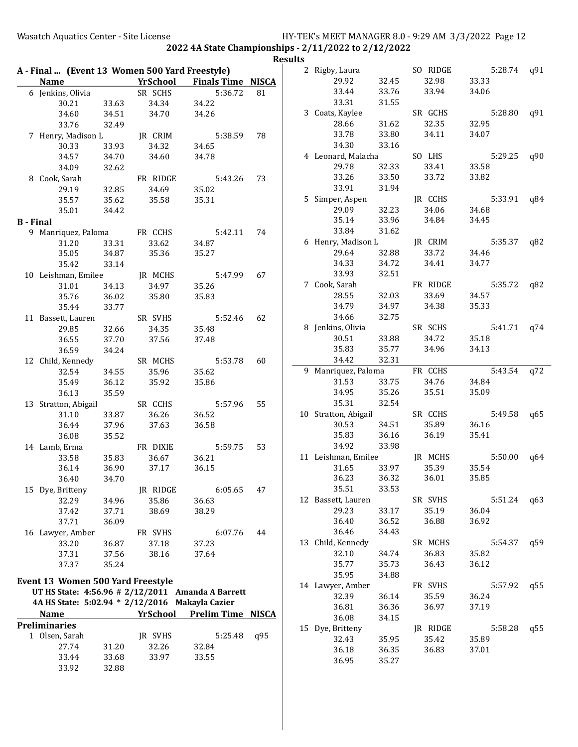|                  |                                                 |       |                 |                                                   |     | <b>Results</b> |                      |       |          |         |     |
|------------------|-------------------------------------------------|-------|-----------------|---------------------------------------------------|-----|----------------|----------------------|-------|----------|---------|-----|
|                  | A - Final  (Event 13 Women 500 Yard Freestyle)  |       |                 |                                                   |     |                | 2 Rigby, Laura       |       | SO RIDGE | 5:28.74 | q91 |
|                  | <b>Name</b>                                     |       | <b>YrSchool</b> | <b>Finals Time NISCA</b>                          |     |                | 29.92                | 32.45 | 32.98    | 33.33   |     |
|                  | 6 Jenkins, Olivia                               |       | SR SCHS         | 5:36.72                                           | 81  |                | 33.44                | 33.76 | 33.94    | 34.06   |     |
|                  | 30.21                                           | 33.63 | 34.34           | 34.22                                             |     |                | 33.31                | 31.55 |          |         |     |
|                  | 34.60                                           | 34.51 | 34.70           | 34.26                                             |     |                | 3 Coats, Kaylee      |       | SR GCHS  | 5:28.80 | q91 |
|                  | 33.76                                           | 32.49 |                 |                                                   |     |                | 28.66                | 31.62 | 32.35    | 32.95   |     |
|                  | 7 Henry, Madison L                              |       | JR CRIM         | 5:38.59                                           | 78  |                | 33.78                | 33.80 | 34.11    | 34.07   |     |
|                  | 30.33                                           | 33.93 | 34.32           | 34.65                                             |     |                | 34.30                | 33.16 |          |         |     |
|                  | 34.57                                           | 34.70 | 34.60           | 34.78                                             |     |                | 4 Leonard, Malacha   |       | SO LHS   | 5:29.25 | q90 |
|                  | 34.09                                           | 32.62 |                 |                                                   |     |                | 29.78                | 32.33 | 33.41    | 33.58   |     |
|                  | 8 Cook, Sarah                                   |       | FR RIDGE        | 5:43.26                                           | 73  |                | 33.26                | 33.50 | 33.72    | 33.82   |     |
|                  | 29.19                                           | 32.85 | 34.69           | 35.02                                             |     |                | 33.91                | 31.94 |          |         |     |
|                  | 35.57                                           | 35.62 | 35.58           | 35.31                                             |     |                | 5 Simper, Aspen      |       | JR CCHS  | 5:33.91 | q84 |
|                  | 35.01                                           | 34.42 |                 |                                                   |     |                | 29.09                | 32.23 | 34.06    | 34.68   |     |
| <b>B</b> - Final |                                                 |       |                 |                                                   |     |                | 35.14                | 33.96 | 34.84    | 34.45   |     |
|                  | 9 Manriquez, Paloma                             |       | FR CCHS         | 5:42.11                                           | 74  |                | 33.84                | 31.62 |          |         |     |
|                  | 31.20                                           | 33.31 | 33.62           | 34.87                                             |     |                | 6 Henry, Madison L   |       | JR CRIM  | 5:35.37 | q82 |
|                  | 35.05                                           | 34.87 | 35.36           | 35.27                                             |     |                | 29.64                | 32.88 | 33.72    | 34.46   |     |
|                  | 35.42                                           | 33.14 |                 |                                                   |     |                | 34.33                | 34.72 | 34.41    | 34.77   |     |
|                  | 10 Leishman, Emilee                             |       | JR MCHS         | 5:47.99                                           | 67  |                | 33.93                | 32.51 |          |         |     |
|                  | 31.01                                           | 34.13 | 34.97           | 35.26                                             |     |                | 7 Cook, Sarah        |       | FR RIDGE | 5:35.72 | q82 |
|                  | 35.76                                           | 36.02 | 35.80           | 35.83                                             |     |                | 28.55                | 32.03 | 33.69    | 34.57   |     |
|                  | 35.44                                           | 33.77 |                 |                                                   |     |                | 34.79                | 34.97 | 34.38    | 35.33   |     |
|                  | 11 Bassett, Lauren                              |       | SR SVHS         | 5:52.46                                           | 62  |                | 34.66                | 32.75 |          |         |     |
|                  | 29.85                                           | 32.66 | 34.35           | 35.48                                             |     |                | 8 Jenkins, Olivia    |       | SR SCHS  | 5:41.71 | q74 |
|                  | 36.55                                           | 37.70 | 37.56           | 37.48                                             |     |                | 30.51                | 33.88 | 34.72    | 35.18   |     |
|                  | 36.59                                           | 34.24 |                 |                                                   |     |                | 35.83                | 35.77 | 34.96    | 34.13   |     |
|                  | 12 Child, Kennedy                               |       | SR MCHS         | 5:53.78                                           | 60  |                | 34.42                | 32.31 |          |         |     |
|                  | 32.54                                           | 34.55 | 35.96           | 35.62                                             |     |                | 9 Manriquez, Paloma  |       | FR CCHS  | 5:43.54 | q72 |
|                  | 35.49                                           | 36.12 | 35.92           | 35.86                                             |     |                | 31.53                | 33.75 | 34.76    | 34.84   |     |
|                  | 36.13                                           | 35.59 |                 |                                                   |     |                | 34.95                | 35.26 | 35.51    | 35.09   |     |
|                  | 13 Stratton, Abigail                            |       | SR CCHS         | 5:57.96                                           | 55  |                | 35.31                | 32.54 |          |         |     |
|                  | 31.10                                           | 33.87 | 36.26           | 36.52                                             |     |                | 10 Stratton, Abigail |       | SR CCHS  | 5:49.58 | q65 |
|                  | 36.44                                           | 37.96 | 37.63           | 36.58                                             |     |                | 30.53                | 34.51 | 35.89    | 36.16   |     |
|                  | 36.08                                           | 35.52 |                 |                                                   |     |                | 35.83                | 36.16 | 36.19    | 35.41   |     |
|                  | 14 Lamb, Erma                                   |       | FR DIXIE        | 5:59.75                                           | 53  |                | 34.92                | 33.98 |          |         |     |
|                  | 33.58                                           | 35.83 | 36.67           | 36.21                                             |     |                | 11 Leishman, Emilee  |       | JR MCHS  | 5:50.00 | q64 |
|                  | 36.14                                           | 36.90 | 37.17           | 36.15                                             |     |                | 31.65                | 33.97 | 35.39    | 35.54   |     |
|                  | 36.40                                           | 34.70 |                 |                                                   |     |                | 36.23                | 36.32 | 36.01    | 35.85   |     |
|                  | 15 Dye, Britteny                                |       | JR RIDGE        | 6:05.65                                           | 47  |                | 35.51                | 33.53 |          |         |     |
|                  | 32.29                                           | 34.96 | 35.86           | 36.63                                             |     |                | 12 Bassett, Lauren   |       | SR SVHS  | 5:51.24 | q63 |
|                  | 37.42                                           | 37.71 | 38.69           | 38.29                                             |     |                | 29.23                | 33.17 | 35.19    | 36.04   |     |
|                  | 37.71                                           | 36.09 |                 |                                                   |     |                | 36.40                | 36.52 | 36.88    | 36.92   |     |
|                  | 16 Lawyer, Amber                                |       | FR SVHS         | 6:07.76                                           | 44  |                | 36.46                | 34.43 |          |         |     |
|                  | 33.20                                           | 36.87 | 37.18           | 37.23                                             |     |                | 13 Child, Kennedy    |       | SR MCHS  | 5:54.37 | q59 |
|                  | 37.31                                           | 37.56 | 38.16           | 37.64                                             |     |                | 32.10                | 34.74 | 36.83    | 35.82   |     |
|                  | 37.37                                           | 35.24 |                 |                                                   |     |                | 35.77                | 35.73 | 36.43    | 36.12   |     |
|                  | Event 13 Women 500 Yard Freestyle               |       |                 |                                                   |     |                | 35.95                | 34.88 |          |         |     |
|                  |                                                 |       |                 | UT HS State: 4:56.96 # 2/12/2011 Amanda A Barrett |     |                | 14 Lawyer, Amber     |       | FR SVHS  | 5:57.92 | q55 |
|                  | 4A HS State: 5:02.94 * 2/12/2016 Makayla Cazier |       |                 |                                                   |     |                | 32.39                | 36.14 | 35.59    | 36.24   |     |
|                  |                                                 |       |                 |                                                   |     |                | 36.81                | 36.36 | 36.97    | 37.19   |     |
|                  | <b>Name</b>                                     |       | YrSchool        | <b>Prelim Time NISCA</b>                          |     |                | 36.08                | 34.15 |          |         |     |
|                  | <b>Preliminaries</b>                            |       |                 |                                                   |     |                | 15 Dye, Britteny     |       | JR RIDGE | 5:58.28 | q55 |
|                  | 1 Olsen, Sarah                                  |       | JR SVHS         | 5:25.48                                           | q95 |                | 32.43                | 35.95 | 35.42    | 35.89   |     |
|                  | 27.74                                           | 31.20 | 32.26           | 32.84                                             |     |                | 36.18                | 36.35 | 36.83    | 37.01   |     |
|                  | 33.44                                           | 33.68 | 33.97           | 33.55                                             |     |                | 36.95                | 35.27 |          |         |     |
|                  | 33.92                                           | 32.88 |                 |                                                   |     |                |                      |       |          |         |     |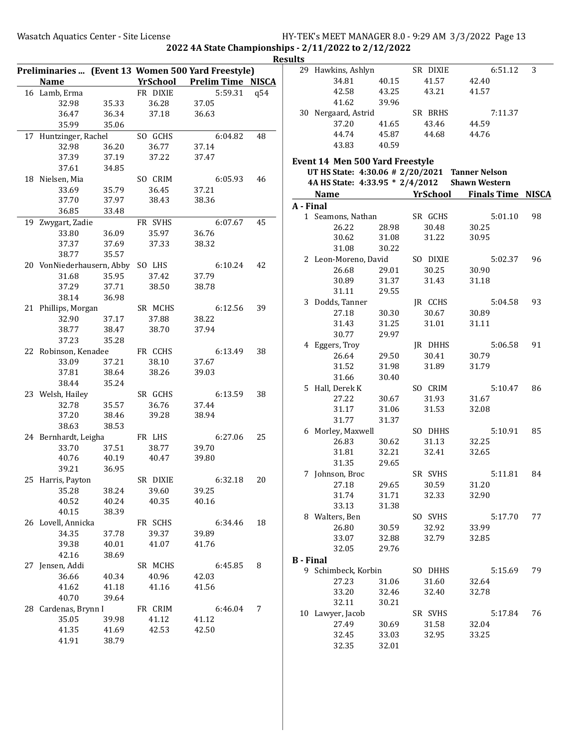|                                  |       |                | Preliminaries  (Event 13 Women 500 Yard Freestyle) |     |
|----------------------------------|-------|----------------|----------------------------------------------------|-----|
| <b>Name</b>                      |       |                | <b>Example 12 YrSchool Prelim Time NISCA</b>       |     |
| 16 Lamb, Erma                    |       | FR DIXIE       | 5:59.31                                            | q54 |
| 32.98                            | 35.33 | 36.28          | 37.05                                              |     |
| 36.47                            | 36.34 | 37.18          | 36.63                                              |     |
| 35.99                            | 35.06 |                |                                                    |     |
| 17 Huntzinger, Rachel            |       | SO GCHS        | 6:04.82                                            | 48  |
| 32.98                            | 36.20 | 36.77          | 37.14                                              |     |
| 37.39                            | 37.19 | 37.22          | 37.47                                              |     |
| 37.61                            | 34.85 |                |                                                    |     |
| 18 Nielsen, Mia                  |       | SO CRIM        | 6:05.93                                            | 46  |
| 33.69                            | 35.79 | 36.45          | 37.21                                              |     |
| 37.70                            | 37.97 | 38.43          | 38.36                                              |     |
| 36.85                            | 33.48 |                |                                                    |     |
| 19 Zwygart, Zadie                |       | FR SVHS        | 6:07.67                                            | 45  |
| 33.80                            | 36.09 | 35.97          | 36.76                                              |     |
| 37.37                            | 37.69 | 37.33          | 38.32                                              |     |
| 38.77                            | 35.57 |                |                                                    |     |
| 20 VonNiederhausern, Abby SO LHS |       |                | 6:10.24                                            | 42  |
| 31.68                            | 35.95 | 37.42          | 37.79                                              |     |
| 37.29                            | 37.71 | 38.50          | 38.78                                              |     |
| 38.14                            | 36.98 |                |                                                    |     |
| 21 Phillips, Morgan              |       | SR MCHS        | 6:12.56                                            | 39  |
| 32.90                            | 37.17 | 37.88          | 38.22                                              |     |
| 38.77                            | 38.47 | 38.70          | 37.94                                              |     |
| 37.23                            | 35.28 |                |                                                    |     |
|                                  |       |                |                                                    |     |
| 22 Robinson, Kenadee             |       | FR CCHS        | 6:13.49                                            | 38  |
| 33.09                            | 37.21 | 38.10          | 37.67                                              |     |
| 37.81                            | 38.64 | 38.26          | 39.03                                              |     |
| 38.44                            | 35.24 |                |                                                    |     |
| 23 Welsh, Hailey                 |       | SR GCHS        | 6:13.59                                            | 38  |
| 32.78<br>37.20                   | 35.57 | 36.76<br>39.28 | 37.44<br>38.94                                     |     |
|                                  | 38.46 |                |                                                    |     |
| 38.63                            | 38.53 |                |                                                    |     |
| 24 Bernhardt, Leigha             |       | FR LHS         | 6:27.06                                            | 25  |
| 33.70                            | 37.51 | 38.77          | 39.70                                              |     |
| 40.76                            | 40.19 | 40.47          | 39.80                                              |     |
| 39.21                            | 36.95 |                |                                                    |     |
| 25 Harris, Payton                |       | SR DIXIE       | 6:32.18                                            | 20  |
| 35.28                            | 38.24 | 39.60          | 39.25                                              |     |
| 40.52                            | 40.24 | 40.35          | 40.16                                              |     |
| 40.15                            | 38.39 |                |                                                    |     |
| 26 Lovell, Annicka               |       | FR SCHS        | 6:34.46                                            | 18  |
| 34.35                            | 37.78 | 39.37          | 39.89                                              |     |
| 39.38                            | 40.01 | 41.07          | 41.76                                              |     |
| 42.16                            | 38.69 |                |                                                    |     |
| 27 Jensen, Addi                  |       | SR MCHS        | 6:45.85                                            | 8   |
| 36.66                            | 40.34 | 40.96          | 42.03                                              |     |
| 41.62                            | 41.18 | 41.16          | 41.56                                              |     |
| 40.70                            | 39.64 |                |                                                    |     |
| 28 Cardenas, Brynn I             |       | FR CRIM        | 6:46.04                                            | 7   |
| 35.05                            | 39.98 | 41.12          | 41.12                                              |     |
| 41.35                            | 41.69 | 42.53          | 42.50                                              |     |
| 41.91                            | 38.79 |                |                                                    |     |
|                                  |       |                |                                                    |     |

| படல |    |                                                |       |          |                                 |    |
|-----|----|------------------------------------------------|-------|----------|---------------------------------|----|
|     |    | 29 Hawkins, Ashlyn                             |       | SR DIXIE | 6:51.12                         | 3  |
|     |    | 34.81                                          | 40.15 | 41.57    | 42.40                           |    |
|     |    | 42.58                                          | 43.25 | 43.21    | 41.57                           |    |
|     |    | 41.62                                          | 39.96 |          |                                 |    |
|     |    | 30 Nergaard, Astrid                            |       | SR BRHS  | 7:11.37                         |    |
|     |    | 37.20                                          | 41.65 | 43.46    | 44.59                           |    |
|     |    | 44.74                                          | 45.87 | 44.68    | 44.76                           |    |
|     |    |                                                | 40.59 |          |                                 |    |
|     |    | 43.83                                          |       |          |                                 |    |
|     |    | <b>Event 14 Men 500 Yard Freestyle</b>         |       |          |                                 |    |
|     |    | UT HS State: 4:30.06 # 2/20/2021 Tanner Nelson |       |          |                                 |    |
|     |    | 4A HS State: 4:33.95 * 2/4/2012 Shawn Western  |       |          |                                 |    |
|     |    | Name                                           |       |          | <b>School</b> Finals Time NISCA |    |
|     |    | A - Final                                      |       |          |                                 |    |
|     |    | 1 Seamons, Nathan                              |       | SR GCHS  | 5:01.10                         | 98 |
|     |    | 26.22                                          | 28.98 | 30.48    | 30.25                           |    |
|     |    |                                                |       |          |                                 |    |
|     |    | 30.62                                          | 31.08 | 31.22    | 30.95                           |    |
|     |    | 31.08                                          | 30.22 |          |                                 |    |
|     |    | 2 Leon-Moreno, David                           |       | SO DIXIE | 5:02.37                         | 96 |
|     |    | 26.68                                          | 29.01 | 30.25    | 30.90                           |    |
|     |    | 30.89                                          | 31.37 | 31.43    | 31.18                           |    |
|     |    | 31.11                                          | 29.55 |          |                                 |    |
|     |    | 3 Dodds, Tanner                                |       | JR CCHS  | 5:04.58                         | 93 |
|     |    | 27.18                                          | 30.30 | 30.67    | 30.89                           |    |
|     |    | 31.43                                          | 31.25 | 31.01    | 31.11                           |    |
|     |    | 30.77                                          | 29.97 |          |                                 |    |
|     |    | 4 Eggers, Troy                                 |       | JR DHHS  | 5:06.58                         | 91 |
|     |    | 26.64                                          | 29.50 | 30.41    | 30.79                           |    |
|     |    | 31.52                                          | 31.98 | 31.89    | 31.79                           |    |
|     |    | 31.66                                          | 30.40 |          |                                 |    |
|     |    | 5 Hall, Derek K                                |       | SO CRIM  | 5:10.47                         | 86 |
|     |    | 27.22                                          | 30.67 | 31.93    | 31.67                           |    |
|     |    | 31.17                                          | 31.06 | 31.53    | 32.08                           |    |
|     |    | 31.77                                          | 31.37 |          |                                 |    |
|     |    |                                                |       |          | 5:10.91                         | 85 |
|     |    | 6 Morley, Maxwell                              |       | SO DHHS  |                                 |    |
|     |    | 26.83                                          | 30.62 | 31.13    | 32.25                           |    |
|     |    | 31.81                                          | 32.21 | 32.41    | 32.65                           |    |
|     |    | 31.35                                          | 29.65 |          |                                 |    |
|     |    | 7 Johnson, Broc                                |       | SR SVHS  | 5:11.81                         | 84 |
|     |    | 27.18                                          | 29.65 | 30.59    | 31.20                           |    |
|     |    | 31.74                                          | 31.71 | 32.33    | 32.90                           |    |
|     |    | 33.13                                          | 31.38 |          |                                 |    |
|     |    | 8 Walters, Ben                                 |       | SO SVHS  | 5:17.70                         | 77 |
|     |    | 26.80                                          | 30.59 | 32.92    | 33.99                           |    |
|     |    | 33.07                                          | 32.88 | 32.79    | 32.85                           |    |
|     |    | 32.05                                          | 29.76 |          |                                 |    |
|     |    | <b>B</b> - Final                               |       |          |                                 |    |
|     |    | 9 Schimbeck, Korbin                            |       | SO DHHS  | 5:15.69                         | 79 |
|     |    | 27.23                                          | 31.06 | 31.60    | 32.64                           |    |
|     |    | 33.20                                          | 32.46 | 32.40    | 32.78                           |    |
|     |    | 32.11                                          | 30.21 |          |                                 |    |
|     | 10 | Lawyer, Jacob                                  |       | SR SVHS  | 5:17.84                         | 76 |
|     |    | 27.49                                          | 30.69 | 31.58    | 32.04                           |    |
|     |    | 32.45                                          | 33.03 | 32.95    | 33.25                           |    |
|     |    | 32.35                                          | 32.01 |          |                                 |    |
|     |    |                                                |       |          |                                 |    |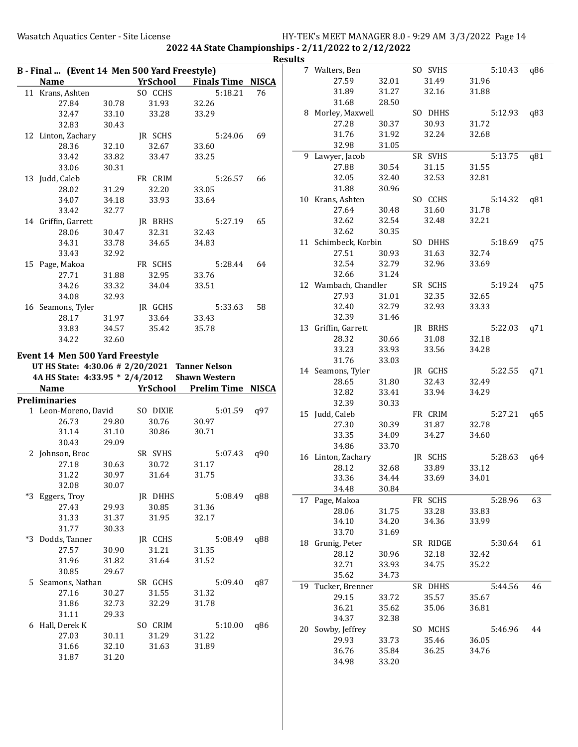|                                                |                |                 |                          |     | <b>Results</b> |                            |                |                  |                |     |
|------------------------------------------------|----------------|-----------------|--------------------------|-----|----------------|----------------------------|----------------|------------------|----------------|-----|
| B - Final  (Event 14 Men 500 Yard Freestyle)   |                |                 |                          |     |                | 7 Walters, Ben             |                | SO SVHS          | 5:10.43        | q86 |
| <b>Name</b>                                    |                | <b>YrSchool</b> | <b>Finals Time NISCA</b> |     |                | 27.59                      | 32.01          | 31.49            | 31.96          |     |
| 11 Krans, Ashten                               |                | SO CCHS         | 5:18.21                  | 76  |                | 31.89                      | 31.27          | 32.16            | 31.88          |     |
| 27.84                                          | 30.78          | 31.93           | 32.26                    |     |                | 31.68                      | 28.50          |                  |                |     |
| 32.47                                          | 33.10          | 33.28           | 33.29                    |     |                | 8 Morley, Maxwell          |                | SO DHHS          | 5:12.93        | q83 |
| 32.83                                          | 30.43          |                 |                          |     |                | 27.28                      | 30.37          | 30.93            | 31.72          |     |
| 12 Linton, Zachary                             |                | JR SCHS         | 5:24.06                  | 69  |                | 31.76                      | 31.92          | 32.24            | 32.68          |     |
| 28.36                                          | 32.10          | 32.67           | 33.60                    |     |                | 32.98                      | 31.05          |                  |                |     |
| 33.42                                          | 33.82          | 33.47           | 33.25                    |     |                | 9 Lawyer, Jacob            |                | SR SVHS          | 5:13.75        | q81 |
| 33.06                                          | 30.31          |                 |                          |     |                | 27.88                      | 30.54          | 31.15            | 31.55          |     |
| 13 Judd, Caleb                                 |                | FR CRIM         | 5:26.57                  | 66  |                | 32.05                      | 32.40          | 32.53            | 32.81          |     |
| 28.02                                          | 31.29          | 32.20           | 33.05                    |     |                | 31.88                      | 30.96          |                  |                |     |
| 34.07                                          | 34.18          | 33.93           | 33.64                    |     |                | 10 Krans, Ashten           |                | SO CCHS          | 5:14.32        | q81 |
| 33.42                                          | 32.77          |                 |                          |     |                | 27.64                      | 30.48          | 31.60            | 31.78          |     |
| 14 Griffin, Garrett                            |                | JR BRHS         | 5:27.19                  | 65  |                | 32.62                      | 32.54          | 32.48            | 32.21          |     |
| 28.06                                          | 30.47          | 32.31           | 32.43                    |     |                | 32.62                      | 30.35          |                  |                |     |
| 34.31                                          | 33.78          | 34.65           | 34.83                    |     |                | 11 Schimbeck, Korbin       |                | SO DHHS          | 5:18.69        | q75 |
| 33.43                                          | 32.92          |                 |                          |     |                | 27.51                      | 30.93          | 31.63            | 32.74          |     |
| 15 Page, Makoa                                 |                | FR SCHS         | 5:28.44                  | 64  |                | 32.54                      | 32.79          | 32.96            | 33.69          |     |
| 27.71                                          | 31.88          | 32.95           | 33.76                    |     |                | 32.66                      | 31.24          |                  |                |     |
| 34.26                                          | 33.32          | 34.04           | 33.51                    |     |                | 12 Wambach, Chandler       |                | SR SCHS          | 5:19.24        | q75 |
| 34.08                                          | 32.93          |                 |                          |     |                | 27.93                      | 31.01          | 32.35            | 32.65          |     |
| 16 Seamons, Tyler                              |                | JR GCHS         | 5:33.63                  | 58  |                | 32.40                      | 32.79          | 32.93            | 33.33          |     |
| 28.17                                          | 31.97          | 33.64           | 33.43                    |     |                | 32.39                      | 31.46          |                  |                |     |
| 33.83                                          | 34.57          | 35.42           | 35.78                    |     |                | 13 Griffin, Garrett        |                | JR BRHS          | 5:22.03        | q71 |
| 34.22                                          | 32.60          |                 |                          |     |                | 28.32                      | 30.66          | 31.08            | 32.18          |     |
|                                                |                |                 |                          |     |                | 33.23                      | 33.93          | 33.56            | 34.28          |     |
| <b>Event 14 Men 500 Yard Freestyle</b>         |                |                 |                          |     |                | 31.76                      |                |                  |                |     |
|                                                |                |                 |                          |     |                |                            |                |                  |                |     |
| UT HS State: 4:30.06 # 2/20/2021 Tanner Nelson |                |                 |                          |     |                |                            | 33.03          |                  | 5:22.55        |     |
| 4A HS State: 4:33.95 * 2/4/2012                |                |                 | <b>Shawn Western</b>     |     |                | 14 Seamons, Tyler<br>28.65 | 31.80          | JR GCHS<br>32.43 | 32.49          | q71 |
| <b>Name</b>                                    |                | YrSchool        | <b>Prelim Time NISCA</b> |     |                | 32.82                      | 33.41          | 33.94            | 34.29          |     |
| <b>Preliminaries</b>                           |                |                 |                          |     |                | 32.39                      | 30.33          |                  |                |     |
| 1 Leon-Moreno, David                           |                | SO DIXIE        | 5:01.59                  | q97 |                | 15 Judd, Caleb             |                | FR CRIM          | 5:27.21        | q65 |
| 26.73                                          | 29.80          | 30.76           | 30.97                    |     |                | 27.30                      | 30.39          | 31.87            | 32.78          |     |
| 31.14                                          | 31.10          | 30.86           | 30.71                    |     |                | 33.35                      | 34.09          | 34.27            | 34.60          |     |
| 30.43                                          | 29.09          |                 |                          |     |                | 34.86                      | 33.70          |                  |                |     |
| 2 Johnson, Broc                                |                | SR SVHS         | 5:07.43                  | q90 |                | 16 Linton, Zachary         |                | JR SCHS          | 5:28.63        | q64 |
| 27.18                                          | 30.63          | 30.72           | 31.17                    |     |                | 28.12                      | 32.68          | 33.89            | 33.12          |     |
| 31.22                                          | 30.97          | 31.64           | 31.75                    |     |                | 33.36                      | 34.44          | 33.69            | 34.01          |     |
| 32.08                                          | 30.07          |                 |                          |     |                | 34.48                      | 30.84          |                  |                |     |
| *3 Eggers, Troy                                |                | JR DHHS         | 5:08.49                  | q88 |                | 17 Page, Makoa             |                | FR SCHS          | 5:28.96        | 63  |
| 27.43                                          | 29.93          | 30.85           | 31.36                    |     |                | 28.06                      | 31.75          | 33.28            | 33.83          |     |
| 31.33                                          | 31.37          | 31.95           | 32.17                    |     |                | 34.10                      | 34.20          | 34.36            | 33.99          |     |
| 31.77                                          | 30.33          |                 |                          |     |                | 33.70                      | 31.69          |                  |                |     |
| *3 Dodds, Tanner                               |                | JR CCHS         | 5:08.49                  | q88 |                | 18 Grunig, Peter           |                | SR RIDGE         | 5:30.64        | 61  |
| 27.57                                          | 30.90          | 31.21           | 31.35                    |     |                |                            |                |                  |                |     |
| 31.96                                          | 31.82          | 31.64           | 31.52                    |     |                | 28.12<br>32.71             | 30.96<br>33.93 | 32.18<br>34.75   | 32.42<br>35.22 |     |
| 30.85                                          | 29.67          |                 |                          |     |                |                            | 34.73          |                  |                |     |
| 5 Seamons, Nathan                              |                | SR GCHS         | 5:09.40                  | q87 |                | 35.62                      |                |                  |                | 46  |
| 27.16                                          | 30.27          | 31.55           | 31.32                    |     |                | 19 Tucker, Brenner         |                | SR DHHS          | 5:44.56        |     |
| 31.86                                          | 32.73          | 32.29           | 31.78                    |     |                | 29.15                      | 33.72          | 35.57            | 35.67          |     |
| 31.11                                          | 29.33          |                 |                          |     |                | 36.21<br>34.37             | 35.62          | 35.06            | 36.81          |     |
| 6 Hall, Derek K                                |                | SO CRIM         | 5:10.00                  | q86 |                |                            | 32.38          |                  |                | 44  |
| 27.03                                          | 30.11          | 31.29           | 31.22                    |     |                | 20 Sowby, Jeffrey          |                | SO MCHS          | 5:46.96        |     |
| 31.66<br>31.87                                 | 32.10<br>31.20 | 31.63           | 31.89                    |     |                | 29.93<br>36.76             | 33.73<br>35.84 | 35.46<br>36.25   | 36.05<br>34.76 |     |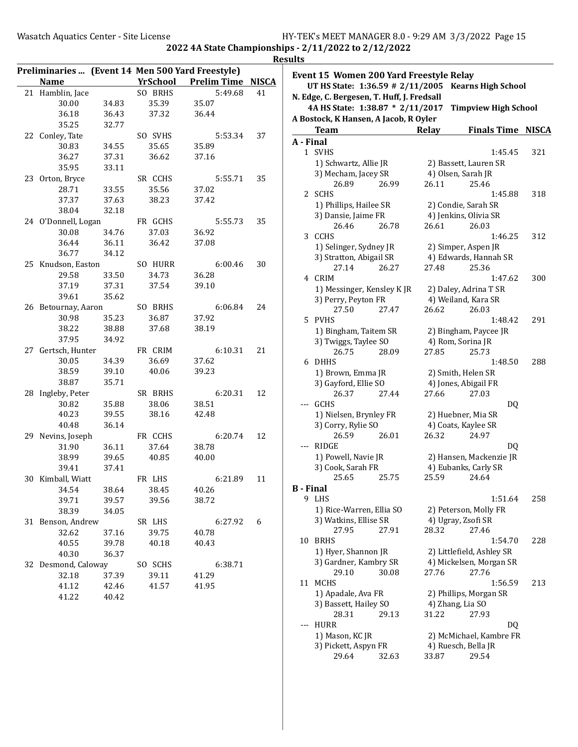|                     |       |             | Preliminaries  (Event 14 Men 500 Yard Freestyle) |    |                 |
|---------------------|-------|-------------|--------------------------------------------------|----|-----------------|
| <b>Name</b>         |       | YrSchool    | <b>Prelim Time NISCA</b>                         |    | Event 1         |
| 21 Hamblin, Jace    |       | SO BRHS     | 5:49.68                                          | 41 | UT <sub>F</sub> |
| 30.00               | 34.83 | 35.39       | 35.07                                            |    | N. Edge,        |
| 36.18               | 36.43 | 37.32       | 36.44                                            |    | <b>4A F</b>     |
| 35.25               | 32.77 |             |                                                  |    | A Bostoo        |
| 22 Conley, Tate     |       | SO SVHS     | 5:53.34                                          | 37 | Te              |
| 30.83               | 34.55 | 35.65       | 35.89                                            |    | A - Fina        |
| 36.27               | 37.31 | 36.62       | 37.16                                            |    | 1 SV            |
| 35.95               | 33.11 |             |                                                  |    | 1)              |
| 23 Orton, Bryce     |       | SR CCHS     | 5:55.71                                          | 35 | 3)              |
| 28.71               | 33.55 | 35.56       | 37.02                                            |    |                 |
| 37.37               | 37.63 | 38.23       | 37.42                                            |    | $2$ SC          |
| 38.04               | 32.18 |             |                                                  |    | 1)              |
| 24 O'Donnell, Logan |       | FR GCHS     | 5:55.73                                          | 35 | 3)              |
| 30.08               | 34.76 | 37.03       | 36.92                                            |    |                 |
| 36.44               | 36.11 | 36.42       | 37.08                                            |    | 3 CC            |
| 36.77               | 34.12 |             |                                                  |    | 1)              |
| 25 Knudson, Easton  |       | SO HURR     | 6:00.46                                          | 30 | 3)              |
| 29.58               | 33.50 | 34.73       | 36.28                                            |    |                 |
| 37.19               | 37.31 | 37.54       | 39.10                                            |    | 4 CR            |
| 39.61               | 35.62 |             |                                                  |    | 1)              |
| 26 Betournay, Aaron |       | SO BRHS     | 6:06.84                                          | 24 | 3)              |
| 30.98               | 35.23 | 36.87       | 37.92                                            |    |                 |
| 38.22               | 38.88 | 37.68       | 38.19                                            |    | 5 PV            |
| 37.95               | 34.92 |             |                                                  |    | 1)              |
| 27 Gertsch, Hunter  |       | FR CRIM     | 6:10.31                                          | 21 | 3)              |
| 30.05               | 34.39 | 36.69       | 37.62                                            |    | 6 DF            |
| 38.59               | 39.10 | 40.06       | 39.23                                            |    |                 |
| 38.87               | 35.71 |             |                                                  |    | 1)<br>3)        |
| 28 Ingleby, Peter   |       | SR BRHS     | 6:20.31                                          | 12 |                 |
| 30.82               | 35.88 | 38.06       | 38.51                                            |    | --- GC          |
| 40.23               | 39.55 | 38.16       | 42.48                                            |    | 1)              |
| 40.48               | 36.14 |             |                                                  |    | 3)              |
| 29 Nevins, Joseph   |       | FR CCHS     | 6:20.74                                          | 12 |                 |
| 31.90               | 36.11 | 37.64       | 38.78                                            |    | --- RI          |
| 38.99               | 39.65 | 40.85       | 40.00                                            |    | 1)              |
| 39.41               | 37.41 |             |                                                  |    | 3)              |
| 30 Kimball, Wiatt   |       | FR LHS      | 6:21.89                                          | 11 |                 |
| 34.54               |       | 38.64 38.45 | 40.26                                            |    | <b>B</b> - Fina |
| 39.71               | 39.57 | 39.56       | 38.72                                            |    | 9 LH            |
| 38.39               | 34.05 |             |                                                  |    | 1)              |
| 31 Benson, Andrew   |       | SR LHS      | 6:27.92                                          | 6  | 3)              |
| 32.62               | 37.16 | 39.75       | 40.78                                            |    |                 |
| 40.55               | 39.78 | 40.18       | 40.43                                            |    | 10 BR           |
| 40.30               | 36.37 |             |                                                  |    | 1)              |
| 32 Desmond, Caloway |       | SO SCHS     | 6:38.71                                          |    | 3)              |
| 32.18               | 37.39 | 39.11       | 41.29                                            |    |                 |
| 41.12               | 42.46 | 41.57       | 41.95                                            |    | 11 M            |
| 41.22               | 40.42 |             |                                                  |    | 1)              |
|                     |       |             |                                                  |    |                 |

| แร               |                                                                             |       |                                           |              |
|------------------|-----------------------------------------------------------------------------|-------|-------------------------------------------|--------------|
|                  | Event 15 Women 200 Yard Freestyle Relay<br>UT HS State: 1:36.59 # 2/11/2005 |       | <b>Kearns High School</b>                 |              |
|                  | V. Edge, C. Bergesen, T. Huff, J. Fredsall                                  |       |                                           |              |
|                  | 4A HS State: 1:38.87 * 2/11/2017                                            |       | <b>Timpview High School</b>               |              |
|                  | <b>A Bostock, K Hansen, A Jacob, R Oyler</b>                                |       |                                           |              |
|                  | <b>Team</b>                                                                 | Relay | <b>Finals Time</b>                        | <b>NISCA</b> |
| <b>A</b> - Final |                                                                             |       |                                           |              |
| $\mathbf 1$      | <b>SVHS</b>                                                                 |       | 1:45.45                                   | 321          |
|                  | 1) Schwartz, Allie JR                                                       |       | 2) Bassett, Lauren SR                     |              |
|                  | 3) Mecham, Jacey SR                                                         |       | 4) Olsen, Sarah JR                        |              |
|                  | 26.99<br>26.89                                                              | 26.11 | 25.46                                     |              |
| 2                | <b>SCHS</b>                                                                 |       | 1:45.88                                   | 318          |
|                  | 1) Phillips, Hailee SR                                                      |       | 2) Condie, Sarah SR                       |              |
|                  | 3) Dansie, Jaime FR                                                         |       | 4) Jenkins, Olivia SR                     |              |
|                  | 26.46<br>26.78                                                              | 26.61 | 26.03                                     |              |
| 3                | <b>CCHS</b>                                                                 |       | 1:46.25                                   | 312          |
|                  | 1) Selinger, Sydney JR                                                      |       | 2) Simper, Aspen JR                       |              |
|                  | 3) Stratton, Abigail SR                                                     |       | 4) Edwards, Hannah SR                     |              |
|                  | 27.14<br>26.27                                                              | 27.48 | 25.36                                     |              |
| 4                | <b>CRIM</b>                                                                 |       | 1:47.62                                   | 300          |
|                  | 1) Messinger, Kensley K JR                                                  |       | 2) Daley, Adrina T SR                     |              |
|                  | 3) Perry, Peyton FR                                                         |       | 4) Weiland, Kara SR                       |              |
|                  | 27.50<br>27.47                                                              | 26.62 | 26.03                                     |              |
| 5.               | <b>PVHS</b>                                                                 |       | 1:48.42                                   | 291          |
|                  | 1) Bingham, Taitem SR                                                       |       | 2) Bingham, Paycee JR                     |              |
|                  | 3) Twiggs, Taylee SO                                                        |       | 4) Rom, Sorina JR                         |              |
|                  | 26.75<br>28.09                                                              | 27.85 | 25.73                                     |              |
| 6                | DHHS                                                                        |       | 1:48.50                                   | 288          |
|                  | 1) Brown, Emma JR                                                           |       | 2) Smith, Helen SR                        |              |
|                  | 3) Gayford, Ellie SO                                                        |       | 4) Jones, Abigail FR                      |              |
|                  | 26.37<br>27.44                                                              | 27.66 | 27.03                                     |              |
|                  | GCHS                                                                        |       | DQ                                        |              |
|                  | 1) Nielsen, Brynley FR                                                      |       | 2) Huebner, Mia SR<br>4) Coats, Kaylee SR |              |
|                  | 3) Corry, Rylie SO<br>26.59<br>26.01                                        | 26.32 | 24.97                                     |              |
| ---              | RIDGE                                                                       |       | DQ                                        |              |
|                  | 1) Powell, Navie JR                                                         |       | 2) Hansen, Mackenzie JR                   |              |
|                  | 3) Cook, Sarah FR                                                           |       | 4) Eubanks, Carly SR                      |              |
|                  | 25.65<br>25.75                                                              | 25.59 | 24.64                                     |              |
| 3 - Final        |                                                                             |       |                                           |              |
| 9                | LHS                                                                         |       | 1:51.64                                   | 258          |
|                  | 1) Rice-Warren, Ellia SO                                                    |       | 2) Peterson, Molly FR                     |              |
|                  | 3) Watkins, Ellise SR                                                       |       | 4) Ugray, Zsofi SR                        |              |
|                  | 27.95<br>27.91                                                              | 28.32 | 27.46                                     |              |
| 10               | <b>BRHS</b>                                                                 |       | 1:54.70                                   | 228          |
|                  | 1) Hyer, Shannon JR                                                         |       | 2) Littlefield, Ashley SR                 |              |
|                  | 3) Gardner, Kambry SR                                                       |       | 4) Mickelsen, Morgan SR                   |              |
|                  | 29.10<br>30.08                                                              | 27.76 | 27.76                                     |              |
| 11               | <b>MCHS</b>                                                                 |       | 1:56.59                                   | 213          |
|                  | 1) Apadale, Ava FR                                                          |       | 2) Phillips, Morgan SR                    |              |
|                  | 3) Bassett, Hailey SO                                                       |       | 4) Zhang, Lia SO                          |              |
|                  | 28.31<br>29.13<br><b>HURR</b>                                               | 31.22 | 27.93                                     |              |
|                  | 1) Mason, KC JR                                                             |       | DQ<br>2) McMichael, Kambre FR             |              |
|                  | 3) Pickett, Aspyn FR                                                        |       | 4) Ruesch, Bella JR                       |              |
|                  | 29.64<br>32.63                                                              | 33.87 | 29.54                                     |              |
|                  |                                                                             |       |                                           |              |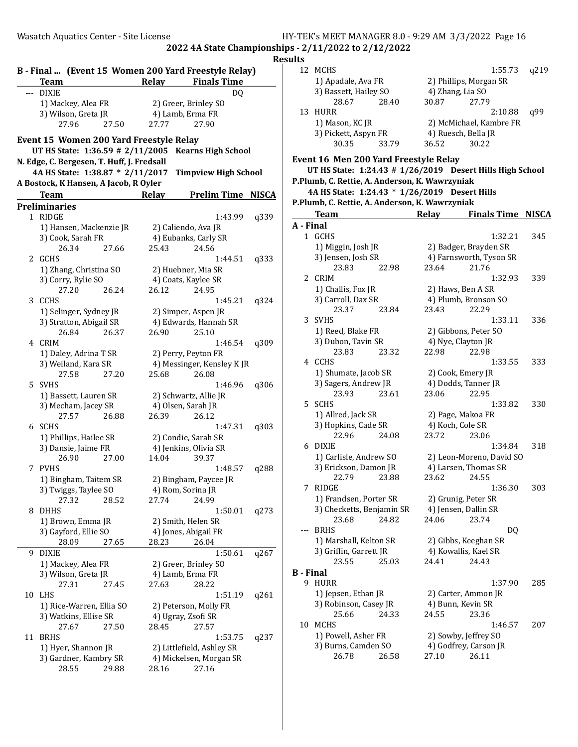# Wasatch Aquatics Center - Site License HY-TEK's MEET MANAGER 8.0 - 9:29 AM 3/3/2022 Page 16 2022 4A State Championships - 2/11/2022 to 2/12/2022

 $\frac{Results}{\frac{12}{12}}$ 

|    | B - Final  (Event 15 Women 200 Yard Freestyle Relay)<br><b>Team</b> | Relay | <b>Finals Time</b>          | л    |
|----|---------------------------------------------------------------------|-------|-----------------------------|------|
|    | --- DIXIE                                                           |       | DQ                          |      |
|    | 1) Mackey, Alea FR                                                  |       | 2) Greer, Brinley SO        |      |
|    | 3) Wilson, Greta JR                                                 |       | 4) Lamb, Erma FR            |      |
|    | 27.50<br>27.96                                                      | 27.77 | 27.90                       |      |
|    | Event 15 Women 200 Yard Freestyle Relay                             |       |                             |      |
|    | UT HS State: 1:36.59 # 2/11/2005                                    |       | <b>Kearns High School</b>   |      |
|    | N. Edge, C. Bergesen, T. Huff, J. Fredsall                          |       |                             |      |
|    | 4A HS State: 1:38.87 * 2/11/2017                                    |       | <b>Timpview High School</b> |      |
|    | A Bostock, K Hansen, A Jacob, R Oyler                               |       |                             |      |
|    | <b>Team</b>                                                         | Relay | <b>Prelim Time NISCA</b>    |      |
|    | <b>Preliminaries</b>                                                |       |                             |      |
|    | 1 RIDGE                                                             |       | 1:43.99                     | q339 |
|    | 1) Hansen, Mackenzie JR                                             |       | 2) Caliendo, Ava JR         |      |
|    | 3) Cook, Sarah FR                                                   |       | 4) Eubanks, Carly SR        |      |
|    | 26.34<br>27.66                                                      | 25.43 | 24.56                       |      |
|    | 2 GCHS                                                              |       | 1:44.51                     | q333 |
|    | 1) Zhang, Christina SO                                              |       | 2) Huebner, Mia SR          |      |
|    | 3) Corry, Rylie SO                                                  |       | 4) Coats, Kaylee SR         |      |
|    | 27.20<br>26.24                                                      | 26.12 | 24.95                       |      |
| 3  | CCHS                                                                |       | 1:45.21                     | q324 |
|    | 1) Selinger, Sydney JR                                              |       | 2) Simper, Aspen JR         |      |
|    | 3) Stratton, Abigail SR                                             |       | 4) Edwards, Hannah SR       |      |
|    | 26.84<br>26.37                                                      | 26.90 | 25.10                       |      |
|    | 4 CRIM                                                              |       | 1:46.54                     | q309 |
|    | 1) Daley, Adrina T SR                                               |       | 2) Perry, Peyton FR         |      |
|    | 3) Weiland, Kara SR                                                 |       | 4) Messinger, Kensley KJR   |      |
|    | 27.58<br>27.20                                                      | 25.68 | 26.08                       |      |
|    | 5 SVHS                                                              |       | 1:46.96                     | q306 |
|    | 1) Bassett, Lauren SR                                               |       | 2) Schwartz, Allie JR       |      |
|    | 3) Mecham, Jacey SR                                                 |       | 4) Olsen, Sarah JR          |      |
|    | 27.57<br>26.88                                                      | 26.39 | 26.12                       |      |
|    | 6 SCHS                                                              |       | 1:47.31                     | q303 |
|    | 1) Phillips, Hailee SR                                              |       | 2) Condie, Sarah SR         |      |
|    | 3) Dansie, Jaime FR                                                 |       | 4) Jenkins, Olivia SR       |      |
|    | 26.90<br>27.00                                                      | 14.04 | 39.37                       |      |
|    | 7 PVHS                                                              |       | 1:48.57                     | q288 |
|    | 1) Bingham, Taitem SR                                               |       | 2) Bingham, Paycee JR       |      |
|    | 3) Twiggs, Taylee SO                                                |       | 4) Rom, Sorina JR           |      |
|    | 27.32<br>28.52                                                      | 27.74 | 24.99                       |      |
| 8  | <b>DHHS</b>                                                         |       | 1:50.01                     | q273 |
|    | 1) Brown, Emma JR                                                   |       | 2) Smith, Helen SR          |      |
|    | 3) Gayford, Ellie SO                                                |       | 4) Jones, Abigail FR        |      |
|    | 27.65<br>28.09                                                      | 28.23 | 26.04                       |      |
| 9  | <b>DIXIE</b>                                                        |       | 1:50.61                     | q267 |
|    | 1) Mackey, Alea FR                                                  |       | 2) Greer, Brinley SO        |      |
|    | 3) Wilson, Greta JR                                                 |       | 4) Lamb, Erma FR            |      |
|    | 27.31<br>27.45                                                      | 27.63 | 28.22                       |      |
| 10 | LHS                                                                 |       | 1:51.19                     | q261 |
|    | 1) Rice-Warren, Ellia SO                                            |       | 2) Peterson, Molly FR       |      |
|    | 3) Watkins, Ellise SR                                               |       | 4) Ugray, Zsofi SR          |      |
|    | 27.67<br>27.50                                                      | 28.45 | 27.57                       |      |
| 11 | <b>BRHS</b>                                                         |       | 1:53.75                     | q237 |
|    | 1) Hyer, Shannon JR                                                 |       | 2) Littlefield, Ashley SR   |      |
|    | 3) Gardner, Kambry SR                                               |       | 4) Mickelsen, Morgan SR     |      |
|    | 28.55<br>29.88                                                      | 28.16 | 27.16                       |      |
|    |                                                                     |       |                             |      |

| ults             |                                                           |       |                          |      |
|------------------|-----------------------------------------------------------|-------|--------------------------|------|
| 12               | MCHS                                                      |       | 1:55.73                  | q219 |
|                  | 1) Apadale, Ava FR                                        |       | 2) Phillips, Morgan SR   |      |
|                  | 3) Bassett, Hailey SO                                     |       | 4) Zhang, Lia SO         |      |
|                  | 28.40<br>28.67                                            | 30.87 | 27.79                    |      |
|                  |                                                           |       |                          |      |
| 13               | <b>HURR</b>                                               |       | 2:10.88                  | q99  |
|                  | 1) Mason, KC JR                                           |       | 2) McMichael, Kambre FR  |      |
|                  | 3) Pickett, Aspyn FR                                      |       | 4) Ruesch, Bella JR      |      |
|                  | 30.35<br>33.79                                            | 36.52 | 30.22                    |      |
|                  |                                                           |       |                          |      |
|                  | Event 16 Men 200 Yard Freestyle Relay                     |       |                          |      |
|                  | UT HS State: 1:24.43 # 1/26/2019 Desert Hills High School |       |                          |      |
|                  | P.Plumb, C. Rettie, A. Anderson, K. Wawrzyniak            |       |                          |      |
|                  | 4A HS State: 1:24.43 * 1/26/2019 Desert Hills             |       |                          |      |
|                  | P.Plumb, C. Rettie, A. Anderson, K. Wawrzyniak            |       |                          |      |
|                  | <b>Team</b>                                               | Relay | <b>Finals Time NISCA</b> |      |
|                  |                                                           |       |                          |      |
| A - Final        |                                                           |       |                          |      |
|                  | 1 GCHS                                                    |       | 1:32.21                  | 345  |
|                  | 1) Miggin, Josh JR                                        |       | 2) Badger, Brayden SR    |      |
|                  | 3) Jensen, Josh SR                                        |       | 4) Farnsworth, Tyson SR  |      |
|                  | 23.83<br>22.98                                            | 23.64 | 21.76                    |      |
|                  | 2 CRIM                                                    |       | 1:32.93                  | 339  |
|                  | 1) Challis, Fox JR                                        |       |                          |      |
|                  |                                                           |       | 2) Haws, Ben A SR        |      |
|                  | 3) Carroll, Dax SR                                        |       | 4) Plumb, Bronson SO     |      |
|                  | 23.37<br>23.84                                            | 23.43 | 22.29                    |      |
| 3                | <b>SVHS</b>                                               |       | 1:33.11                  | 336  |
|                  | 1) Reed, Blake FR                                         |       | 2) Gibbons, Peter SO     |      |
|                  | 3) Dubon, Tavin SR                                        |       | 4) Nye, Clayton JR       |      |
|                  | 23.83<br>23.32                                            | 22.98 | 22.98                    |      |
|                  | 4 CCHS                                                    |       | 1:33.55                  | 333  |
|                  |                                                           |       |                          |      |
|                  | 1) Shumate, Jacob SR                                      |       | 2) Cook, Emery JR        |      |
|                  | 3) Sagers, Andrew JR                                      |       | 4) Dodds, Tanner JR      |      |
|                  | 23.93<br>23.61                                            | 23.06 | 22.95                    |      |
| 5.               | SCHS                                                      |       | 1:33.82                  | 330  |
|                  | 1) Allred, Jack SR                                        |       | 2) Page, Makoa FR        |      |
|                  | 3) Hopkins, Cade SR                                       |       | 4) Koch, Cole SR         |      |
|                  | 22.96<br>24.08                                            | 23.72 | 23.06                    |      |
| 6                | DIXIE                                                     |       | 1:34.84                  | 318  |
|                  | 1) Carlisle, Andrew SO                                    |       | 2) Leon-Moreno, David SO |      |
|                  | 3) Erickson, Damon JR                                     |       | 4) Larsen, Thomas SR     |      |
|                  | 22.79 23.88                                               | 23.62 | 24.55                    |      |
|                  | <b>RIDGE</b>                                              |       | 1:36.30                  |      |
| 7                |                                                           |       |                          | 303  |
|                  | 1) Frandsen, Porter SR                                    |       | 2) Grunig, Peter SR      |      |
|                  | 3) Checketts, Benjamin SR                                 |       | 4) Jensen, Dallin SR     |      |
|                  | 23.68<br>24.82                                            | 24.06 | 23.74                    |      |
| ---              | <b>BRHS</b>                                               |       | DQ                       |      |
|                  | 1) Marshall, Kelton SR                                    |       | 2) Gibbs, Keeghan SR     |      |
|                  | 3) Griffin, Garrett JR                                    |       | 4) Kowallis, Kael SR     |      |
|                  | 23.55<br>25.03                                            | 24.41 | 24.43                    |      |
| <b>B</b> - Final |                                                           |       |                          |      |
| 9                |                                                           |       |                          |      |
|                  | HURR                                                      |       | 1:37.90                  | 285  |
|                  | 1) Jepsen, Ethan JR                                       |       | 2) Carter, Ammon JR      |      |
|                  | 3) Robinson, Casey JR                                     |       | 4) Bunn, Kevin SR        |      |
|                  | 25.66<br>24.33                                            | 24.55 | 23.36                    |      |
| 10               | MCHS                                                      |       | 1:46.57                  | 207  |
|                  | 1) Powell, Asher FR                                       |       | 2) Sowby, Jeffrey SO     |      |
|                  | 3) Burns, Camden SO                                       |       | 4) Godfrey, Carson JR    |      |
|                  | 26.78<br>26.58                                            | 27.10 | 26.11                    |      |
|                  |                                                           |       |                          |      |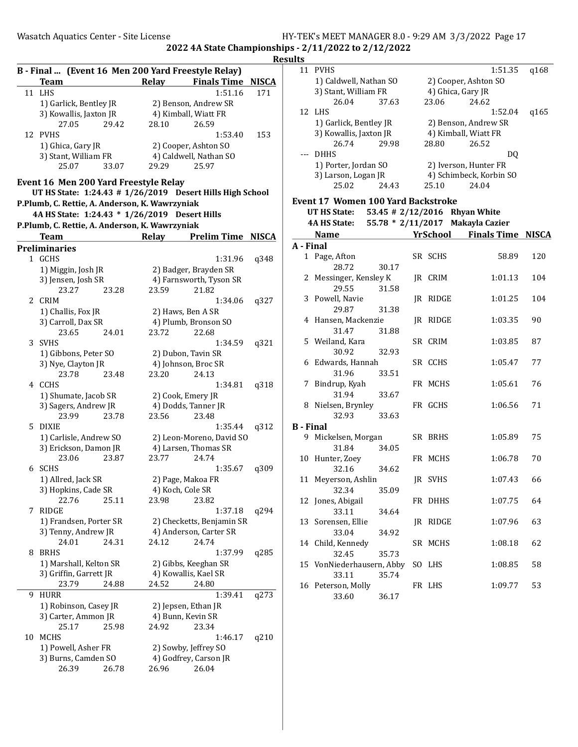|    |                                                                   |       |       |                           |                          | ĸ            |
|----|-------------------------------------------------------------------|-------|-------|---------------------------|--------------------------|--------------|
|    | B - Final  (Event 16 Men 200 Yard Freestyle Relay)<br><b>Team</b> |       | Relay |                           | <b>Finals Time</b>       | <b>NISCA</b> |
| 11 | LHS                                                               |       |       |                           | 1:51.16                  | 171          |
|    | 1) Garlick, Bentley JR                                            |       |       | 2) Benson, Andrew SR      |                          |              |
|    | 3) Kowallis, Jaxton JR                                            |       |       | 4) Kimball, Wiatt FR      |                          |              |
|    | 27.05                                                             | 29.42 | 28.10 | 26.59                     |                          |              |
|    | 12 PVHS                                                           |       |       |                           | 1:53.40                  | 153          |
|    |                                                                   |       |       |                           |                          |              |
|    | 1) Ghica, Gary JR                                                 |       |       | 2) Cooper, Ashton SO      |                          |              |
|    | 3) Stant, William FR                                              |       |       | 4) Caldwell, Nathan SO    |                          |              |
|    | 25.07                                                             | 33.07 | 29.29 | 25.97                     |                          |              |
|    | Event 16 Men 200 Yard Freestyle Relay                             |       |       |                           |                          |              |
|    | UT HS State: 1:24.43 # 1/26/2019 Desert Hills High School         |       |       |                           |                          |              |
|    | P.Plumb, C. Rettie, A. Anderson, K. Wawrzyniak                    |       |       |                           |                          |              |
|    |                                                                   |       |       |                           |                          |              |
|    | 4A HS State: 1:24.43 * 1/26/2019 Desert Hills                     |       |       |                           |                          |              |
|    | P.Plumb, C. Rettie, A. Anderson, K. Wawrzyniak                    |       |       |                           |                          |              |
|    | <b>Team</b>                                                       |       | Relay |                           | <b>Prelim Time NISCA</b> |              |
|    | Preliminaries                                                     |       |       |                           |                          |              |
|    | 1 GCHS                                                            |       |       |                           | 1:31.96                  | q348         |
|    | 1) Miggin, Josh JR                                                |       |       | 2) Badger, Brayden SR     |                          |              |
|    | 3) Jensen, Josh SR                                                |       |       | 4) Farnsworth, Tyson SR   |                          |              |
|    | 23.27                                                             | 23.28 | 23.59 | 21.82                     |                          |              |
| 2  | <b>CRIM</b>                                                       |       |       |                           |                          |              |
|    |                                                                   |       |       |                           | 1:34.06                  | q327         |
|    | 1) Challis, Fox JR                                                |       |       | 2) Haws, Ben A SR         |                          |              |
|    | 3) Carroll, Dax SR                                                |       |       | 4) Plumb, Bronson SO      |                          |              |
|    | 23.65                                                             | 24.01 | 23.72 | 22.68                     |                          |              |
| 3  | <b>SVHS</b>                                                       |       |       |                           | 1:34.59                  | q321         |
|    | 1) Gibbons, Peter SO                                              |       |       | 2) Dubon, Tavin SR        |                          |              |
|    | 3) Nye, Clayton JR                                                |       |       | 4) Johnson, Broc SR       |                          |              |
|    | 23.78                                                             | 23.48 | 23.20 | 24.13                     |                          |              |
| 4  | CCHS                                                              |       |       |                           | 1:34.81                  | q318         |
|    | 1) Shumate, Jacob SR                                              |       |       | 2) Cook, Emery JR         |                          |              |
|    | 3) Sagers, Andrew JR                                              |       |       | 4) Dodds, Tanner JR       |                          |              |
|    | 23.99                                                             | 23.78 | 23.56 | 23.48                     |                          |              |
| 5  | DIXIE                                                             |       |       |                           | 1:35.44                  | q312         |
|    |                                                                   |       |       | 2) Leon-Moreno, David SO  |                          |              |
|    | 1) Carlisle, Andrew SO                                            |       |       |                           |                          |              |
|    | 3) Erickson, Damon JR                                             |       |       | 4) Larsen, Thomas SR      |                          |              |
|    | 23.06                                                             | 23.87 | 23.77 | 24.74                     |                          |              |
|    | 6 SCHS                                                            |       |       |                           | 1:35.67                  | q309         |
|    | 1) Allred, Jack SR                                                |       |       | 2) Page, Makoa FR         |                          |              |
|    | 3) Hopkins, Cade SR                                               |       |       | 4) Koch, Cole SR          |                          |              |
|    | 22.76                                                             | 25.11 | 23.98 | 23.82                     |                          |              |
| 7  | <b>RIDGE</b>                                                      |       |       |                           | 1:37.18                  | q294         |
|    | 1) Frandsen, Porter SR                                            |       |       | 2) Checketts, Benjamin SR |                          |              |
|    | 3) Tenny, Andrew JR                                               |       |       | 4) Anderson, Carter SR    |                          |              |
|    | 24.01                                                             | 24.31 | 24.12 | 24.74                     |                          |              |
| 8  | <b>BRHS</b>                                                       |       |       |                           | 1:37.99                  | q285         |
|    | 1) Marshall, Kelton SR                                            |       |       | 2) Gibbs, Keeghan SR      |                          |              |
|    |                                                                   |       |       |                           |                          |              |
|    | 3) Griffin, Garrett JR                                            |       |       | 4) Kowallis, Kael SR      |                          |              |
|    | 23.79                                                             | 24.88 | 24.52 | 24.80                     |                          |              |
| 9  | HURR                                                              |       |       |                           | 1:39.41                  | q273         |
|    | 1) Robinson, Casey JR                                             |       |       | 2) Jepsen, Ethan JR       |                          |              |
|    | 3) Carter, Ammon JR                                               |       |       | 4) Bunn, Kevin SR         |                          |              |
|    | 25.17                                                             | 25.98 | 24.92 | 23.34                     |                          |              |
| 10 | MCHS                                                              |       |       |                           | 1:46.17                  | q210         |
|    | 1) Powell, Asher FR                                               |       |       | 2) Sowby, Jeffrey SO      |                          |              |
|    | 3) Burns, Camden SO                                               |       |       | 4) Godfrey, Carson JR     |                          |              |
|    | 26.39                                                             | 26.78 | 26.96 | 26.04                     |                          |              |
|    |                                                                   |       |       |                           |                          |              |

|                  | 11 PVHS                                   |       |  |                 | 1:51.35                          | q168         |  |  |  |  |
|------------------|-------------------------------------------|-------|--|-----------------|----------------------------------|--------------|--|--|--|--|
|                  | 1) Caldwell, Nathan SO                    |       |  |                 | 2) Cooper, Ashton SO             |              |  |  |  |  |
|                  | 3) Stant, William FR                      |       |  |                 | 4) Ghica, Gary JR                |              |  |  |  |  |
|                  | 26.04                                     | 37.63 |  | 23.06           | 24.62                            |              |  |  |  |  |
| 12               | LHS                                       |       |  |                 | 1:52.04                          | q165         |  |  |  |  |
|                  | 1) Garlick, Bentley JR                    |       |  |                 | 2) Benson, Andrew SR             |              |  |  |  |  |
|                  | 3) Kowallis, Jaxton JR                    |       |  |                 | 4) Kimball, Wiatt FR             |              |  |  |  |  |
|                  | 26.74                                     | 29.98 |  | 28.80           | 26.52                            |              |  |  |  |  |
| ---              | DHHS                                      |       |  |                 |                                  |              |  |  |  |  |
|                  |                                           |       |  |                 | DQ                               |              |  |  |  |  |
|                  | 1) Porter, Jordan SO                      |       |  |                 | 2) Iverson, Hunter FR            |              |  |  |  |  |
|                  | 3) Larson, Logan JR                       | 24.43 |  |                 | 4) Schimbeck, Korbin SO          |              |  |  |  |  |
|                  | 25.02                                     |       |  | 25.10           | 24.04                            |              |  |  |  |  |
|                  | <b>Event 17 Women 100 Yard Backstroke</b> |       |  |                 |                                  |              |  |  |  |  |
|                  | <b>UT HS State:</b>                       |       |  |                 | 53.45 # 2/12/2016 Rhyan White    |              |  |  |  |  |
|                  | 4A HS State:                              |       |  |                 | 55.78 * 2/11/2017 Makayla Cazier |              |  |  |  |  |
|                  | <b>Name</b>                               |       |  | <b>YrSchool</b> | <b>Finals Time</b>               | <b>NISCA</b> |  |  |  |  |
| A - Final        |                                           |       |  |                 |                                  |              |  |  |  |  |
|                  | 1 Page, Afton                             |       |  | SR SCHS         | 58.89                            | 120          |  |  |  |  |
|                  | 28.72                                     | 30.17 |  |                 |                                  |              |  |  |  |  |
|                  | 2 Messinger, Kensley K                    |       |  | JR CRIM         | 1:01.13                          | 104          |  |  |  |  |
|                  | 29.55                                     | 31.58 |  |                 |                                  |              |  |  |  |  |
|                  | 3 Powell, Navie                           |       |  | JR RIDGE        | 1:01.25                          | 104          |  |  |  |  |
|                  | 29.87                                     | 31.38 |  |                 |                                  |              |  |  |  |  |
|                  | 4 Hansen, Mackenzie                       |       |  | JR RIDGE        | 1:03.35                          | 90           |  |  |  |  |
|                  | 31.47                                     | 31.88 |  |                 |                                  |              |  |  |  |  |
|                  |                                           |       |  |                 |                                  |              |  |  |  |  |
|                  | 5 Weiland, Kara                           |       |  | SR CRIM         | 1:03.85                          | 87           |  |  |  |  |
|                  | 30.92                                     | 32.93 |  |                 |                                  |              |  |  |  |  |
|                  | 6 Edwards, Hannah                         |       |  | SR CCHS         | 1:05.47                          | 77           |  |  |  |  |
|                  | 31.96                                     | 33.51 |  |                 |                                  |              |  |  |  |  |
|                  | 7 Bindrup, Kyah                           |       |  | FR MCHS         | 1:05.61                          | 76           |  |  |  |  |
|                  | 31.94                                     | 33.67 |  |                 |                                  |              |  |  |  |  |
|                  | 8 Nielsen, Brynley                        |       |  | FR GCHS         | 1:06.56                          | 71           |  |  |  |  |
|                  | 32.93                                     | 33.63 |  |                 |                                  |              |  |  |  |  |
| <b>B</b> - Final |                                           |       |  |                 |                                  |              |  |  |  |  |
| 9                | Mickelsen, Morgan                         |       |  | SR BRHS         | 1:05.89                          | 75           |  |  |  |  |
|                  | 31.84                                     | 34.05 |  |                 |                                  |              |  |  |  |  |
|                  | 10 Hunter, Zoey                           |       |  | FR MCHS         | 1:06.78                          | 70           |  |  |  |  |
|                  | 32.16                                     | 34.62 |  |                 |                                  |              |  |  |  |  |
|                  | 11 Meyerson, Ashlin                       |       |  | JR SVHS         | 1:07.43                          | 66           |  |  |  |  |
|                  | 32.34                                     | 35.09 |  |                 |                                  |              |  |  |  |  |
|                  | 12 Jones, Abigail                         |       |  | FR DHHS         | 1:07.75                          | 64           |  |  |  |  |
|                  | 33.11                                     | 34.64 |  |                 |                                  |              |  |  |  |  |
| 13               | Sorensen, Ellie                           |       |  | JR RIDGE        | 1:07.96                          | 63           |  |  |  |  |
|                  | 33.04                                     | 34.92 |  |                 |                                  |              |  |  |  |  |
| 14               | Child, Kennedy                            |       |  | SR MCHS         | 1:08.18                          | 62           |  |  |  |  |
|                  | 32.45                                     | 35.73 |  |                 |                                  |              |  |  |  |  |
| 15               | VonNiederhausern, Abby                    |       |  | SO LHS          | 1:08.85                          | 58           |  |  |  |  |
|                  | 33.11                                     | 35.74 |  |                 |                                  |              |  |  |  |  |
|                  | 16 Peterson, Molly                        |       |  | FR LHS          | 1:09.77                          | 53           |  |  |  |  |
|                  | 33.60                                     | 36.17 |  |                 |                                  |              |  |  |  |  |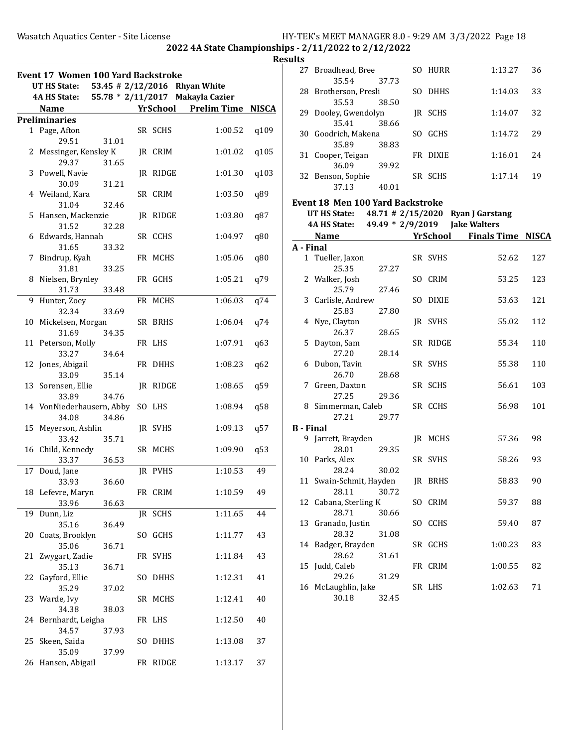Results

|    | <b>Event 17 Women 100 Yard Backstroke</b> |       |     |          |                                  |      |
|----|-------------------------------------------|-------|-----|----------|----------------------------------|------|
|    | UT HS State:                              |       |     |          | 53.45 # 2/12/2016 Rhyan White    |      |
|    | <b>4A HS State:</b>                       |       |     |          | 55.78 * 2/11/2017 Makayla Cazier |      |
|    | <b>Name</b>                               |       |     | YrSchool | <b>Prelim Time NISCA</b>         |      |
|    | <b>Preliminaries</b>                      |       |     |          |                                  |      |
|    | 1 Page, Afton                             |       |     | SR SCHS  | 1:00.52                          | q109 |
|    | 29.51                                     | 31.01 |     |          |                                  |      |
|    | 2 Messinger, Kensley K                    |       |     | JR CRIM  | 1:01.02                          | q105 |
|    | 29.37                                     | 31.65 |     |          |                                  |      |
|    | 3 Powell, Navie                           |       |     | JR RIDGE | 1:01.30                          | q103 |
|    | 30.09<br>4 Weiland, Kara                  | 31.21 |     |          |                                  |      |
|    | 31.04                                     | 32.46 |     | SR CRIM  | 1:03.50                          | q89  |
|    | 5 Hansen, Mackenzie                       |       |     | JR RIDGE | 1:03.80                          | q87  |
|    | 31.52                                     | 32.28 |     |          |                                  |      |
|    | 6 Edwards, Hannah                         |       |     | SR CCHS  | 1:04.97                          | q80  |
|    | 31.65                                     | 33.32 |     |          |                                  |      |
| 7  | Bindrup, Kyah                             |       |     | FR MCHS  | 1:05.06                          | q80  |
|    | 31.81                                     | 33.25 |     |          |                                  |      |
|    | 8 Nielsen, Brynley                        |       |     | FR GCHS  | 1:05.21                          | q79  |
|    | 31.73                                     | 33.48 |     |          |                                  |      |
| 9  | Hunter, Zoey                              |       |     | FR MCHS  | 1:06.03                          | q74  |
|    | 32.34                                     | 33.69 |     |          |                                  |      |
|    | 10 Mickelsen, Morgan                      |       |     | SR BRHS  | 1:06.04                          | q74  |
|    | 31.69                                     | 34.35 |     |          |                                  |      |
|    | 11 Peterson, Molly                        |       |     | FR LHS   | 1:07.91                          | q63  |
|    | 33.27                                     | 34.64 |     |          |                                  |      |
|    | 12 Jones, Abigail                         |       |     | FR DHHS  | 1:08.23                          | q62  |
|    | 33.09                                     | 35.14 |     |          |                                  |      |
|    | 13 Sorensen, Ellie                        |       |     | JR RIDGE | 1:08.65                          | q59  |
|    | 33.89                                     | 34.76 |     |          |                                  |      |
|    | 14 VonNiederhausern, Abby                 |       |     | SO LHS   | 1:08.94                          | q58  |
|    | 34.08                                     | 34.86 |     |          |                                  |      |
|    | 15 Meyerson, Ashlin<br>33.42              | 35.71 |     | JR SVHS  | 1:09.13                          | q57  |
|    | 16 Child, Kennedy                         |       |     | SR MCHS  | 1:09.90                          | q53  |
|    | 33.37                                     | 36.53 |     |          |                                  |      |
|    | 17 Doud, Jane                             |       | IR  | PVHS     | 1:10.53                          | 49   |
|    | 33.93                                     | 36.60 |     |          |                                  |      |
|    | 18 Lefevre, Maryn                         |       |     | FR CRIM  | 1:10.59                          | 49   |
|    | 33.96                                     | 36.63 |     |          |                                  |      |
| 19 | Dunn, Liz                                 |       |     | JR SCHS  | 1:11.65                          | 44   |
|    | 35.16                                     | 36.49 |     |          |                                  |      |
|    | 20 Coats, Brooklyn                        |       |     | SO GCHS  | 1:11.77                          | 43   |
|    | 35.06                                     | 36.71 |     |          |                                  |      |
| 21 | Zwygart, Zadie                            |       |     | FR SVHS  | 1:11.84                          | 43   |
|    | 35.13                                     | 36.71 |     |          |                                  |      |
| 22 | Gayford, Ellie                            |       | SO. | DHHS     | 1:12.31                          | 41   |
|    | 35.29                                     | 37.02 |     |          |                                  |      |
| 23 | Warde, Ivy                                |       |     | SR MCHS  | 1:12.41                          | 40   |
|    | 34.38                                     | 38.03 |     |          |                                  |      |
| 24 | Bernhardt, Leigha                         |       |     | FR LHS   | 1:12.50                          | 40   |
|    | 34.57                                     | 37.93 |     |          |                                  |      |
| 25 | Skeen, Saida                              |       | SO  | DHHS     | 1:13.08                          | 37   |
| 26 | 35.09<br>Hansen, Abigail                  | 37.99 |     | FR RIDGE | 1:13.17                          | 37   |
|    |                                           |       |     |          |                                  |      |

| ılts             |                                         |       |     |                 |                                   |              |
|------------------|-----------------------------------------|-------|-----|-----------------|-----------------------------------|--------------|
| 27               | Broadhead, Bree<br>35.54                | 37.73 |     | SO HURR         | 1:13.27                           | 36           |
|                  | 28 Brotherson, Presli<br>35.53          | 38.50 |     | SO DHHS         | 1:14.03                           | 33           |
|                  | 29 Dooley, Gwendolyn<br>35.41           | 38.66 |     | JR SCHS         | 1:14.07                           | 32           |
|                  | 30 Goodrich, Makena<br>35.89            | 38.83 |     | SO GCHS         | 1:14.72                           | 29           |
| 31               | Cooper, Teigan<br>36.09                 | 39.92 |     | FR DIXIE        | 1:16.01                           | 24           |
|                  | 32 Benson, Sophie<br>37.13              | 40.01 |     | SR SCHS         | 1:17.14                           | 19           |
|                  | <b>Event 18 Men 100 Yard Backstroke</b> |       |     |                 |                                   |              |
|                  | UT HS State:                            |       |     |                 | 48.71 # 2/15/2020 Ryan J Garstang |              |
|                  | 4A HS State:                            |       |     |                 | 49.49 * 2/9/2019 Jake Walters     |              |
|                  | Name                                    |       |     | <b>YrSchool</b> | <b>Finals Time</b>                | <b>NISCA</b> |
| A - Final        |                                         |       |     |                 |                                   |              |
|                  | 1 Tueller, Jaxon                        |       |     | SR SVHS         | 52.62                             | 127          |
|                  | 25.35                                   | 27.27 |     |                 |                                   |              |
|                  | 2 Walker, Josh                          |       |     | SO CRIM         | 53.25                             | 123          |
|                  | 25.79                                   | 27.46 |     |                 |                                   |              |
|                  | 3 Carlisle, Andrew                      |       | SO. | DIXIE           | 53.63                             | 121          |
|                  | 25.83                                   | 27.80 |     |                 |                                   |              |
|                  | 4 Nye, Clayton                          |       |     | JR SVHS         | 55.02                             | 112          |
|                  | 26.37                                   | 28.65 |     |                 |                                   |              |
| 5                | Dayton, Sam                             |       |     | SR RIDGE        | 55.34                             | 110          |
|                  | 27.20                                   | 28.14 |     |                 |                                   |              |
|                  | 6 Dubon, Tavin                          |       |     | SR SVHS         | 55.38                             | 110          |
|                  | 26.70                                   | 28.68 |     |                 |                                   |              |
|                  | 7 Green, Daxton                         |       |     | SR SCHS         | 56.61                             | 103          |
|                  | 27.25                                   | 29.36 |     |                 |                                   |              |
|                  | 8 Simmerman, Caleb                      |       |     | SR CCHS         | 56.98                             | 101          |
|                  | 27.21                                   | 29.77 |     |                 |                                   |              |
| <b>B</b> - Final | 9 Jarrett, Brayden                      |       |     | JR MCHS         | 57.36                             | 98           |
|                  | 28.01                                   | 29.35 |     |                 |                                   |              |
|                  | 10 Parks, Alex                          |       |     | SR SVHS         | 58.26                             | 93           |
|                  | 28.24                                   | 30.02 |     |                 |                                   |              |
|                  | 11 Swain-Schmit, Hayden                 |       |     | JR BRHS         | 58.83                             | 90           |
|                  | 28.11                                   | 30.72 |     |                 |                                   |              |
|                  | 12 Cabana, Sterling K                   |       |     | SO CRIM         | 59.37                             | 88           |
|                  | 28.71                                   | 30.66 |     |                 |                                   |              |
| 13               | Granado, Justin                         |       |     | SO CCHS         | 59.40                             | 87           |
|                  | 28.32                                   | 31.08 |     |                 |                                   |              |
| 14               | Badger, Brayden                         |       |     | SR GCHS         | 1:00.23                           | 83           |
|                  | 28.62                                   | 31.61 |     |                 |                                   |              |
| 15               | Judd, Caleb                             |       |     | FR CRIM         | 1:00.55                           | 82           |
|                  | 29.26                                   | 31.29 |     |                 |                                   |              |
| 16               | McLaughlin, Jake                        |       |     | SR LHS          | 1:02.63                           | 71           |
|                  | 30.18                                   | 32.45 |     |                 |                                   |              |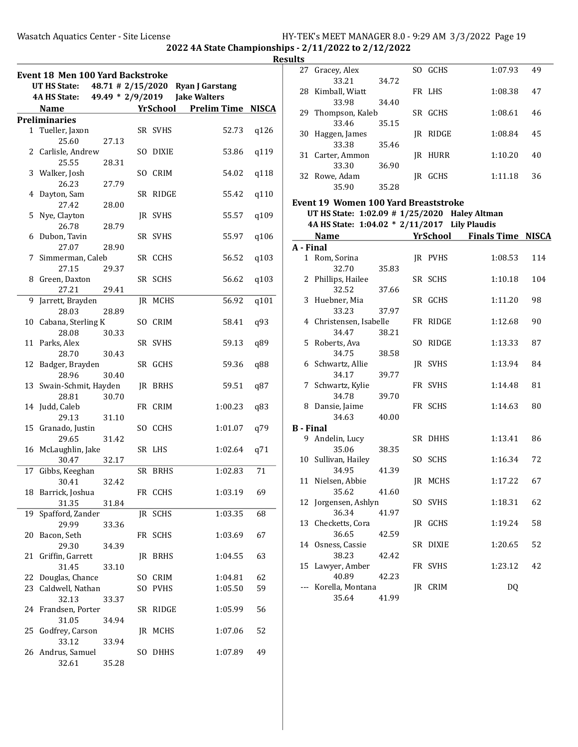| Results |
|---------|
|---------|

|    | <b>Event 18 Men 100 Yard Backstroke</b> |       |                      |                 |                        |              |
|----|-----------------------------------------|-------|----------------------|-----------------|------------------------|--------------|
|    | <b>UT HS State:</b>                     |       | $48.71 \# 2/15/2020$ |                 | <b>Ryan J Garstang</b> |              |
|    | <b>4A HS State:</b>                     |       | 49.49 * 2/9/2019     |                 | <b>Jake Walters</b>    |              |
|    | <b>Name</b>                             |       |                      | <b>YrSchool</b> | <b>Prelim Time</b>     | <b>NISCA</b> |
|    | <b>Preliminaries</b>                    |       |                      |                 |                        |              |
|    | 1 Tueller, Jaxon                        |       |                      | SR SVHS         | 52.73                  | q126         |
|    | 25.60                                   | 27.13 |                      |                 |                        |              |
|    | 2 Carlisle, Andrew                      |       |                      | SO DIXIE        | 53.86                  | q119         |
|    | 25.55                                   | 28.31 |                      | SO CRIM         |                        |              |
|    | 3 Walker, Josh<br>26.23                 | 27.79 |                      |                 | 54.02                  | q118         |
| 4  | Dayton, Sam                             |       |                      | SR RIDGE        | 55.42                  | q110         |
|    | 27.42                                   | 28.00 |                      |                 |                        |              |
| 5  | Nye, Clayton                            |       |                      | JR SVHS         | 55.57                  | q109         |
|    | 26.78                                   | 28.79 |                      |                 |                        |              |
|    | 6 Dubon, Tavin                          |       |                      | SR SVHS         | 55.97                  | q106         |
|    | 27.07                                   | 28.90 |                      |                 |                        |              |
| 7  | Simmerman, Caleb                        |       |                      | SR CCHS         | 56.52                  | q103         |
|    | 27.15                                   | 29.37 |                      |                 |                        |              |
|    | 8 Green, Daxton                         |       |                      | SR SCHS         | 56.62                  | q103         |
|    | 27.21                                   | 29.41 |                      |                 |                        |              |
| 9  | Jarrett, Brayden                        |       |                      | JR MCHS         | 56.92                  | q101         |
|    | 28.03                                   | 28.89 |                      |                 |                        |              |
|    | 10 Cabana, Sterling K                   |       |                      | SO CRIM         | 58.41                  | q93          |
|    | 28.08                                   | 30.33 |                      |                 |                        |              |
|    | 11 Parks, Alex                          |       |                      | SR SVHS         | 59.13                  | q89          |
|    | 28.70                                   | 30.43 |                      |                 |                        |              |
| 12 | Badger, Brayden<br>28.96                | 30.40 |                      | SR GCHS         | 59.36                  | q88          |
|    | 13 Swain-Schmit, Hayden                 |       |                      | JR BRHS         | 59.51                  | q87          |
|    | 28.81                                   | 30.70 |                      |                 |                        |              |
|    | 14 Judd, Caleb                          |       |                      | FR CRIM         | 1:00.23                | q83          |
|    | 29.13                                   | 31.10 |                      |                 |                        |              |
|    | 15 Granado, Justin                      |       |                      | SO CCHS         | 1:01.07                | q79          |
|    | 29.65                                   | 31.42 |                      |                 |                        |              |
|    | 16 McLaughlin, Jake                     |       |                      | SR LHS          | 1:02.64                | q71          |
|    | 30.47                                   | 32.17 |                      |                 |                        |              |
| 17 | Gibbs, Keeghan                          |       |                      | SR BRHS         | 1:02.83                | 71           |
|    | 30.41                                   | 32.42 |                      |                 |                        |              |
| 18 | Barrick, Joshua                         |       |                      | FR CCHS         | 1:03.19                | 69           |
|    | 31.35                                   | 31.84 |                      |                 |                        |              |
| 19 | Spafford, Zander                        |       | IR                   | SCHS            | 1:03.35                | 68           |
|    | 29.99                                   | 33.36 |                      |                 |                        |              |
| 20 | Bacon, Seth                             |       |                      | FR SCHS         | 1:03.69                | 67           |
|    | 29.30                                   | 34.39 |                      |                 |                        |              |
| 21 | Griffin, Garrett                        |       |                      | <b>IR BRHS</b>  | 1:04.55                | 63           |
|    | 31.45<br>22 Douglas, Chance             | 33.10 |                      | SO CRIM         | 1:04.81                | 62           |
|    | 23 Caldwell, Nathan                     |       | SO                   | PVHS            | 1:05.50                | 59           |
|    | 32.13                                   | 33.37 |                      |                 |                        |              |
| 24 | Frandsen, Porter                        |       |                      | SR RIDGE        | 1:05.99                | 56           |
|    | 31.05                                   | 34.94 |                      |                 |                        |              |
| 25 | Godfrey, Carson                         |       |                      | JR MCHS         | 1:07.06                | 52           |
|    | 33.12                                   | 33.94 |                      |                 |                        |              |
|    | 26 Andrus, Samuel                       |       | SO.                  | <b>DHHS</b>     | 1:07.89                | 49           |
|    | 32.61                                   | 35.28 |                      |                 |                        |              |

|                  | 27 Gracey, Alex<br>33.21                      | 34.72 | SO GCHS  | 1:07.93                     | 49           |
|------------------|-----------------------------------------------|-------|----------|-----------------------------|--------------|
|                  | 28 Kimball, Wiatt                             |       | FR LHS   | 1:08.38                     | 47           |
|                  | 33.98                                         | 34.40 |          |                             |              |
|                  | 29 Thompson, Kaleb                            |       | SR GCHS  | 1:08.61                     | 46           |
| 30               | 33.46<br>Haggen, James                        | 35.15 | JR RIDGE | 1:08.84                     | 45           |
|                  | 33.38                                         | 35.46 |          |                             |              |
|                  | 31 Carter, Ammon                              |       | JR HURR  | 1:10.20                     | 40           |
|                  | 33.30                                         | 36.90 |          |                             |              |
|                  | 32 Rowe, Adam                                 |       | JR GCHS  | 1:11.18                     | 36           |
|                  | 35.90                                         | 35.28 |          |                             |              |
|                  | <b>Event 19 Women 100 Yard Breaststroke</b>   |       |          |                             |              |
|                  | UT HS State: 1:02.09 # 1/25/2020 Haley Altman |       |          |                             |              |
|                  | 4A HS State: 1:04.02 * 2/11/2017 Lily Plaudis |       |          |                             |              |
|                  | <b>Name</b>                                   |       |          | <b>YrSchool</b> Finals Time | <b>NISCA</b> |
| A - Final        | 1 Rom, Sorina                                 |       |          | 1:08.53                     |              |
|                  | 32.70                                         | 35.83 | JR PVHS  |                             | 114          |
|                  | 2 Phillips, Hailee                            |       | SR SCHS  | 1:10.18                     | 104          |
|                  | 32.52                                         | 37.66 |          |                             |              |
|                  | 3 Huebner, Mia                                |       | SR GCHS  | 1:11.20                     | 98           |
|                  | 33.23                                         | 37.97 |          |                             |              |
|                  | 4 Christensen, Isabelle                       |       | FR RIDGE | 1:12.68                     | 90           |
|                  | 34.47                                         | 38.21 |          |                             |              |
|                  | 5 Roberts, Ava<br>34.75                       | 38.58 | SO RIDGE | 1:13.33                     | 87           |
|                  | 6 Schwartz, Allie                             |       | JR SVHS  | 1:13.94                     | 84           |
|                  | 34.17                                         | 39.77 |          |                             |              |
|                  | 7 Schwartz, Kylie                             |       | FR SVHS  | 1:14.48                     | 81           |
|                  | 34.78                                         | 39.70 |          |                             |              |
|                  | 8 Dansie, Jaime                               |       | FR SCHS  | 1:14.63                     | 80           |
|                  | 34.63                                         | 40.00 |          |                             |              |
| <b>B</b> - Final |                                               |       |          |                             |              |
|                  | 9 Andelin, Lucy<br>35.06                      | 38.35 | SR DHHS  | 1:13.41                     | 86           |
|                  | 10 Sullivan, Hailey                           |       | SO SCHS  | 1:16.34                     | 72           |
|                  | 34.95                                         | 41.39 |          |                             |              |
|                  | 11 Nielsen, Abbie                             |       | JR MCHS  | 1:17.22                     | 67           |
|                  | 35.62                                         | 41.60 |          |                             |              |
| 12               | Jorgensen, Ashlyn                             |       | SO SVHS  | 1:18.31                     | 62           |
|                  | 36.34                                         | 41.97 |          |                             |              |
| 13               | Checketts, Cora<br>36.65                      | 42.59 | JR GCHS  | 1:19.24                     | 58           |
|                  | 14 Osness, Cassie                             |       | SR DIXIE | 1:20.65                     | 52           |
|                  | 38.23                                         | 42.42 |          |                             |              |
| 15               | Lawyer, Amber                                 |       | FR SVHS  | 1:23.12                     | 42           |
|                  | 40.89                                         | 42.23 |          |                             |              |
| $--$             | Korella, Montana                              |       | IR CRIM  | <b>DQ</b>                   |              |
|                  | 35.64                                         | 41.99 |          |                             |              |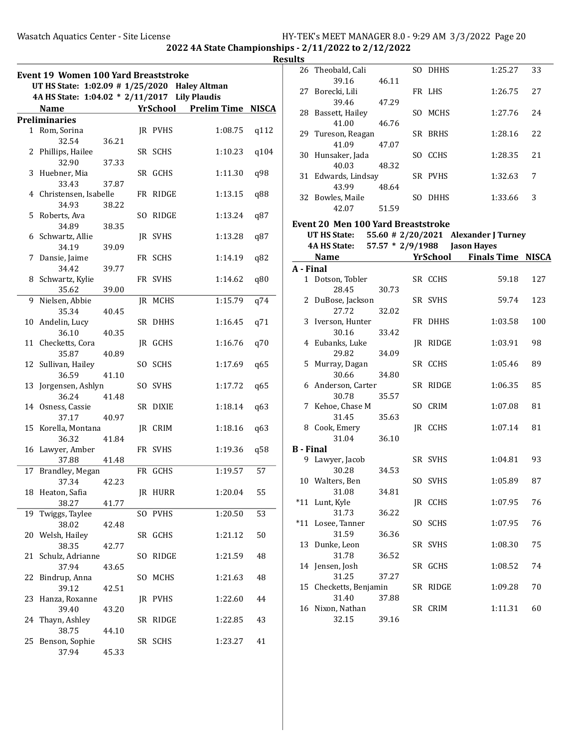| <b>Results</b> |
|----------------|
|----------------|

|              | <b>Event 19 Women 100 Yard Breaststroke</b><br>UT HS State: 1:02.09 # 1/25/2020 Haley Altman<br>4A HS State: 1:04.02 * 2/11/2017 Lily Plaudis |       |     |             |                             |              |
|--------------|-----------------------------------------------------------------------------------------------------------------------------------------------|-------|-----|-------------|-----------------------------|--------------|
|              | <b>Name</b>                                                                                                                                   |       |     |             | <b>YrSchool</b> Prelim Time | <b>NISCA</b> |
|              | <b>Preliminaries</b>                                                                                                                          |       |     |             |                             |              |
| $\mathbf{1}$ | Rom, Sorina<br>32.54                                                                                                                          | 36.21 |     | JR PVHS     | 1:08.75                     | q112         |
|              | 2 Phillips, Hailee                                                                                                                            |       |     | SR SCHS     | 1:10.23                     | q104         |
|              | 32.90<br>3 Huebner, Mia                                                                                                                       | 37.33 |     | SR GCHS     | 1:11.30                     | q98          |
|              | 33.43<br>4 Christensen, Isabelle                                                                                                              | 37.87 |     | FR RIDGE    | 1:13.15                     | q88          |
|              | 34.93<br>5 Roberts, Ava                                                                                                                       | 38.22 |     | SO RIDGE    | 1:13.24                     | q87          |
|              | 34.89<br>6 Schwartz, Allie                                                                                                                    | 38.35 |     | JR SVHS     | 1:13.28                     | q87          |
|              | 34.19                                                                                                                                         | 39.09 |     |             |                             |              |
|              | 7 Dansie, Jaime<br>34.42                                                                                                                      | 39.77 |     | FR SCHS     | 1:14.19                     | q82          |
|              | 8 Schwartz, Kylie<br>35.62                                                                                                                    | 39.00 |     | FR SVHS     | 1:14.62                     | q80          |
| 9            | Nielsen, Abbie<br>35.34                                                                                                                       | 40.45 |     | JR MCHS     | 1:15.79                     | q74          |
| 10           | Andelin, Lucy<br>36.10                                                                                                                        | 40.35 |     | SR DHHS     | 1:16.45                     | q71          |
|              | 11 Checketts, Cora                                                                                                                            |       |     | JR GCHS     | 1:16.76                     | q70          |
|              | 35.87<br>12 Sullivan, Hailey                                                                                                                  | 40.89 | SO  | <b>SCHS</b> | 1:17.69                     | q65          |
| 13           | 36.59<br>Jorgensen, Ashlyn                                                                                                                    | 41.10 |     | SO SVHS     | 1:17.72                     | q65          |
|              | 36.24<br>14 Osness, Cassie                                                                                                                    | 41.48 |     | SR DIXIE    | 1:18.14                     | q63          |
|              | 37.17<br>15 Korella, Montana                                                                                                                  | 40.97 |     | IR CRIM     | 1:18.16                     | q63          |
|              | 36.32<br>16 Lawyer, Amber                                                                                                                     | 41.84 |     | FR SVHS     | 1:19.36                     | q58          |
|              | 37.88                                                                                                                                         | 41.48 |     |             |                             |              |
| 17           | Brandley, Megan<br>37.34                                                                                                                      | 42.23 |     | FR GCHS     | 1:19.57                     | 57           |
|              | 18 Heaton, Safia<br>38.27                                                                                                                     | 41.77 |     | JR HURR     | 1:20.04                     | 55           |
| 19           | Twiggs, Taylee<br>38.02                                                                                                                       | 42.48 |     | SO PVHS     | 1:20.50                     | 53           |
| 20           | Welsh, Hailey<br>38.35                                                                                                                        |       |     | SR GCHS     | 1:21.12                     | 50           |
| 21           | Schulz, Adrianne                                                                                                                              | 42.77 | SO. | RIDGE       | 1:21.59                     | 48           |
| 22           | 37.94<br>Bindrup, Anna                                                                                                                        | 43.65 | SO. | MCHS        | 1:21.63                     | 48           |
| 23           | 39.12<br>Hanza, Roxanne                                                                                                                       | 42.51 |     | JR PVHS     | 1:22.60                     | 44           |
| 24           | 39.40<br>Thayn, Ashley                                                                                                                        | 43.20 |     | SR RIDGE    | 1:22.85                     | 43           |
| 25           | 38.75<br>Benson, Sophie                                                                                                                       | 44.10 |     | SR SCHS     | 1:23.27                     | 41           |
|              | 37.94                                                                                                                                         | 45.33 |     |             |                             |              |

|                  | 26 Theobald, Cali                         |                  | SO DHHS         | 1:25.27                              | 33  |
|------------------|-------------------------------------------|------------------|-----------------|--------------------------------------|-----|
|                  | 39.16                                     | 46.11            |                 |                                      |     |
|                  | 27 Borecki, Lili                          |                  | FR LHS          | 1:26.75                              | 27  |
|                  | 39.46                                     | 47.29            |                 |                                      |     |
|                  | 28 Bassett, Hailey                        |                  | SO MCHS         | 1:27.76                              | 24  |
|                  | 41.00                                     | 46.76            |                 |                                      |     |
|                  | 29 Tureson, Reagan                        |                  | SR BRHS         | 1:28.16                              | 22  |
|                  | 41.09                                     | 47.07            |                 |                                      |     |
|                  | 30 Hunsaker, Jada                         |                  | SO CCHS         | 1:28.35                              | 21  |
|                  | 40.03                                     | 48.32            |                 |                                      |     |
|                  | 31 Edwards, Lindsay                       |                  | SR PVHS         | 1:32.63                              | 7   |
|                  | 43.99                                     | 48.64            |                 |                                      |     |
|                  | 32 Bowles, Maile                          |                  | SO DHHS         | 1:33.66                              | 3   |
|                  | 42.07                                     | 51.59            |                 |                                      |     |
|                  | <b>Event 20 Men 100 Yard Breaststroke</b> |                  |                 |                                      |     |
|                  | UT HS State:                              |                  |                 | 55.60 # 2/20/2021 Alexander J Turney |     |
|                  | 4A HS State:                              | 57.57 * 2/9/1988 |                 | <b>Jason Hayes</b>                   |     |
|                  | <b>Name</b>                               |                  | <b>YrSchool</b> | <b>Finals Time NISCA</b>             |     |
| A - Final        |                                           |                  |                 |                                      |     |
|                  | 1 Dotson, Tobler                          |                  | SR CCHS         | 59.18                                | 127 |
|                  | 28.45                                     | 30.73            |                 |                                      |     |
|                  | 2 DuBose, Jackson                         |                  | SR SVHS         | 59.74                                | 123 |
|                  | 27.72                                     | 32.02            |                 |                                      |     |
|                  | 3 Iverson, Hunter                         |                  | FR DHHS         | 1:03.58                              | 100 |
|                  | 30.16                                     | 33.42            |                 |                                      |     |
|                  | 4 Eubanks, Luke                           |                  | JR RIDGE        | 1:03.91                              | 98  |
|                  | 29.82                                     | 34.09            |                 |                                      |     |
|                  | 5 Murray, Dagan                           |                  | SR CCHS         | 1:05.46                              | 89  |
|                  | 30.66                                     | 34.80            |                 |                                      |     |
|                  | 6 Anderson, Carter                        |                  | SR RIDGE        | 1:06.35                              | 85  |
|                  | 30.78                                     | 35.57            |                 |                                      |     |
|                  | 7 Kehoe, Chase M                          |                  | SO CRIM         | 1:07.08                              | 81  |
|                  | 31.45                                     | 35.63            |                 |                                      |     |
|                  | 8 Cook, Emery                             |                  | JR CCHS         | 1:07.14                              | 81  |
| <b>B</b> - Final | 31.04                                     | 36.10            |                 |                                      |     |
|                  | 9 Lawyer, Jacob                           |                  | SR SVHS         | 1:04.81                              | 93  |
|                  | 30.28                                     | 34.53            |                 |                                      |     |
|                  | 10 Walters, Ben                           |                  | SO SVHS         | 1:05.89                              | 87  |
|                  | 31.08                                     | 34.81            |                 |                                      |     |
|                  | *11 Lunt, Kyle                            |                  | JR CCHS         | 1:07.95                              | 76  |
|                  | 31.73                                     | 36.22            |                 |                                      |     |
| $*11$            | Losee, Tanner                             |                  | SO SCHS         | 1:07.95                              | 76  |
|                  | 31.59                                     | 36.36            |                 |                                      |     |
|                  | 13 Dunke, Leon                            |                  | SR SVHS         | 1:08.30                              | 75  |
|                  | 31.78                                     | 36.52            |                 |                                      |     |
| 14               | Jensen, Josh                              |                  | SR GCHS         | 1:08.52                              | 74  |
|                  | 31.25                                     | 37.27            |                 |                                      |     |
| 15               | Checketts, Benjamin                       |                  | SR RIDGE        | 1:09.28                              | 70  |
|                  | 31.40                                     | 37.88            |                 |                                      |     |
|                  | 16 Nixon, Nathan                          |                  | SR CRIM         | 1:11.31                              | 60  |
|                  | 32.15                                     | 39.16            |                 |                                      |     |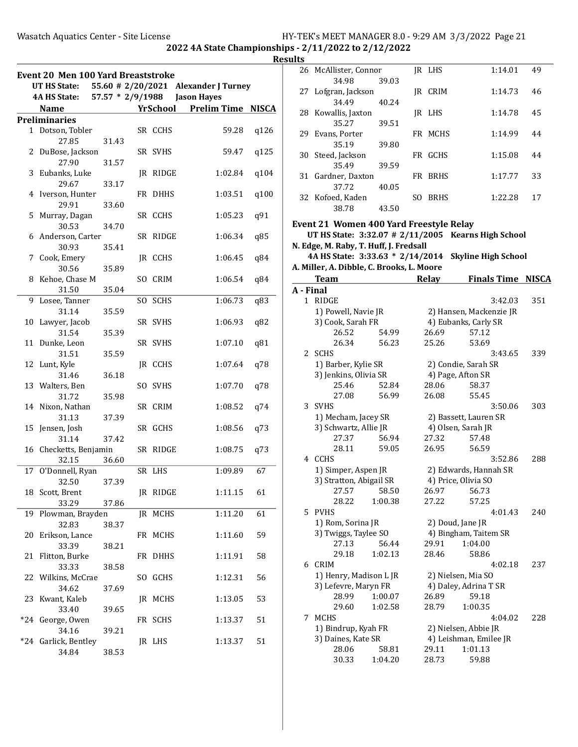2022 4A State Championships - 2/11/2022 to 2/12/2022

Results

|       | <b>Event 20 Men 100 Yard Breaststroke</b><br>UT HS State: |                  |                |                 | 55.60 # 2/20/2021 Alexander J Turney |      |
|-------|-----------------------------------------------------------|------------------|----------------|-----------------|--------------------------------------|------|
|       | 4A HS State:                                              | 57.57 * 2/9/1988 |                |                 | <b>Jason Hayes</b>                   |      |
|       | Name                                                      |                  |                | <b>YrSchool</b> | <b>Prelim Time NISCA</b>             |      |
|       | <b>Preliminaries</b>                                      |                  |                |                 |                                      |      |
|       | 1 Dotson, Tobler                                          |                  |                | SR CCHS         | 59.28                                | q126 |
|       | 27.85                                                     | 31.43            |                |                 |                                      |      |
|       | 2 DuBose, Jackson                                         |                  |                | SR SVHS         | 59.47                                | q125 |
|       | 27.90                                                     | 31.57            |                |                 |                                      |      |
| 3     | Eubanks, Luke                                             |                  |                | JR RIDGE        | 1:02.84                              | q104 |
|       | 29.67                                                     | 33.17            |                |                 |                                      |      |
|       | 4 Iverson, Hunter                                         |                  |                | FR DHHS         | 1:03.51                              | q100 |
|       | 29.91                                                     | 33.60            |                |                 |                                      |      |
|       | 5 Murray, Dagan                                           |                  |                | SR CCHS         | 1:05.23                              | q91  |
|       | 30.53                                                     | 34.70            |                |                 |                                      |      |
|       | 6 Anderson, Carter                                        |                  |                | SR RIDGE        | 1:06.34                              | q85  |
|       | 30.93                                                     | 35.41            |                |                 |                                      |      |
|       | 7 Cook, Emery                                             |                  |                | JR CCHS         | 1:06.45                              | q84  |
|       | 30.56                                                     | 35.89            |                |                 |                                      |      |
|       | 8 Kehoe, Chase M                                          |                  | S <sub>O</sub> | <b>CRIM</b>     | 1:06.54                              | q84  |
|       | 31.50                                                     | 35.04            |                |                 |                                      |      |
| 9     | Losee, Tanner                                             |                  |                | SO SCHS         | 1:06.73                              | q83  |
|       | 31.14                                                     | 35.59            |                |                 |                                      |      |
|       | 10 Lawyer, Jacob                                          |                  |                | SR SVHS         | 1:06.93                              | q82  |
|       | 31.54                                                     | 35.39            |                |                 |                                      |      |
| 11    | Dunke, Leon                                               |                  |                | SR SVHS         | 1:07.10                              | q81  |
|       | 31.51                                                     | 35.59            |                |                 |                                      |      |
|       | 12 Lunt, Kyle                                             |                  |                | JR CCHS         | 1:07.64                              | q78  |
|       | 31.46                                                     | 36.18            |                |                 |                                      |      |
|       | 13 Walters, Ben                                           |                  |                | SO SVHS         | 1:07.70                              | q78  |
|       | 31.72                                                     | 35.98            |                |                 |                                      |      |
|       | 14 Nixon, Nathan                                          |                  |                | SR CRIM         | 1:08.52                              | q74  |
|       | 31.13                                                     | 37.39            |                |                 |                                      |      |
|       | 15 Jensen, Josh                                           |                  |                | SR GCHS         | 1:08.56                              | q73  |
|       | 31.14                                                     | 37.42            |                |                 |                                      |      |
|       | 16 Checketts, Benjamin                                    |                  |                | SR RIDGE        | 1:08.75                              | q73  |
|       | 32.15                                                     | 36.60            |                |                 |                                      |      |
| 17    | O'Donnell, Ryan                                           |                  |                | SR LHS          | 1:09.89                              | 67   |
|       | 32.50                                                     | 37.39            |                |                 |                                      |      |
|       | 18 Scott, Brent                                           |                  |                | JR RIDGE        | 1:11.15                              | 61   |
|       | 33.29                                                     | 37.86            |                |                 |                                      |      |
| 19    | Plowman, Brayden                                          |                  |                | JR MCHS         | 1:11.20                              | 61   |
|       | 32.83                                                     | 38.37            |                |                 |                                      |      |
| 20    | Erikson, Lance                                            |                  |                | FR MCHS         | 1:11.60                              | 59   |
|       | 33.39                                                     | 38.21            |                |                 |                                      |      |
| 21    | Flitton, Burke                                            |                  |                | FR DHHS         | 1:11.91                              | 58   |
|       | 33.33                                                     | 38.58            |                |                 |                                      |      |
|       | 22 Wilkins, McCrae                                        |                  | SO.            | GCHS            | 1:12.31                              | 56   |
|       | 34.62                                                     |                  |                |                 |                                      |      |
|       | Kwant, Kaleb                                              | 37.69            |                |                 |                                      |      |
| 23    |                                                           |                  |                | JR MCHS         | 1:13.05                              | 53   |
|       | 33.40                                                     | 39.65            |                |                 |                                      |      |
| $*24$ | George, Owen                                              |                  |                | FR SCHS         | 1:13.37                              | 51   |
|       | 34.16                                                     | 39.21            |                |                 |                                      |      |
| $*24$ | Garlick, Bentley                                          |                  |                | JR LHS          | 1:13.37                              | 51   |
|       | 34.84                                                     | 38.53            |                |                 |                                      |      |

| uits      |                                                                                                                                                                    |         |              |                                                                                   |              |
|-----------|--------------------------------------------------------------------------------------------------------------------------------------------------------------------|---------|--------------|-----------------------------------------------------------------------------------|--------------|
|           | 26 McAllister, Connor<br>34.98                                                                                                                                     | 39.03   | JR LHS       | 1:14.01                                                                           | 49           |
| 27        | Lofgran, Jackson                                                                                                                                                   |         | JR CRIM      | 1:14.73                                                                           | 46           |
| 28        | 34.49<br>Kowallis, Jaxton                                                                                                                                          | 40.24   | JR LHS       | 1:14.78                                                                           | 45           |
|           | 35.27                                                                                                                                                              | 39.51   |              |                                                                                   |              |
| 29        | Evans, Porter<br>35.19                                                                                                                                             | 39.80   | FR MCHS      | 1:14.99                                                                           | 44           |
| 30        | Steed, Jackson<br>35.49                                                                                                                                            | 39.59   | FR GCHS      | 1:15.08                                                                           | 44           |
| 31        | Gardner, Daxton                                                                                                                                                    |         | FR BRHS      | 1:17.77                                                                           | 33           |
|           | 37.72<br>32 Kofoed, Kaden                                                                                                                                          | 40.05   | SO BRHS      | 1:22.28                                                                           | 17           |
|           | 38.78                                                                                                                                                              | 43.50   |              |                                                                                   |              |
|           | Event 21 Women 400 Yard Freestyle Relay<br>N. Edge, M. Raby, T. Huff, J. Fredsall<br>4A HS State: 3:33.63 * 2/14/2014<br>A. Miller, A. Dibble, C. Brooks, L. Moore |         |              | UT HS State: 3:32.07 # 2/11/2005 Kearns High School<br><b>Skyline High School</b> |              |
|           | <b>Team</b>                                                                                                                                                        |         | <b>Relay</b> | <b>Finals Time</b>                                                                | <b>NISCA</b> |
| A - Final |                                                                                                                                                                    |         |              |                                                                                   |              |
|           | 1 RIDGE                                                                                                                                                            |         |              | 3:42.03                                                                           | 351          |
|           | 1) Powell, Navie JR                                                                                                                                                |         |              | 2) Hansen, Mackenzie JR                                                           |              |
|           | 3) Cook, Sarah FR                                                                                                                                                  |         |              | 4) Eubanks, Carly SR                                                              |              |
|           | 26.52                                                                                                                                                              | 54.99   | 26.69        | 57.12                                                                             |              |
|           | 26.34                                                                                                                                                              | 56.23   | 25.26        | 53.69                                                                             |              |
|           | 2 SCHS                                                                                                                                                             |         |              | 3:43.65                                                                           | 339          |
|           | 1) Barber, Kylie SR                                                                                                                                                |         |              | 2) Condie, Sarah SR                                                               |              |
|           | 3) Jenkins, Olivia SR                                                                                                                                              |         |              | 4) Page, Afton SR                                                                 |              |
|           |                                                                                                                                                                    |         |              |                                                                                   |              |
|           | 25.46                                                                                                                                                              | 52.84   | 28.06        | 58.37                                                                             |              |
|           | 27.08                                                                                                                                                              | 56.99   | 26.08        | 55.45                                                                             |              |
|           | 3 SVHS                                                                                                                                                             |         |              | 3:50.06                                                                           | 303          |
|           | 1) Mecham, Jacey SR                                                                                                                                                |         |              | 2) Bassett, Lauren SR                                                             |              |
|           | 3) Schwartz, Allie JR                                                                                                                                              |         |              | 4) Olsen, Sarah JR                                                                |              |
|           | 27.37                                                                                                                                                              | 56.94   | 27.32        | 57.48                                                                             |              |
|           | 28.11                                                                                                                                                              | 59.05   | 26.95        | 56.59                                                                             |              |
|           | 4 CCHS                                                                                                                                                             |         |              | 3:52.86                                                                           | 288          |
|           | 1) Simper, Aspen JR                                                                                                                                                |         |              | 2) Edwards, Hannah SR                                                             |              |
|           | 3) Stratton, Abigail SR                                                                                                                                            |         |              | 4) Price, Olivia SO                                                               |              |
|           | 27.57                                                                                                                                                              | 58.50   | 26.97        | 56.73                                                                             |              |
|           | 28.22                                                                                                                                                              | 1:00.38 | 27.22        | 57.25                                                                             |              |
|           |                                                                                                                                                                    |         |              | 4:01.43                                                                           |              |
|           | 5 PVHS                                                                                                                                                             |         |              |                                                                                   | 240          |
|           | 1) Rom, Sorina JR                                                                                                                                                  |         |              | 2) Doud, Jane JR                                                                  |              |
|           | 3) Twiggs, Taylee SO                                                                                                                                               |         |              | 4) Bingham, Taitem SR                                                             |              |
|           | 27.13                                                                                                                                                              | 56.44   | 29.91        | 1:04.00                                                                           |              |
|           | 29.18                                                                                                                                                              | 1:02.13 | 28.46        | 58.86                                                                             |              |
| 6         | CRIM                                                                                                                                                               |         |              | 4:02.18                                                                           | 237          |
|           | 1) Henry, Madison L JR                                                                                                                                             |         |              | 2) Nielsen, Mia SO                                                                |              |
|           | 3) Lefevre, Maryn FR                                                                                                                                               |         |              | 4) Daley, Adrina T SR                                                             |              |
|           | 28.99                                                                                                                                                              | 1:00.07 | 26.89        | 59.18                                                                             |              |
|           | 29.60                                                                                                                                                              | 1:02.58 | 28.79        | 1:00.35                                                                           |              |
|           | MCHS                                                                                                                                                               |         |              |                                                                                   | 228          |
| 7         |                                                                                                                                                                    |         |              | 4:04.02                                                                           |              |
|           | 1) Bindrup, Kyah FR                                                                                                                                                |         |              | 2) Nielsen, Abbie JR                                                              |              |
|           | 3) Daines, Kate SR                                                                                                                                                 |         |              | 4) Leishman, Emilee JR                                                            |              |
|           | 28.06                                                                                                                                                              | 58.81   | 29.11        | 1:01.13                                                                           |              |
|           | 30.33                                                                                                                                                              | 1:04.20 | 28.73        | 59.88                                                                             |              |
|           |                                                                                                                                                                    |         |              |                                                                                   |              |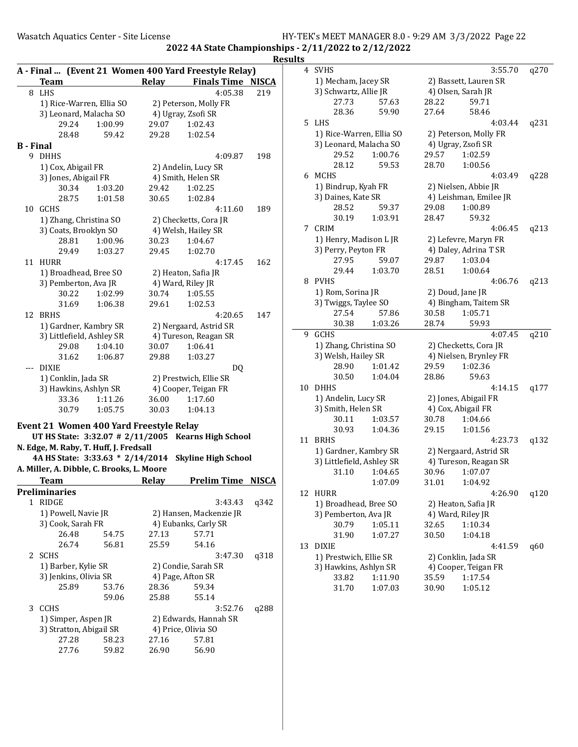|                  |                       |                                           |       | A - Final  (Event 21 Women 400 Yard Freestyle Relay) |              |
|------------------|-----------------------|-------------------------------------------|-------|------------------------------------------------------|--------------|
|                  | <b>Team</b>           |                                           | Relay | <b>Finals Time NISCA</b>                             |              |
|                  | 8 LHS                 |                                           |       | 4:05.38                                              | 219          |
|                  |                       | 1) Rice-Warren, Ellia SO                  |       | 2) Peterson, Molly FR                                |              |
|                  |                       | 3) Leonard, Malacha SO                    |       | 4) Ugray, Zsofi SR                                   |              |
|                  | 29.24                 | 1:00.99                                   | 29.07 | 1:02.43                                              |              |
|                  | 28.48                 | 59.42                                     | 29.28 | 1:02.54                                              |              |
| <b>B</b> - Final |                       |                                           |       |                                                      |              |
|                  | 9 DHHS                |                                           |       | 4:09.87                                              | 198          |
|                  | 1) Cox, Abigail FR    |                                           |       | 2) Andelin, Lucy SR                                  |              |
|                  | 3) Jones, Abigail FR  |                                           |       | 4) Smith, Helen SR                                   |              |
|                  | 30.34                 | 1:03.20                                   | 29.42 | 1:02.25                                              |              |
|                  | 28.75                 | 1:01.58                                   | 30.65 | 1:02.84                                              |              |
| 10               | <b>GCHS</b>           |                                           |       | 4:11.60                                              | 189          |
|                  |                       | 1) Zhang, Christina SO                    |       | 2) Checketts, Cora JR                                |              |
|                  |                       | 3) Coats, Brooklyn SO                     |       | 4) Welsh, Hailey SR                                  |              |
|                  | 28.81                 | 1:00.96                                   | 30.23 | 1:04.67                                              |              |
|                  | 29.49                 | 1:03.27                                   | 29.45 | 1:02.70                                              |              |
| 11               | HURR                  |                                           |       | 4:17.45                                              | 162          |
|                  |                       | 1) Broadhead, Bree SO                     |       | 2) Heaton, Safia JR                                  |              |
|                  |                       | 3) Pemberton, Ava JR                      |       | 4) Ward, Riley JR                                    |              |
|                  | 30.22                 | 1:02.99                                   | 30.74 | 1:05.55                                              |              |
|                  | 31.69                 | 1:06.38                                   | 29.61 | 1:02.53                                              |              |
| 12               | <b>BRHS</b>           |                                           |       | 4:20.65                                              | 147          |
|                  |                       | 1) Gardner, Kambry SR                     |       | 2) Nergaard, Astrid SR                               |              |
|                  |                       | 3) Littlefield, Ashley SR                 |       | 4) Tureson, Reagan SR                                |              |
|                  | 29.08                 | 1:04.10                                   | 30.07 | 1:06.41                                              |              |
|                  | 31.62                 | 1:06.87                                   | 29.88 | 1:03.27                                              |              |
|                  | --- DIXIE             |                                           |       | DQ                                                   |              |
|                  | 1) Conklin, Jada SR   |                                           |       | 2) Prestwich, Ellie SR                               |              |
|                  |                       | 3) Hawkins, Ashlyn SR                     |       | 4) Cooper, Teigan FR                                 |              |
|                  | 33.36                 | 1:11.26                                   | 36.00 | 1:17.60                                              |              |
|                  | 30.79                 | 1:05.75                                   | 30.03 | 1:04.13                                              |              |
|                  |                       | Event 21 Women 400 Yard Freestyle Relay   |       |                                                      |              |
|                  |                       |                                           |       | UT HS State: 3:32.07 # 2/11/2005 Kearns High School  |              |
|                  |                       | N. Edge, M. Raby, T. Huff, J. Fredsall    |       |                                                      |              |
|                  |                       | 4A HS State: 3:33.63 * 2/14/2014          |       | <b>Skyline High School</b>                           |              |
|                  |                       | A. Miller, A. Dibble, C. Brooks, L. Moore |       |                                                      |              |
|                  | <b>Team</b>           |                                           | Relay | Prelim Time                                          | <b>NISCA</b> |
|                  | <b>Preliminaries</b>  |                                           |       |                                                      |              |
|                  | 1 RIDGE               |                                           |       | 3:43.43                                              | q342         |
|                  | 1) Powell, Navie JR   |                                           |       | 2) Hansen, Mackenzie JR                              |              |
|                  | 3) Cook, Sarah FR     |                                           |       | 4) Eubanks, Carly SR                                 |              |
|                  | 26.48                 | 54.75                                     | 27.13 | 57.71                                                |              |
|                  | 26.74                 | 56.81                                     | 25.59 | 54.16                                                |              |
|                  | 2 SCHS                |                                           |       | 3:47.30                                              | q318         |
|                  | 1) Barber, Kylie SR   |                                           |       | 2) Condie, Sarah SR                                  |              |
|                  | 3) Jenkins, Olivia SR |                                           |       | 4) Page, Afton SR                                    |              |
|                  | 25.89                 | 53.76                                     | 28.36 | 59.34                                                |              |
|                  |                       | 59.06                                     | 25.88 | 55.14                                                |              |
| 3                | CCHS                  |                                           |       | 3:52.76                                              | q288         |
|                  | 1) Simper, Aspen JR   |                                           |       | 2) Edwards, Hannah SR                                |              |
|                  |                       | 3) Stratton, Abigail SR                   |       | 4) Price, Olivia SO                                  |              |
|                  | 27.28                 | 58.23                                     | 27.16 | 57.81                                                |              |
|                  | 27.76                 | 59.82                                     | 26.90 | 56.90                                                |              |

| S  |                           |         |       |                        |      |
|----|---------------------------|---------|-------|------------------------|------|
| 4  | <b>SVHS</b>               |         |       | 3:55.70                | q270 |
|    | 1) Mecham, Jacey SR       |         |       | 2) Bassett, Lauren SR  |      |
|    | 3) Schwartz, Allie JR     |         |       | 4) Olsen, Sarah JR     |      |
|    | 27.73                     | 57.63   | 28.22 | 59.71                  |      |
|    | 28.36                     | 59.90   | 27.64 | 58.46                  |      |
| 5  | LHS.                      |         |       | 4:03.44                | q231 |
|    | 1) Rice-Warren, Ellia SO  |         |       | 2) Peterson, Molly FR  |      |
|    | 3) Leonard, Malacha SO    |         |       | 4) Ugray, Zsofi SR     |      |
|    | 29.52                     | 1:00.76 | 29.57 | 1:02.59                |      |
|    | 28.12                     | 59.53   | 28.70 | 1:00.56                |      |
|    | 6 MCHS                    |         |       | 4:03.49                | q228 |
|    | 1) Bindrup, Kyah FR       |         |       | 2) Nielsen, Abbie JR   |      |
|    | 3) Daines, Kate SR        |         |       | 4) Leishman, Emilee JR |      |
|    | 28.52                     | 59.37   | 29.08 | 1:00.89                |      |
|    | 30.19                     | 1:03.91 | 28.47 | 59.32                  |      |
| 7  | CRIM                      |         |       | 4:06.45                | q213 |
|    | 1) Henry, Madison L JR    |         |       | 2) Lefevre, Maryn FR   |      |
|    | 3) Perry, Peyton FR       |         |       | 4) Daley, Adrina T SR  |      |
|    | 27.95                     | 59.07   | 29.87 | 1:03.04                |      |
|    | 29.44                     | 1:03.70 | 28.51 | 1:00.64                |      |
| 8  | PVHS                      |         |       | 4:06.76                | q213 |
|    | 1) Rom, Sorina JR         |         |       | 2) Doud, Jane JR       |      |
|    | 3) Twiggs, Taylee SO      |         |       | 4) Bingham, Taitem SR  |      |
|    | 27.54                     | 57.86   | 30.58 | 1:05.71                |      |
|    | 30.38                     | 1:03.26 | 28.74 | 59.93                  |      |
| 9  | GCHS                      |         |       | 4:07.45                | q210 |
|    | 1) Zhang, Christina SO    |         |       | 2) Checketts, Cora JR  |      |
|    | 3) Welsh, Hailey SR       |         |       | 4) Nielsen, Brynley FR |      |
|    | 28.90                     | 1:01.42 | 29.59 | 1:02.36                |      |
|    | 30.50                     | 1:04.04 | 28.86 | 59.63                  |      |
| 10 | DHHS                      |         |       | 4:14.15                | q177 |
|    | 1) Andelin, Lucy SR       |         |       | 2) Jones, Abigail FR   |      |
|    | 3) Smith, Helen SR        |         |       | 4) Cox, Abigail FR     |      |
|    | 30.11                     | 1:03.57 | 30.78 | 1:04.66                |      |
|    | 30.93                     | 1:04.36 | 29.15 | 1:01.56                |      |
| 11 | <b>BRHS</b>               |         |       | 4:23.73                | q132 |
|    | 1) Gardner, Kambry SR     |         |       | 2) Nergaard, Astrid SR |      |
|    | 3) Littlefield, Ashley SR |         |       | 4) Tureson, Reagan SR  |      |
|    | 31.10                     | 1:04.65 | 30.96 | 1:07.07                |      |
|    |                           | 1:07.09 | 31.01 | 1:04.92                |      |
| 12 | <b>HURR</b>               |         |       | 4:26.90                | q120 |
|    | 1) Broadhead, Bree SO     |         |       | 2) Heaton, Safia JR    |      |
|    | 3) Pemberton, Ava JR      |         |       | 4) Ward, Riley JR      |      |
|    | 30.79                     | 1:05.11 | 32.65 | 1:10.34                |      |
|    | 31.90                     | 1:07.27 | 30.50 | 1:04.18                |      |
| 13 | <b>DIXIE</b>              |         |       | 4:41.59                | q60  |
|    | 1) Prestwich, Ellie SR    |         |       | 2) Conklin, Jada SR    |      |
|    | 3) Hawkins, Ashlyn SR     |         |       | 4) Cooper, Teigan FR   |      |
|    | 33.82                     | 1:11.90 | 35.59 | 1:17.54                |      |
|    | 31.70                     | 1:07.03 | 30.90 | 1:05.12                |      |
|    |                           |         |       |                        |      |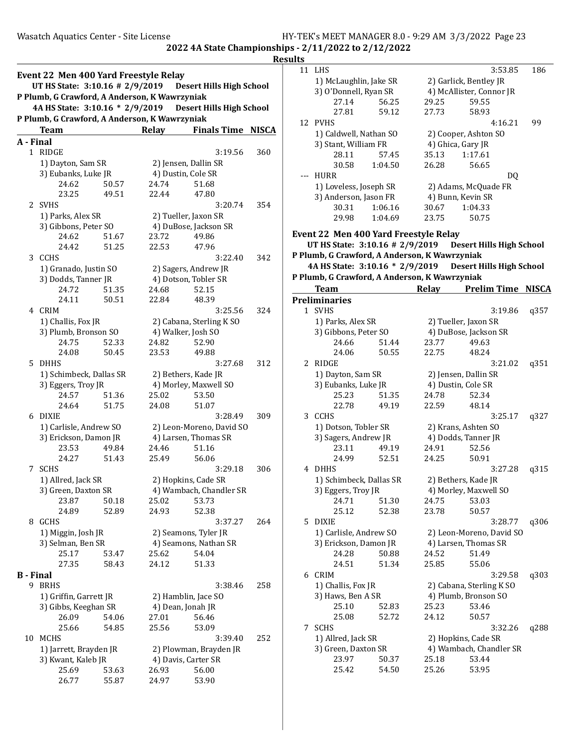| <b>Event 22 Men 400 Yard Freestyle Relay</b><br>UT HS State: 3:10.16 # 2/9/2019<br><b>Desert Hills High School</b> |                                               |       |       |                          |     |
|--------------------------------------------------------------------------------------------------------------------|-----------------------------------------------|-------|-------|--------------------------|-----|
|                                                                                                                    | P Plumb, G Crawford, A Anderson, K Wawrzyniak |       |       |                          |     |
| 4A HS State: 3:10.16 * 2/9/2019 Desert Hills High School                                                           |                                               |       |       |                          |     |
|                                                                                                                    | P Plumb, G Crawford, A Anderson, K Wawrzyniak |       |       |                          |     |
|                                                                                                                    | <b>Team</b>                                   |       | Relay | <b>Finals Time NISCA</b> |     |
| A - Final                                                                                                          | 1 RIDGE                                       |       |       | 3:19.56                  | 360 |
|                                                                                                                    |                                               |       |       | 2) Jensen, Dallin SR     |     |
|                                                                                                                    | 1) Dayton, Sam SR<br>3) Eubanks, Luke JR      |       |       | 4) Dustin, Cole SR       |     |
|                                                                                                                    | 24.62                                         | 50.57 | 24.74 | 51.68                    |     |
|                                                                                                                    | 23.25                                         | 49.51 | 22.44 | 47.80                    |     |
|                                                                                                                    | 2 SVHS                                        |       |       | 3:20.74                  | 354 |
|                                                                                                                    | 1) Parks, Alex SR                             |       |       | 2) Tueller, Jaxon SR     |     |
|                                                                                                                    | 3) Gibbons, Peter SO                          |       |       | 4) DuBose, Jackson SR    |     |
|                                                                                                                    | 24.62                                         | 51.67 | 23.72 | 49.86                    |     |
|                                                                                                                    | 24.42                                         | 51.25 | 22.53 | 47.96                    |     |
| 3                                                                                                                  | CCHS                                          |       |       | 3:22.40                  | 342 |
|                                                                                                                    | 1) Granado, Justin SO                         |       |       | 2) Sagers, Andrew JR     |     |
|                                                                                                                    | 3) Dodds, Tanner JR                           |       |       | 4) Dotson, Tobler SR     |     |
|                                                                                                                    | 24.72                                         | 51.35 | 24.68 | 52.15                    |     |
|                                                                                                                    | 24.11                                         | 50.51 | 22.84 | 48.39                    |     |
|                                                                                                                    | 4 CRIM                                        |       |       | 3:25.56                  | 324 |
|                                                                                                                    | 1) Challis, Fox JR                            |       |       | 2) Cabana, Sterling K SO |     |
|                                                                                                                    | 3) Plumb, Bronson SO                          |       |       | 4) Walker, Josh SO       |     |
|                                                                                                                    | 24.75                                         | 52.33 | 24.82 | 52.90                    |     |
|                                                                                                                    | 24.08                                         | 50.45 | 23.53 | 49.88                    |     |
| 5.                                                                                                                 | DHHS                                          |       |       | 3:27.68                  | 312 |
|                                                                                                                    | 1) Schimbeck, Dallas SR                       |       |       | 2) Bethers, Kade JR      |     |
|                                                                                                                    | 3) Eggers, Troy JR                            |       |       | 4) Morley, Maxwell SO    |     |
|                                                                                                                    | 24.57                                         | 51.36 | 25.02 | 53.50                    |     |
|                                                                                                                    | 24.64                                         | 51.75 | 24.08 | 51.07                    |     |
| 6                                                                                                                  | DIXIE                                         |       |       | 3:28.49                  | 309 |
|                                                                                                                    | 1) Carlisle, Andrew SO                        |       |       | 2) Leon-Moreno, David SO |     |
|                                                                                                                    | 3) Erickson, Damon JR                         |       |       | 4) Larsen, Thomas SR     |     |
|                                                                                                                    | 23.53                                         | 49.84 | 24.46 | 51.16                    |     |
|                                                                                                                    | 24.27                                         | 51.43 | 25.49 | 56.06                    |     |
| 7                                                                                                                  | SCHS                                          |       |       | 3:29.18                  | 306 |
|                                                                                                                    | 1) Allred, Jack SR                            |       |       | 2) Hopkins, Cade SR      |     |
|                                                                                                                    | 3) Green, Daxton SR                           |       |       | 4) Wambach, Chandler SR  |     |
|                                                                                                                    | 23.87                                         | 50.18 | 25.02 | 53.73                    |     |
|                                                                                                                    | 24.89                                         | 52.89 | 24.93 | 52.38                    |     |
|                                                                                                                    | 8 GCHS                                        |       |       | 3:37.27                  | 264 |
|                                                                                                                    | 1) Miggin, Josh JR                            |       |       | 2) Seamons, Tyler JR     |     |
|                                                                                                                    | 3) Selman, Ben SR                             |       |       | 4) Seamons, Nathan SR    |     |
|                                                                                                                    | 25.17                                         | 53.47 | 25.62 | 54.04                    |     |
|                                                                                                                    | 27.35                                         | 58.43 | 24.12 | 51.33                    |     |
| <b>B</b> - Final                                                                                                   |                                               |       |       |                          |     |
| 9                                                                                                                  | <b>BRHS</b>                                   |       |       | 3:38.46                  | 258 |
|                                                                                                                    | 1) Griffin, Garrett JR                        |       |       | 2) Hamblin, Jace SO      |     |
|                                                                                                                    | 3) Gibbs, Keeghan SR                          |       |       | 4) Dean, Jonah JR        |     |
|                                                                                                                    | 26.09                                         | 54.06 | 27.01 | 56.46                    |     |
|                                                                                                                    | 25.66                                         | 54.85 | 25.56 | 53.09                    |     |
| 10                                                                                                                 | MCHS                                          |       |       | 3:39.40                  | 252 |
|                                                                                                                    | 1) Jarrett, Brayden JR                        |       |       | 2) Plowman, Brayden JR   |     |
|                                                                                                                    | 3) Kwant, Kaleb JR                            |       |       | 4) Davis, Carter SR      |     |
|                                                                                                                    | 25.69                                         | 53.63 | 26.93 | 56.00                    |     |
|                                                                                                                    | 26.77                                         | 55.87 | 24.97 | 53.90                    |     |

|   | 11 LHS                                          |         |                          | 3:53.85                                                     | 186  |
|---|-------------------------------------------------|---------|--------------------------|-------------------------------------------------------------|------|
|   | 1) McLaughlin, Jake SR                          |         | 2) Garlick, Bentley JR   |                                                             |      |
|   | 3) O'Donnell, Ryan SR                           |         | 4) McAllister, Connor JR |                                                             |      |
|   | 27.14                                           | 56.25   | 29.25                    | 59.55                                                       |      |
|   | 27.81                                           | 59.12   | 27.73                    | 58.93                                                       |      |
|   | 12 PVHS                                         |         |                          | 4:16.21                                                     | 99   |
|   | 1) Caldwell, Nathan SO                          |         |                          | 2) Cooper, Ashton SO                                        |      |
|   | 3) Stant, William FR                            |         | 4) Ghica, Gary JR        |                                                             |      |
|   | 28.11                                           | 57.45   | 35.13                    | 1:17.61                                                     |      |
|   | 30.58                                           | 1:04.50 | 26.28                    | 56.65                                                       |      |
|   | --- HURR                                        |         |                          |                                                             |      |
|   |                                                 |         |                          | DQ<br>2) Adams, McQuade FR                                  |      |
|   | 1) Loveless, Joseph SR                          |         |                          |                                                             |      |
|   | 3) Anderson, Jason FR                           |         |                          | 4) Bunn, Kevin SR                                           |      |
|   | 30.31                                           | 1:06.16 | 30.67                    | 1:04.33                                                     |      |
|   | 29.98                                           | 1:04.69 | 23.75                    | 50.75                                                       |      |
|   | Event 22 Men 400 Yard Freestyle Relay           |         |                          |                                                             |      |
|   |                                                 |         |                          | UT HS State: 3:10.16 # 2/9/2019    Desert Hills High School |      |
|   | P Plumb, G Crawford, A Anderson, K Wawrzyniak   |         |                          |                                                             |      |
|   |                                                 |         |                          | 4A HS State: 3:10.16 * 2/9/2019 Desert Hills High School    |      |
|   | P Plumb, G Crawford, A Anderson, K Wawrzyniak   |         |                          |                                                             |      |
|   | <b>Team</b>                                     |         |                          | Relay Prelim Time NISCA                                     |      |
|   | <b>Preliminaries</b>                            |         |                          |                                                             |      |
|   | 1 SVHS                                          |         |                          | 3:19.86                                                     | q357 |
|   |                                                 |         |                          | 2) Tueller, Jaxon SR                                        |      |
|   | 1) Parks, Alex SR                               |         |                          |                                                             |      |
|   | 3) Gibbons, Peter SO                            |         |                          | 4) DuBose, Jackson SR                                       |      |
|   | 24.66                                           | 51.44   | 23.77                    | 49.63                                                       |      |
|   | 24.06                                           | 50.55   | 22.75                    | 48.24                                                       |      |
|   | 2 RIDGE                                         |         |                          | 3:21.02                                                     | q351 |
|   | 1) Dayton, Sam SR                               |         |                          | 2) Jensen, Dallin SR                                        |      |
|   | 3) Eubanks, Luke JR                             |         |                          | 4) Dustin, Cole SR                                          |      |
|   | 25.23                                           | 51.35   | 24.78                    | 52.34                                                       |      |
|   | 22.78                                           | 49.19   | 22.59                    | 48.14                                                       |      |
|   | 3 CCHS                                          |         |                          | 3:25.17                                                     | q327 |
|   | 1) Dotson, Tobler SR                            |         |                          | 2) Krans, Ashten SO                                         |      |
|   | 3) Sagers, Andrew JR                            |         |                          | 4) Dodds, Tanner JR                                         |      |
|   | 23.11                                           | 49.19   | 24.91                    | 52.56                                                       |      |
|   | 24.99                                           | 52.51   | 24.25                    | 50.91                                                       |      |
|   | 4 DHHS                                          |         |                          | 3:27.28                                                     | q315 |
|   | 1) Schimbeck, Dallas SR                         |         |                          | 2) Bethers, Kade JR                                         |      |
|   | 3) Eggers, Troy JR                              |         | 4) Morley, Maxwell SO    |                                                             |      |
|   | 24.71                                           | 51.30   | 24.75                    | 53.03                                                       |      |
|   | 25.12                                           | 52.38   | 23.78                    | 50.57                                                       |      |
|   | 5 DIXIE                                         |         |                          | 3:28.77                                                     | q306 |
|   |                                                 |         |                          | 2) Leon-Moreno, David SO                                    |      |
|   | 1) Carlisle, Andrew SO<br>3) Erickson, Damon JR |         |                          | 4) Larsen, Thomas SR                                        |      |
|   |                                                 |         |                          | 51.49                                                       |      |
|   | 24.28                                           | 50.88   | 24.52                    |                                                             |      |
|   | 24.51                                           | 51.34   | 25.85                    | 55.06                                                       |      |
|   | 6 CRIM                                          |         |                          | 3:29.58                                                     | q303 |
|   | 1) Challis, Fox JR                              |         |                          | 2) Cabana, Sterling K SO                                    |      |
|   | 3) Haws, Ben A SR                               |         |                          | 4) Plumb, Bronson SO                                        |      |
|   | 25.10                                           | 52.83   | 25.23                    | 53.46                                                       |      |
|   | 25.08                                           | 52.72   | 24.12                    | 50.57                                                       |      |
| 7 | <b>SCHS</b>                                     |         |                          | 3:32.26                                                     | q288 |
|   | 1) Allred, Jack SR                              |         |                          | 2) Hopkins, Cade SR                                         |      |
|   | 3) Green, Daxton SR                             |         |                          | 4) Wambach, Chandler SR                                     |      |
|   | 23.97                                           | 50.37   | 25.18                    | 53.44                                                       |      |
|   | 25.42                                           | 54.50   | 25.26                    | 53.95                                                       |      |
|   |                                                 |         |                          |                                                             |      |